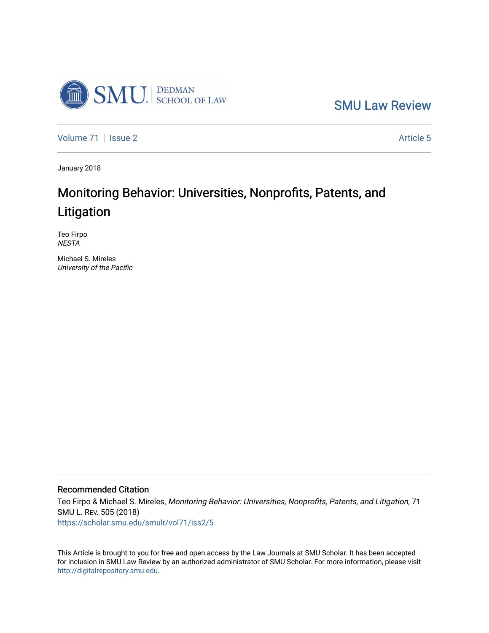

[SMU Law Review](https://scholar.smu.edu/smulr) 

[Volume 71](https://scholar.smu.edu/smulr/vol71) | [Issue 2](https://scholar.smu.edu/smulr/vol71/iss2) Article 5

January 2018

# Monitoring Behavior: Universities, Nonprofits, Patents, and Litigation

Teo Firpo **NESTA** 

Michael S. Mireles University of the Pacific

### Recommended Citation

Teo Firpo & Michael S. Mireles, Monitoring Behavior: Universities, Nonprofits, Patents, and Litigation, 71 SMU L. REV. 505 (2018) [https://scholar.smu.edu/smulr/vol71/iss2/5](https://scholar.smu.edu/smulr/vol71/iss2/5?utm_source=scholar.smu.edu%2Fsmulr%2Fvol71%2Fiss2%2F5&utm_medium=PDF&utm_campaign=PDFCoverPages) 

This Article is brought to you for free and open access by the Law Journals at SMU Scholar. It has been accepted for inclusion in SMU Law Review by an authorized administrator of SMU Scholar. For more information, please visit [http://digitalrepository.smu.edu.](http://digitalrepository.smu.edu/)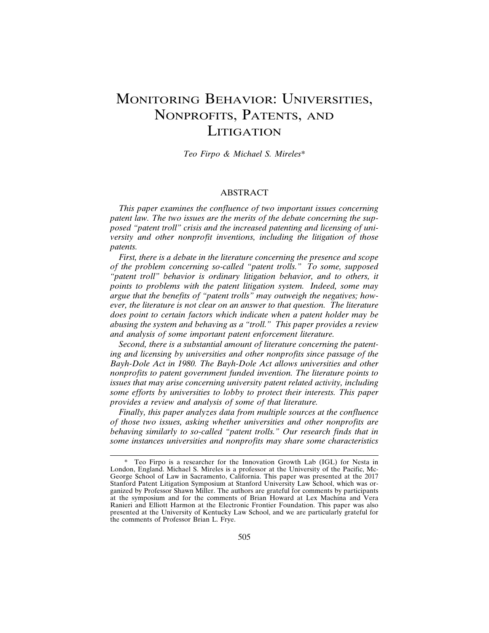# MONITORING BEHAVIOR: UNIVERSITIES, NONPROFITS, PATENTS, AND **LITIGATION**

*Teo Firpo & Michael S. Mireles*\*

#### ABSTRACT

*This paper examines the confluence of two important issues concerning patent law. The two issues are the merits of the debate concerning the supposed "patent troll" crisis and the increased patenting and licensing of university and other nonprofit inventions, including the litigation of those patents.*

*First, there is a debate in the literature concerning the presence and scope of the problem concerning so-called "patent trolls." To some, supposed "patent troll" behavior is ordinary litigation behavior, and to others, it points to problems with the patent litigation system. Indeed, some may argue that the benefits of "patent trolls" may outweigh the negatives; however, the literature is not clear on an answer to that question. The literature does point to certain factors which indicate when a patent holder may be abusing the system and behaving as a "troll." This paper provides a review and analysis of some important patent enforcement literature.*

*Second, there is a substantial amount of literature concerning the patenting and licensing by universities and other nonprofits since passage of the Bayh-Dole Act in 1980. The Bayh-Dole Act allows universities and other nonprofits to patent government funded invention. The literature points to issues that may arise concerning university patent related activity, including some efforts by universities to lobby to protect their interests. This paper provides a review and analysis of some of that literature.*

*Finally, this paper analyzes data from multiple sources at the confluence of those two issues, asking whether universities and other nonprofits are behaving similarly to so-called "patent trolls." Our research finds that in some instances universities and nonprofits may share some characteristics*

<sup>\*</sup> Teo Firpo is a researcher for the Innovation Growth Lab (IGL) for Nesta in London, England. Michael S. Mireles is a professor at the University of the Pacific, Mc-George School of Law in Sacramento, California. This paper was presented at the 2017 Stanford Patent Litigation Symposium at Stanford University Law School, which was organized by Professor Shawn Miller. The authors are grateful for comments by participants at the symposium and for the comments of Brian Howard at Lex Machina and Vera Ranieri and Elliott Harmon at the Electronic Frontier Foundation. This paper was also presented at the University of Kentucky Law School, and we are particularly grateful for the comments of Professor Brian L. Frye.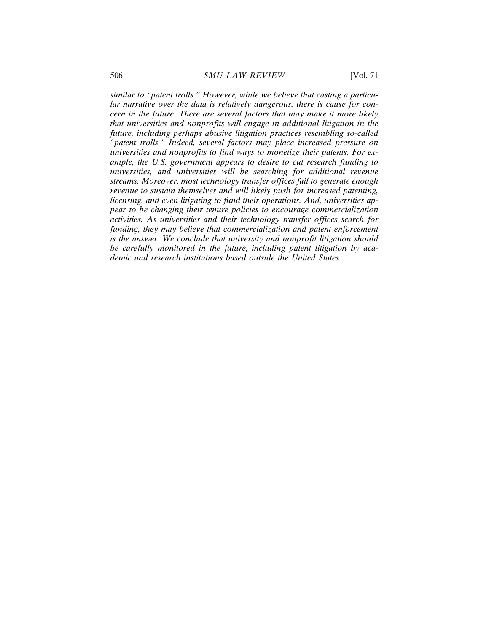*similar to "patent trolls." However, while we believe that casting a particular narrative over the data is relatively dangerous, there is cause for concern in the future. There are several factors that may make it more likely that universities and nonprofits will engage in additional litigation in the future, including perhaps abusive litigation practices resembling so-called "patent trolls." Indeed, several factors may place increased pressure on universities and nonprofits to find ways to monetize their patents. For example, the U.S. government appears to desire to cut research funding to universities, and universities will be searching for additional revenue streams. Moreover, most technology transfer offices fail to generate enough revenue to sustain themselves and will likely push for increased patenting, licensing, and even litigating to fund their operations. And, universities appear to be changing their tenure policies to encourage commercialization activities. As universities and their technology transfer offices search for funding, they may believe that commercialization and patent enforcement is the answer. We conclude that university and nonprofit litigation should be carefully monitored in the future, including patent litigation by academic and research institutions based outside the United States.*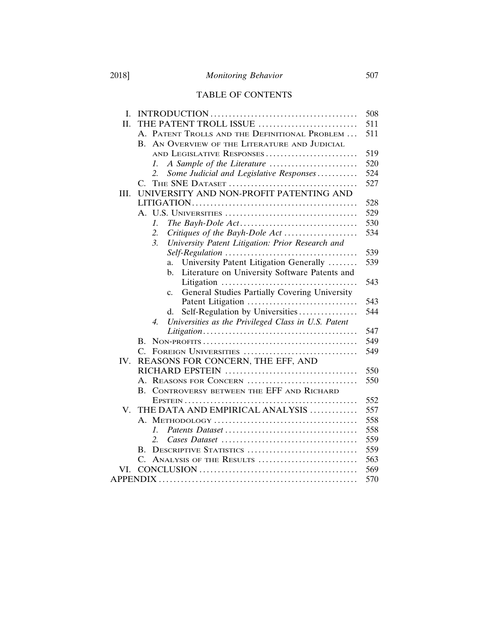# 2018] *Monitoring Behavior* 507

# TABLE OF CONTENTS

| L.                                                                                                      | 508 |
|---------------------------------------------------------------------------------------------------------|-----|
| THE PATENT TROLL ISSUE<br>Π.                                                                            | 511 |
| A. PATENT TROLLS AND THE DEFINITIONAL PROBLEM                                                           | 511 |
| AN OVERVIEW OF THE LITERATURE AND JUDICIAL<br>$\mathbf{B}$ .                                            |     |
| AND LEGISLATIVE RESPONSES                                                                               | 519 |
| A Sample of the Literature<br>1.                                                                        | 520 |
| Some Judicial and Legislative Responses<br>2.                                                           | 524 |
| $C_{\cdot}$                                                                                             | 527 |
| UNIVERSITY AND NON-PROFIT PATENTING AND<br>Ш.                                                           |     |
|                                                                                                         | 528 |
|                                                                                                         | 529 |
| 1.                                                                                                      | 530 |
| Critiques of the Bayh-Dole Act<br>2.                                                                    | 534 |
| $\mathfrak{Z}$ .<br>University Patent Litigation: Prior Research and                                    |     |
|                                                                                                         | 539 |
| University Patent Litigation Generally<br>a.                                                            | 539 |
| Literature on University Software Patents and<br>b.                                                     |     |
|                                                                                                         | 543 |
| General Studies Partially Covering University<br>c.                                                     |     |
|                                                                                                         | 543 |
| Self-Regulation by Universities<br>d.                                                                   | 544 |
| Universities as the Privileged Class in U.S. Patent<br>$\overline{4}$ .                                 |     |
| $Litigation \ldots \ldots \ldots \ldots \ldots \ldots \ldots \ldots \ldots \ldots \ldots \ldots \ldots$ | 547 |
| B.                                                                                                      | 549 |
| $\mathcal{C}$<br>FOREIGN UNIVERSITIES                                                                   | 549 |
| IV.<br>REASONS FOR CONCERN, THE EFF, AND                                                                |     |
|                                                                                                         | 550 |
| REASONS FOR CONCERN<br>A.                                                                               | 550 |
| CONTROVERSY BETWEEN THE EFF AND RICHARD<br>B.                                                           |     |
|                                                                                                         | 552 |
| THE DATA AND EMPIRICAL ANALYSIS<br>V.                                                                   | 557 |
|                                                                                                         | 558 |
| $\mathcal{I}$ .                                                                                         | 558 |
| 2.                                                                                                      | 559 |
| DESCRIPTIVE STATISTICS<br>В.                                                                            | 559 |
| ANALYSIS OF THE RESULTS<br>C.                                                                           | 563 |
| VI.                                                                                                     | 569 |
|                                                                                                         | 570 |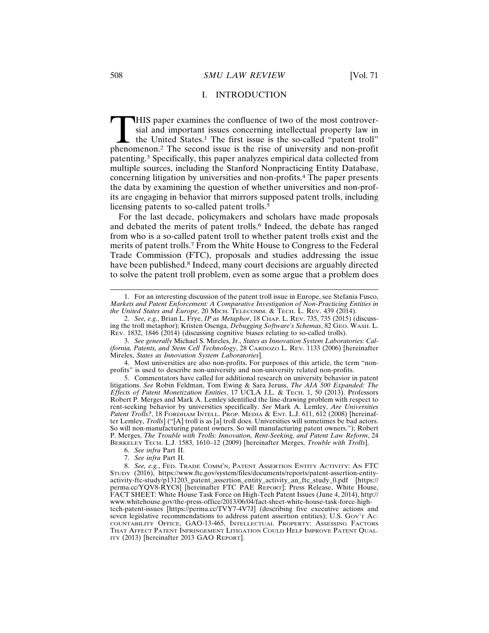#### I. INTRODUCTION

THIS paper examines the confluence of two of the most controver-<br>sial and important issues concerning intellectual property law in<br>the United States.<sup>1</sup> The first issue is the so-called "patent troll"<br>phenomenon.<sup>2</sup> The se sial and important issues concerning intellectual property law in the United States.1 The first issue is the so-called "patent troll" patenting.3 Specifically, this paper analyzes empirical data collected from multiple sources, including the Stanford Nonpracticing Entity Database, concerning litigation by universities and non-profits.4 The paper presents the data by examining the question of whether universities and non-profits are engaging in behavior that mirrors supposed patent trolls, including licensing patents to so-called patent trolls.<sup>5</sup>

For the last decade, policymakers and scholars have made proposals and debated the merits of patent trolls.<sup>6</sup> Indeed, the debate has ranged from who is a so-called patent troll to whether patent trolls exist and the merits of patent trolls.7 From the White House to Congress to the Federal Trade Commission (FTC), proposals and studies addressing the issue have been published.8 Indeed, many court decisions are arguably directed to solve the patent troll problem, even as some argue that a problem does

4. Most universities are also non-profits. For purposes of this article, the term "nonprofits" is used to describe non-university and non-university related non-profits.

5. Commentators have called for additional research on university behavior in patent litigations. *See* Robin Feldman, Tom Ewing & Sara Jeruss, *The AIA 500 Expanded: The Effects of Patent Monetization Entities*, 17 UCLA J.L. & TECH. 1, 50 (2013). Professors Robert P. Merges and Mark A. Lemley identified the line-drawing problem with respect to rent-seeking behavior by universities specifically. *See* Mark A. Lemley, *Are Universities Patent Trolls?*, 18 FORDHAM INTELL. PROP. MEDIA & ENT. L.J. 611, 612 (2008) [hereinafter Lemley, *Trolls*] ("[A] troll is as [a] troll does. Universities will sometimes be bad actors. So will non-manufacturing patent owners. So will manufacturing patent owners."); Robert P. Merges, *The Trouble with Trolls: Innovation, Rent-Seeking, and Patent Law Reform*, 24 BERKELEY TECH. L.J. 1583, 1610–12 (2009) [hereinafter Merges, *Trouble with Trolls*].

6. *See infra* Part II.

7. *See infra* Part II.

8. *See, e.g.*, FED. TRADE COMM'N, PATENT ASSERTION ENTITY ACTIVITY: AN FTC STUDY (2016), https://www.ftc.gov/system/files/documents/reports/patent-assertion-entityactivity-ftc-study/p131203\_patent\_assertion\_entity\_activity\_an\_ftc\_study\_0.pdf [https:// perma.cc/YQV8-RYC8] [hereinafter FTC PAE REPORT]; Press Release, White House, FACT SHEET: White House Task Force on High-Tech Patent Issues (June 4, 2014), http:// www.whitehouse.gov/the-press-office/2013/06/04/fact-sheet-white-house-task-force-hightech-patent-issues [https://perma.cc/TVY7-4V7J] (describing five executive actions and seven legislative recommendations to address patent assertion entities); U.S. Gov't Ac-COUNTABILITY OFFICE, GAO-13-465, INTELLECTUAL PROPERTY: ASSESSING FACTORS THAT AFFECT PATENT INFRINGEMENT LITIGATION COULD HELP IMPROVE PATENT QUAL-ITY (2013) [hereinafter 2013 GAO REPORT].

<sup>1.</sup> For an interesting discussion of the patent troll issue in Europe, see Stefania Fusco, *Markets and Patent Enforcement: A Comparative Investigation of Non-Practicing Entities in the United States and Europe*, 20 MICH. TELECOMM. & TECH. L. REV. 439 (2014).

<sup>2.</sup> *See, e.g.*, Brian L. Frye, *IP as Metaphor*, 18 CHAP. L. REV. 735, 735 (2015) (discussing the troll metaphor); Kristen Osenga, *Debugging Software's Schemas*, 82 GEO. WASH. L. REV. 1832, 1846 (2014) (discussing cognitive biases relating to so-called trolls).

<sup>3.</sup> *See generally* Michael S. Mireles, Jr., *States as Innovation System Laboratories: California, Patents, and Stem Cell Technology*, 28 CARDOZO L. REV. 1133 (2006) [hereinafter Mireles, *States as Innovation System Laboratories*].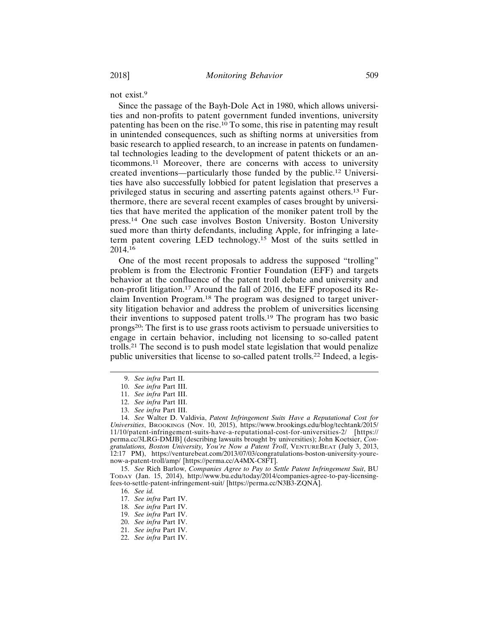not exist.<sup>9</sup>

Since the passage of the Bayh-Dole Act in 1980, which allows universities and non-profits to patent government funded inventions, university patenting has been on the rise.10 To some, this rise in patenting may result in unintended consequences, such as shifting norms at universities from basic research to applied research, to an increase in patents on fundamental technologies leading to the development of patent thickets or an anticommons.11 Moreover, there are concerns with access to university created inventions—particularly those funded by the public.12 Universities have also successfully lobbied for patent legislation that preserves a privileged status in securing and asserting patents against others.13 Furthermore, there are several recent examples of cases brought by universities that have merited the application of the moniker patent troll by the press.14 One such case involves Boston University. Boston University sued more than thirty defendants, including Apple, for infringing a lateterm patent covering LED technology.15 Most of the suits settled in 2014.<sup>16</sup>

One of the most recent proposals to address the supposed "trolling" problem is from the Electronic Frontier Foundation (EFF) and targets behavior at the confluence of the patent troll debate and university and non-profit litigation.17 Around the fall of 2016, the EFF proposed its Reclaim Invention Program.<sup>18</sup> The program was designed to target university litigation behavior and address the problem of universities licensing their inventions to supposed patent trolls.19 The program has two basic prongs20: The first is to use grass roots activism to persuade universities to engage in certain behavior, including not licensing to so-called patent trolls.21 The second is to push model state legislation that would penalize public universities that license to so-called patent trolls.22 Indeed, a legis-

<sup>9.</sup> *See infra* Part II.

<sup>10.</sup> *See infra* Part III.

<sup>11.</sup> *See infra* Part III.

<sup>12.</sup> *See infra* Part III.

<sup>13.</sup> *See infra* Part III.

<sup>14.</sup> *See* Walter D. Valdivia, *Patent Infringement Suits Have a Reputational Cost for Universities*, BROOKINGS (Nov. 10, 2015), https://www.brookings.edu/blog/techtank/2015/ 11/10/patent-infringement-suits-have-a-reputational-cost-for-universities-2/ [https:// perma.cc/3LRG-DMJB] (describing lawsuits brought by universities); John Koetsier, *Congratulations, Boston University, You're Now a Patent Troll*, VENTUREBEAT (July 3, 2013, 12:17 PM), https://venturebeat.com/2013/07/03/congratulations-boston-university-yourenow-a-patent-troll/amp/ [https://perma.cc/A4MX-C8FT].

<sup>15.</sup> *See* Rich Barlow, *Companies Agree to Pay to Settle Patent Infringement Suit*, BU TODAY (Jan. 15, 2014), http://www.bu.edu/today/2014/companies-agree-to-pay-licensingfees-to-settle-patent-infringement-suit/ [https://perma.cc/N3B3-ZQNA].

<sup>16.</sup> *See id.*

<sup>17.</sup> *See infra* Part IV.

<sup>18.</sup> *See infra* Part IV.

<sup>19.</sup> *See infra* Part IV.

<sup>20.</sup> *See infra* Part IV.

<sup>21.</sup> *See infra* Part IV.

<sup>22.</sup> *See infra* Part IV.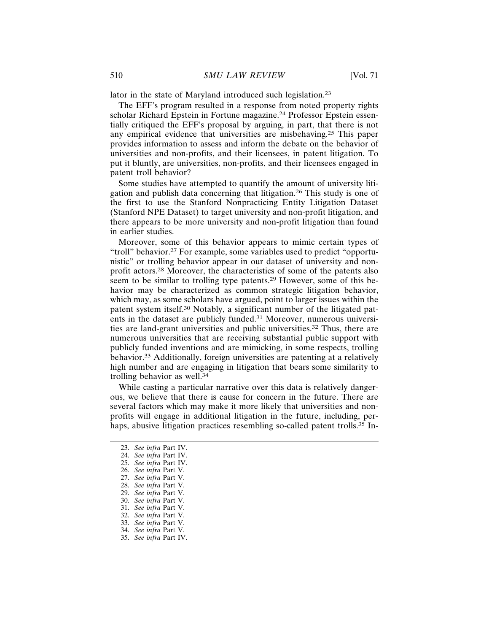lator in the state of Maryland introduced such legislation.<sup>23</sup>

The EFF's program resulted in a response from noted property rights scholar Richard Epstein in Fortune magazine.24 Professor Epstein essentially critiqued the EFF's proposal by arguing, in part, that there is not any empirical evidence that universities are misbehaving.25 This paper provides information to assess and inform the debate on the behavior of universities and non-profits, and their licensees, in patent litigation. To put it bluntly, are universities, non-profits, and their licensees engaged in patent troll behavior?

Some studies have attempted to quantify the amount of university litigation and publish data concerning that litigation.26 This study is one of the first to use the Stanford Nonpracticing Entity Litigation Dataset (Stanford NPE Dataset) to target university and non-profit litigation, and there appears to be more university and non-profit litigation than found in earlier studies.

Moreover, some of this behavior appears to mimic certain types of "troll" behavior.27 For example, some variables used to predict "opportunistic" or trolling behavior appear in our dataset of university and nonprofit actors.28 Moreover, the characteristics of some of the patents also seem to be similar to trolling type patents.29 However, some of this behavior may be characterized as common strategic litigation behavior, which may, as some scholars have argued, point to larger issues within the patent system itself.30 Notably, a significant number of the litigated patents in the dataset are publicly funded.31 Moreover, numerous universities are land-grant universities and public universities.32 Thus, there are numerous universities that are receiving substantial public support with publicly funded inventions and are mimicking, in some respects, trolling behavior.33 Additionally, foreign universities are patenting at a relatively high number and are engaging in litigation that bears some similarity to trolling behavior as well.<sup>34</sup>

While casting a particular narrative over this data is relatively dangerous, we believe that there is cause for concern in the future. There are several factors which may make it more likely that universities and nonprofits will engage in additional litigation in the future, including, perhaps, abusive litigation practices resembling so-called patent trolls.<sup>35</sup> In-

<sup>23.</sup> *See infra* Part IV.

<sup>24.</sup> *See infra* Part IV.

<sup>25.</sup> *See infra* Part IV.

<sup>26.</sup> *See infra* Part V. 27. *See infra* Part V.

<sup>28.</sup> *See infra* Part V.

<sup>29.</sup> *See infra* Part V.

<sup>30.</sup> *See infra* Part V.

<sup>31.</sup> *See infra* Part V.

<sup>32.</sup> *See infra* Part V.

<sup>33.</sup> *See infra* Part V.

<sup>34.</sup> *See infra* Part V.

<sup>35.</sup> *See infra* Part IV.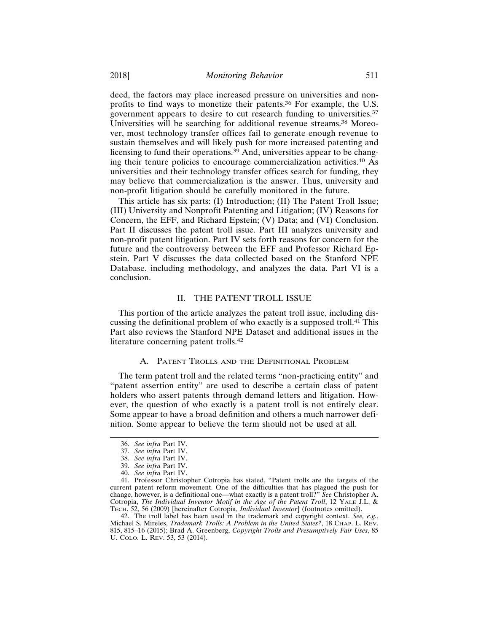deed, the factors may place increased pressure on universities and nonprofits to find ways to monetize their patents.36 For example, the U.S. government appears to desire to cut research funding to universities.<sup>37</sup> Universities will be searching for additional revenue streams.<sup>38</sup> Moreover, most technology transfer offices fail to generate enough revenue to sustain themselves and will likely push for more increased patenting and licensing to fund their operations.<sup>39</sup> And, universities appear to be changing their tenure policies to encourage commercialization activities.40 As universities and their technology transfer offices search for funding, they may believe that commercialization is the answer. Thus, university and non-profit litigation should be carefully monitored in the future.

This article has six parts: (I) Introduction; (II) The Patent Troll Issue; (III) University and Nonprofit Patenting and Litigation; (IV) Reasons for Concern, the EFF, and Richard Epstein; (V) Data; and (VI) Conclusion. Part II discusses the patent troll issue. Part III analyzes university and non-profit patent litigation. Part IV sets forth reasons for concern for the future and the controversy between the EFF and Professor Richard Epstein. Part V discusses the data collected based on the Stanford NPE Database, including methodology, and analyzes the data. Part VI is a conclusion.

#### II. THE PATENT TROLL ISSUE

This portion of the article analyzes the patent troll issue, including discussing the definitional problem of who exactly is a supposed troll.41 This Part also reviews the Stanford NPE Dataset and additional issues in the literature concerning patent trolls.<sup>42</sup>

#### A. PATENT TROLLS AND THE DEFINITIONAL PROBLEM

The term patent troll and the related terms "non-practicing entity" and "patent assertion entity" are used to describe a certain class of patent holders who assert patents through demand letters and litigation. However, the question of who exactly is a patent troll is not entirely clear. Some appear to have a broad definition and others a much narrower definition. Some appear to believe the term should not be used at all.

<sup>36.</sup> *See infra* Part IV.

<sup>37.</sup> *See infra* Part IV.

<sup>38.</sup> *See infra* Part IV.

<sup>39.</sup> *See infra* Part IV.

<sup>40.</sup> *See infra* Part IV.

<sup>41.</sup> Professor Christopher Cotropia has stated, "Patent trolls are the targets of the current patent reform movement. One of the difficulties that has plagued the push for change, however, is a definitional one—what exactly is a patent troll?" *See* Christopher A. Cotropia, *The Individual Inventor Motif in the Age of the Patent Troll*, 12 YALE J.L. & TECH. 52, 56 (2009) [hereinafter Cotropia, *Individual Inventor*] (footnotes omitted).

<sup>42.</sup> The troll label has been used in the trademark and copyright context. *See, e.g.*, Michael S. Mireles, *Trademark Trolls: A Problem in the United States?*, 18 CHAP. L. REV. 815, 815–16 (2015); Brad A. Greenberg, *Copyright Trolls and Presumptively Fair Uses*, 85 U. COLO. L. REV. 53, 53 (2014).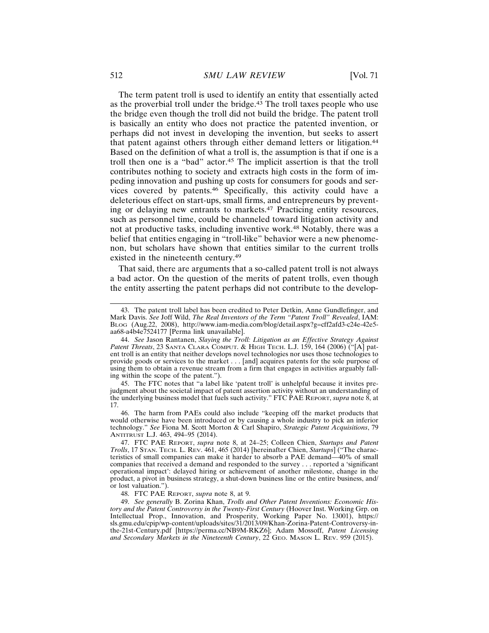The term patent troll is used to identify an entity that essentially acted as the proverbial troll under the bridge.<sup>43</sup> The troll taxes people who use the bridge even though the troll did not build the bridge. The patent troll is basically an entity who does not practice the patented invention, or perhaps did not invest in developing the invention, but seeks to assert that patent against others through either demand letters or litigation.<sup>44</sup> Based on the definition of what a troll is, the assumption is that if one is a troll then one is a "bad" actor.45 The implicit assertion is that the troll contributes nothing to society and extracts high costs in the form of impeding innovation and pushing up costs for consumers for goods and services covered by patents.46 Specifically, this activity could have a deleterious effect on start-ups, small firms, and entrepreneurs by preventing or delaying new entrants to markets.<sup>47</sup> Practicing entity resources, such as personnel time, could be channeled toward litigation activity and not at productive tasks, including inventive work.48 Notably, there was a belief that entities engaging in "troll-like" behavior were a new phenomenon, but scholars have shown that entities similar to the current trolls existed in the nineteenth century.<sup>49</sup>

That said, there are arguments that a so-called patent troll is not always a bad actor. On the question of the merits of patent trolls, even though the entity asserting the patent perhaps did not contribute to the develop-

45. The FTC notes that "a label like 'patent troll' is unhelpful because it invites prejudgment about the societal impact of patent assertion activity without an understanding of the underlying business model that fuels such activity." FTC PAE REPORT, *supra* note 8, at 17.

46. The harm from PAEs could also include "keeping off the market products that would otherwise have been introduced or by causing a whole industry to pick an inferior technology." *See* Fiona M. Scott Morton & Carl Shapiro, *Strategic Patent Acquisitions*, 79 ANTITRUST L.J. 463, 494–95 (2014).

47. FTC PAE REPORT, *supra* note 8, at 24–25; Colleen Chien, *Startups and Patent Trolls*, 17 STAN. TECH. L. REV. 461, 465 (2014) [hereinafter Chien, *Startups*] ("The characteristics of small companies can make it harder to absorb a PAE demand—40% of small companies that received a demand and responded to the survey . . . reported a 'significant operational impact': delayed hiring or achievement of another milestone, change in the product, a pivot in business strategy, a shut-down business line or the entire business, and/ or lost valuation.").

48. FTC PAE REPORT, *supra* note 8, at 9.

49. *See generally* B. Zorina Khan, *Trolls and Other Patent Inventions: Economic History and the Patent Controversy in the Twenty-First Century* (Hoover Inst. Working Grp. on Intellectual Prop., Innovation, and Prosperity, Working Paper No. 13001), https:// sls.gmu.edu/cpip/wp-content/uploads/sites/31/2013/09/Khan-Zorina-Patent-Controversy-inthe-21st-Century.pdf [https://perma.cc/NB9M-RKZ6]; Adam Mossoff, *Patent Licensing and Secondary Markets in the Nineteenth Century*, 22 GEO. MASON L. REV. 959 (2015).

<sup>43.</sup> The patent troll label has been credited to Peter Detkin, Anne Gundlefinger, and Mark Davis. *See* Joff Wild, *The Real Inventors of the Term "Patent Troll" Revealed*, IAM: BLOG (Aug.22, 2008), http://www.iam-media.com/blog/detail.aspx?g=cff2afd3-c24e-42e5 aa68-a4b4e7524177 [Perma link unavailable].

<sup>44.</sup> *See* Jason Rantanen, *Slaying the Troll: Litigation as an Effective Strategy Against Patent Threats*, 23 SANTA CLARA COMPUT. & HIGH TECH. L.J. 159, 164 (2006) ("[A] patent troll is an entity that neither develops novel technologies nor uses those technologies to provide goods or services to the market . . . [and] acquires patents for the sole purpose of using them to obtain a revenue stream from a firm that engages in activities arguably falling within the scope of the patent.").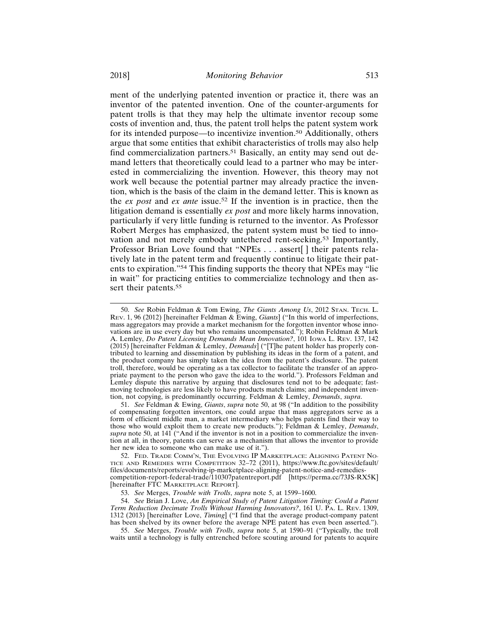ment of the underlying patented invention or practice it, there was an inventor of the patented invention. One of the counter-arguments for patent trolls is that they may help the ultimate inventor recoup some costs of invention and, thus, the patent troll helps the patent system work for its intended purpose—to incentivize invention.50 Additionally, others argue that some entities that exhibit characteristics of trolls may also help find commercialization partners.<sup>51</sup> Basically, an entity may send out demand letters that theoretically could lead to a partner who may be interested in commercializing the invention. However, this theory may not work well because the potential partner may already practice the invention, which is the basis of the claim in the demand letter. This is known as the *ex post* and *ex ante* issue.52 If the invention is in practice, then the litigation demand is essentially *ex post* and more likely harms innovation, particularly if very little funding is returned to the inventor. As Professor Robert Merges has emphasized, the patent system must be tied to innovation and not merely embody untethered rent-seeking.53 Importantly, Professor Brian Love found that "NPEs . . . assert | l their patents relatively late in the patent term and frequently continue to litigate their patents to expiration."54 This finding supports the theory that NPEs may "lie in wait" for practicing entities to commercialize technology and then assert their patents.<sup>55</sup>

<sup>50.</sup> *See* Robin Feldman & Tom Ewing, *The Giants Among Us*, 2012 STAN. TECH. L. REV. 1, 96 (2012) [hereinafter Feldman & Ewing, *Giants*] ("In this world of imperfections, mass aggregators may provide a market mechanism for the forgotten inventor whose innovations are in use every day but who remains uncompensated."); Robin Feldman & Mark A. Lemley, *Do Patent Licensing Demands Mean Innovation?*, 101 IOWA L. REV. 137, 142 (2015) [hereinafter Feldman & Lemley, *Demands*] ("[T]he patent holder has properly contributed to learning and dissemination by publishing its ideas in the form of a patent, and the product company has simply taken the idea from the patent's disclosure. The patent troll, therefore, would be operating as a tax collector to facilitate the transfer of an appropriate payment to the person who gave the idea to the world."). Professors Feldman and Lemley dispute this narrative by arguing that disclosures tend not to be adequate; fastmoving technologies are less likely to have products match claims; and independent invention, not copying, is predominantly occurring. Feldman & Lemley, *Demands*, *supra*.

<sup>51.</sup> *See* Feldman & Ewing, *Giants*, *supra* note 50, at 98 ("In addition to the possibility of compensating forgotten inventors, one could argue that mass aggregators serve as a form of efficient middle man, a market intermediary who helps patents find their way to those who would exploit them to create new products."); Feldman & Lemley, *Demands*, *supra* note 50, at 141 ("And if the inventor is not in a position to commercialize the invention at all, in theory, patents can serve as a mechanism that allows the inventor to provide her new idea to someone who can make use of it.").

<sup>52.</sup> FED. TRADE COMM'N, THE EVOLVING IP MARKETPLACE: ALIGNING PATENT NO-TICE AND REMEDIES WITH COMPETITION 32–72 (2011), https://www.ftc.gov/sites/default/ files/documents/reports/evolving-ip-marketplace-aligning-patent-notice-and-remediescompetition-report-federal-trade/110307patentreport.pdf [https://perma.cc/73JS-RX5K] [hereinafter FTC MARKETPLACE REPORT].

<sup>53.</sup> *See* Merges, *Trouble with Trolls*, *supra* note 5, at 1599–1600.

<sup>54.</sup> *See* Brian J. Love, *An Empirical Study of Patent Litigation Timing: Could a Patent Term Reduction Decimate Trolls Without Harming Innovators?*, 161 U. PA. L. REV. 1309, 1312 (2013) [hereinafter Love, *Timing*] ("I find that the average product-company patent has been shelved by its owner before the average NPE patent has even been asserted.").

<sup>55.</sup> *See* Merges, *Trouble with Trolls*, *supra* note 5, at 1590–91 ("Typically, the troll waits until a technology is fully entrenched before scouting around for patents to acquire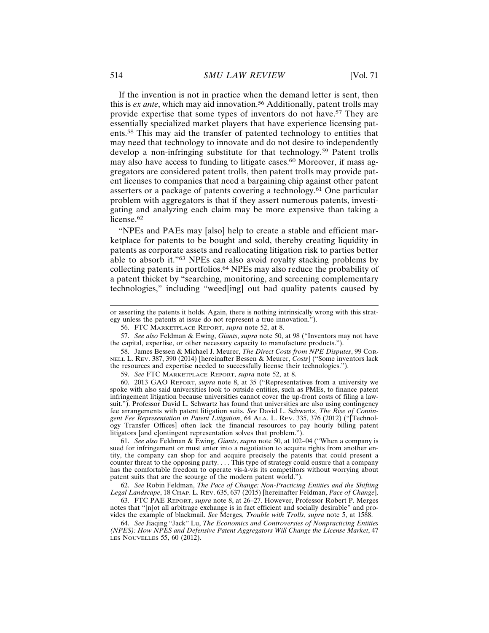If the invention is not in practice when the demand letter is sent, then this is *ex ante*, which may aid innovation.<sup>56</sup> Additionally, patent trolls may provide expertise that some types of inventors do not have.57 They are essentially specialized market players that have experience licensing patents.58 This may aid the transfer of patented technology to entities that may need that technology to innovate and do not desire to independently develop a non-infringing substitute for that technology.59 Patent trolls may also have access to funding to litigate cases.60 Moreover, if mass aggregators are considered patent trolls, then patent trolls may provide patent licenses to companies that need a bargaining chip against other patent asserters or a package of patents covering a technology.61 One particular problem with aggregators is that if they assert numerous patents, investigating and analyzing each claim may be more expensive than taking a license.<sup>62</sup>

"NPEs and PAEs may [also] help to create a stable and efficient marketplace for patents to be bought and sold, thereby creating liquidity in patents as corporate assets and reallocating litigation risk to parties better able to absorb it."<sup>63</sup> NPEs can also avoid royalty stacking problems by collecting patents in portfolios.64 NPEs may also reduce the probability of a patent thicket by "searching, monitoring, and screening complementary technologies," including "weed[ing] out bad quality patents caused by

62. *See* Robin Feldman, *The Pace of Change: Non-Practicing Entities and the Shifting Legal Landscape*, 18 CHAP. L. REV. 635, 637 (2015) [hereinafter Feldman, *Pace of Change*].

63. FTC PAE REPORT, *supra* note 8, at 26–27. However, Professor Robert P. Merges notes that "[n]ot all arbitrage exchange is in fact efficient and socially desirable" and provides the example of blackmail. *See* Merges, *Trouble with Trolls*, *supra* note 5, at 1588.

64. *See* Jiaqing "Jack" Lu, *The Economics and Controversies of Nonpracticing Entities (NPES): How NPES and Defensive Patent Aggregators Will Change the License Market*, 47 LES NOUVELLES 55, 60 (2012).

or asserting the patents it holds. Again, there is nothing intrinsically wrong with this strategy unless the patents at issue do not represent a true innovation.").

<sup>56.</sup> FTC MARKETPLACE REPORT, *supra* note 52, at 8.

<sup>57.</sup> *See also* Feldman & Ewing, *Giants*, *supra* note 50, at 98 ("Inventors may not have the capital, expertise, or other necessary capacity to manufacture products.").

<sup>58.</sup> James Bessen & Michael J. Meurer, *The Direct Costs from NPE Disputes*, 99 COR-NELL L. REV. 387, 390 (2014) [hereinafter Bessen & Meurer, *Costs*] ("Some inventors lack the resources and expertise needed to successfully license their technologies.").

<sup>59.</sup> *See* FTC MARKETPLACE REPORT, *supra* note 52, at 8.

<sup>60. 2013</sup> GAO REPORT, *supra* note 8, at 35 ("Representatives from a university we spoke with also said universities look to outside entities, such as PMEs, to finance patent infringement litigation because universities cannot cover the up-front costs of filing a lawsuit."). Professor David L. Schwartz has found that universities are also using contingency fee arrangements with patent litigation suits. *See* David L. Schwartz, *The Rise of Contingent Fee Representation in Patent Litigation*, 64 ALA. L. REV. 335, 376 (2012) ("[Technology Transfer Offices] often lack the financial resources to pay hourly billing patent litigators [and c]ontingent representation solves that problem.").

<sup>61.</sup> *See also* Feldman & Ewing, *Giants*, *supra* note 50, at 102–04 ("When a company is sued for infringement or must enter into a negotiation to acquire rights from another entity, the company can shop for and acquire precisely the patents that could present a counter threat to the opposing party. . . . This type of strategy could ensure that a company has the comfortable freedom to operate vis-à-vis its competitors without worrying about patent suits that are the scourge of the modern patent world.").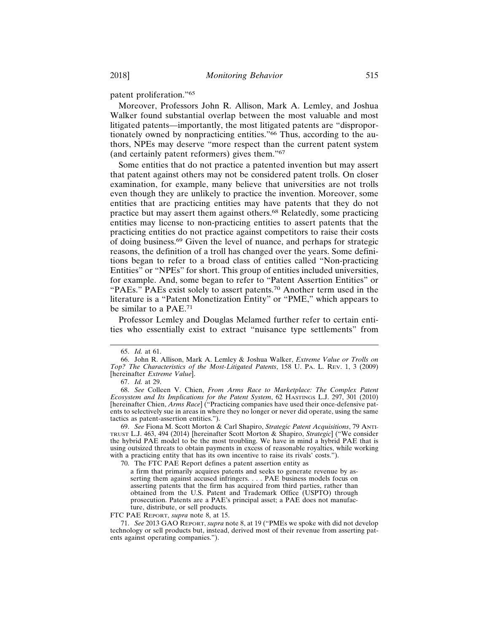patent proliferation."<sup>65</sup>

Moreover, Professors John R. Allison, Mark A. Lemley, and Joshua Walker found substantial overlap between the most valuable and most litigated patents—importantly, the most litigated patents are "disproportionately owned by nonpracticing entities."66 Thus, according to the authors, NPEs may deserve "more respect than the current patent system (and certainly patent reformers) gives them."<sup>67</sup>

Some entities that do not practice a patented invention but may assert that patent against others may not be considered patent trolls. On closer examination, for example, many believe that universities are not trolls even though they are unlikely to practice the invention. Moreover, some entities that are practicing entities may have patents that they do not practice but may assert them against others.68 Relatedly, some practicing entities may license to non-practicing entities to assert patents that the practicing entities do not practice against competitors to raise their costs of doing business.69 Given the level of nuance, and perhaps for strategic reasons, the definition of a troll has changed over the years. Some definitions began to refer to a broad class of entities called "Non-practicing Entities" or "NPEs" for short. This group of entities included universities, for example. And, some began to refer to "Patent Assertion Entities" or "PAEs." PAEs exist solely to assert patents.70 Another term used in the literature is a "Patent Monetization Entity" or "PME," which appears to be similar to a PAE.<sup>71</sup>

Professor Lemley and Douglas Melamed further refer to certain entities who essentially exist to extract "nuisance type settlements" from

70. The FTC PAE Report defines a patent assertion entity as

FTC PAE REPORT, *supra* note 8, at 15.

71. *See* 2013 GAO REPORT, *supra* note 8, at 19 ("PMEs we spoke with did not develop technology or sell products but, instead, derived most of their revenue from asserting patents against operating companies.").

<sup>65.</sup> *Id.* at 61.

<sup>66.</sup> John R. Allison, Mark A. Lemley & Joshua Walker, *Extreme Value or Trolls on Top? The Characteristics of the Most-Litigated Patents*, 158 U. PA. L. REV. 1, 3 (2009) [hereinafter *Extreme Value*].

<sup>67.</sup> *Id.* at 29.

<sup>68.</sup> *See* Colleen V. Chien, *From Arms Race to Marketplace: The Complex Patent Ecosystem and Its Implications for the Patent System*, 62 HASTINGS L.J. 297, 301 (2010) [hereinafter Chien, *Arms Race*] ("Practicing companies have used their once-defensive patents to selectively sue in areas in where they no longer or never did operate, using the same tactics as patent-assertion entities.").

<sup>69.</sup> *See* Fiona M. Scott Morton & Carl Shapiro, *Strategic Patent Acquisitions*, 79 ANTI-TRUST L.J. 463, 494 (2014) [hereinafter Scott Morton & Shapiro, *Strategic*] ("We consider the hybrid PAE model to be the most troubling. We have in mind a hybrid PAE that is using outsized threats to obtain payments in excess of reasonable royalties, while working with a practicing entity that has its own incentive to raise its rivals' costs.").

a firm that primarily acquires patents and seeks to generate revenue by asserting them against accused infringers. . . . PAE business models focus on asserting patents that the firm has acquired from third parties, rather than obtained from the U.S. Patent and Trademark Office (USPTO) through prosecution. Patents are a PAE's principal asset; a PAE does not manufacture, distribute, or sell products.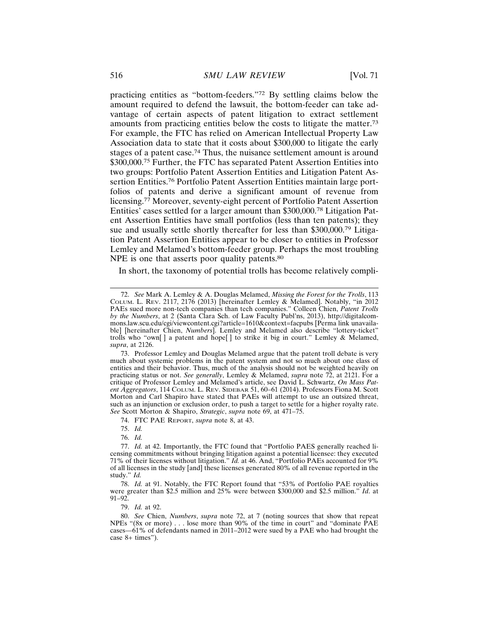practicing entities as "bottom-feeders."72 By settling claims below the amount required to defend the lawsuit, the bottom-feeder can take advantage of certain aspects of patent litigation to extract settlement amounts from practicing entities below the costs to litigate the matter.<sup>73</sup> For example, the FTC has relied on American Intellectual Property Law Association data to state that it costs about \$300,000 to litigate the early stages of a patent case.74 Thus, the nuisance settlement amount is around \$300,000.75 Further, the FTC has separated Patent Assertion Entities into two groups: Portfolio Patent Assertion Entities and Litigation Patent Assertion Entities.76 Portfolio Patent Assertion Entities maintain large portfolios of patents and derive a significant amount of revenue from licensing.77 Moreover, seventy-eight percent of Portfolio Patent Assertion Entities' cases settled for a larger amount than \$300,000.78 Litigation Patent Assertion Entities have small portfolios (less than ten patents); they sue and usually settle shortly thereafter for less than \$300,000.79 Litigation Patent Assertion Entities appear to be closer to entities in Professor Lemley and Melamed's bottom-feeder group. Perhaps the most troubling NPE is one that asserts poor quality patents.<sup>80</sup>

In short, the taxonomy of potential trolls has become relatively compli-

74. FTC PAE REPORT, *supra* note 8, at 43.

75. *Id.*

76. *Id.*

79. *Id.* at 92.

80. *See* Chien, *Numbers*, *supra* note 72, at 7 (noting sources that show that repeat NPEs "(8x or more) . . . lose more than 90% of the time in court" and "dominate PAE cases—61% of defendants named in 2011–2012 were sued by a PAE who had brought the case 8+ times").

<sup>72.</sup> *See* Mark A. Lemley & A. Douglas Melamed, *Missing the Forest for the Trolls*, 113 COLUM. L. REV. 2117, 2176 (2013) [hereinafter Lemley & Melamed]. Notably, "in 2012 PAEs sued more non-tech companies than tech companies." Colleen Chien, *Patent Trolls by the Numbers*, at 2 (Santa Clara Sch. of Law Faculty Publ'ns, 2013), http://digitalcommons.law.scu.edu/cgi/viewcontent.cgi?article=1610&context=facpubs [Perma link unavailable] [hereinafter Chien, *Numbers*]. Lemley and Melamed also describe "lottery-ticket" trolls who "own[ ] a patent and hope[ ] to strike it big in court." Lemley & Melamed, *supra*, at 2126.

<sup>73.</sup> Professor Lemley and Douglas Melamed argue that the patent troll debate is very much about systemic problems in the patent system and not so much about one class of entities and their behavior. Thus, much of the analysis should not be weighted heavily on practicing status or not. *See generally*, Lemley & Melamed, *supra* note 72, at 2121. For a critique of Professor Lemley and Melamed's article, see David L. Schwartz, *On Mass Patent Aggregators*, 114 COLUM. L. REV. SIDEBAR 51, 60–61 (2014). Professors Fiona M. Scott Morton and Carl Shapiro have stated that PAEs will attempt to use an outsized threat, such as an injunction or exclusion order, to push a target to settle for a higher royalty rate. *See* Scott Morton & Shapiro, *Strategic*, *supra* note 69, at 471–75.

<sup>77.</sup> *Id.* at 42. Importantly, the FTC found that "Portfolio PAES generally reached licensing commitments without bringing litigation against a potential licensee: they executed 71% of their licenses without litigation." *Id.* at 46. And, "Portfolio PAEs accounted for 9% of all licenses in the study [and] these licenses generated 80% of all revenue reported in the study." *Id.*

<sup>78.</sup> *Id.* at 91. Notably, the FTC Report found that "53% of Portfolio PAE royalties were greater than \$2.5 million and 25% were between \$300,000 and \$2.5 million." *Id*. at 91–92.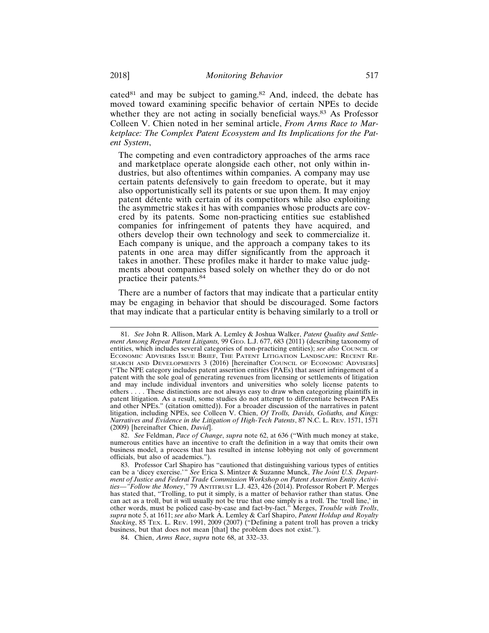cated<sup>81</sup> and may be subject to gaming.<sup>82</sup> And, indeed, the debate has moved toward examining specific behavior of certain NPEs to decide whether they are not acting in socially beneficial ways.<sup>83</sup> As Professor Colleen V. Chien noted in her seminal article, *From Arms Race to Marketplace: The Complex Patent Ecosystem and Its Implications for the Patent System*,

The competing and even contradictory approaches of the arms race and marketplace operate alongside each other, not only within industries, but also oftentimes within companies. A company may use certain patents defensively to gain freedom to operate, but it may also opportunistically sell its patents or sue upon them. It may enjoy patent détente with certain of its competitors while also exploiting the asymmetric stakes it has with companies whose products are covered by its patents. Some non-practicing entities sue established companies for infringement of patents they have acquired, and others develop their own technology and seek to commercialize it. Each company is unique, and the approach a company takes to its patents in one area may differ significantly from the approach it takes in another. These profiles make it harder to make value judgments about companies based solely on whether they do or do not practice their patents.<sup>84</sup>

There are a number of factors that may indicate that a particular entity may be engaging in behavior that should be discouraged. Some factors that may indicate that a particular entity is behaving similarly to a troll or

<sup>81.</sup> *See* John R. Allison, Mark A. Lemley & Joshua Walker, *Patent Quality and Settlement Among Repeat Patent Litigants,* 99 GEO. L.J. 677, 683 (2011) (describing taxonomy of entities, which includes several categories of non-practicing entities); *see also* COUNCIL OF ECONOMIC ADVISERS ISSUE BRIEF, THE PATENT LITIGATION LANDSCAPE: RECENT RE-SEARCH AND DEVELOPMENTS 3 (2016) [hereinafter COUNCIL OF ECONOMIC ADVISERS] ("The NPE category includes patent assertion entities (PAEs) that assert infringement of a patent with the sole goal of generating revenues from licensing or settlements of litigation and may include individual inventors and universities who solely license patents to others . . . . These distinctions are not always easy to draw when categorizing plaintiffs in patent litigation. As a result, some studies do not attempt to differentiate between PAEs and other NPEs." (citation omitted)). For a broader discussion of the narratives in patent litigation, including NPEs, see Colleen V. Chien, *Of Trolls, Davids, Goliaths, and Kings: Narratives and Evidence in the Litigation of High-Tech Patents*, 87 N.C. L. REV. 1571, 1571 (2009) [hereinafter Chien, *David*].

<sup>82.</sup> *See* Feldman, *Pace of Change*, *supra* note 62, at 636 ("With much money at stake, numerous entities have an incentive to craft the definition in a way that omits their own business model, a process that has resulted in intense lobbying not only of government officials, but also of academics.").

<sup>83.</sup> Professor Carl Shapiro has "cautioned that distinguishing various types of entities can be a 'dicey exercise.'" *See* Erica S. Mintzer & Suzanne Munck, *The Joint U.S. Department of Justice and Federal Trade Commission Workshop on Patent Assertion Entity Activities—"Follow the Money*,*"* 79 ANTITRUST L.J. 423, 426 (2014). Professor Robert P. Merges has stated that, "Trolling, to put it simply, is a matter of behavior rather than status. One can act as a troll, but it will usually not be true that one simply is a troll. The 'troll line,' in other words, must be policed case-by-case and fact-by-fact." Merges, *Trouble with Trolls*, *supra* note 5, at 1611; *see also* Mark A. Lemley & Carl Shapiro, *Patent Holdup and Royalty Stacking*, 85 TEX. L. REV. 1991, 2009 (2007) ("Defining a patent troll has proven a tricky business, but that does not mean [that] the problem does not exist.").

<sup>84.</sup> Chien, *Arms Race*, *supra* note 68, at 332–33.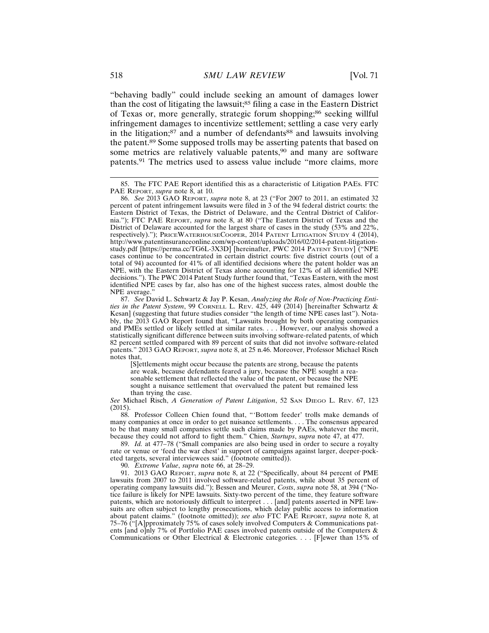"behaving badly" could include seeking an amount of damages lower than the cost of litigating the lawsuit;85 filing a case in the Eastern District of Texas or, more generally, strategic forum shopping;<sup>86</sup> seeking willful infringement damages to incentivize settlement; settling a case very early in the litigation;<sup>87</sup> and a number of defendants<sup>88</sup> and lawsuits involving the patent.89 Some supposed trolls may be asserting patents that based on some metrics are relatively valuable patents,<sup>90</sup> and many are software patents.91 The metrics used to assess value include "more claims, more

[S]ettlements might occur because the patents are strong, because the patents are weak, because defendants feared a jury, because the NPE sought a reasonable settlement that reflected the value of the patent, or because the NPE sought a nuisance settlement that overvalued the patent but remained less than trying the case.

*See* Michael Risch, *A Generation of Patent Litigation*, 52 SAN DIEGO L. REV. 67, 123 (2015).

88. Professor Colleen Chien found that, "'Bottom feeder' trolls make demands of many companies at once in order to get nuisance settlements. . . . The consensus appeared to be that many small companies settle such claims made by PAEs, whatever the merit, because they could not afford to fight them." Chien, *Startups*, *supra* note 47, at 477.

89. *Id.* at 477–78 ("Small companies are also being used in order to secure a royalty rate or venue or 'feed the war chest' in support of campaigns against larger, deeper-pocketed targets, several interviewees said." (footnote omitted)).

90. *Extreme Value*, *supra* note 66, at 28–29.

91. 2013 GAO REPORT, *supra* note 8, at 22 ("Specifically, about 84 percent of PME lawsuits from 2007 to 2011 involved software-related patents, while about 35 percent of operating company lawsuits did."); Bessen and Meurer, *Costs*, *supra* note 58, at 394 ("Notice failure is likely for NPE lawsuits. Sixty-two percent of the time, they feature software patents, which are notoriously difficult to interpret . . . [and] patents asserted in NPE lawsuits are often subject to lengthy prosecutions, which delay public access to information about patent claims." (footnote omitted)); *see also* FTC PAE REPORT, *supra* note 8, at 75–76 ("[A]pproximately 75% of cases solely involved Computers & Communications patents [and o]nly 7% of Portfolio PAE cases involved patents outside of the Computers & Communications or Other Electrical & Electronic categories. . . . [F]ewer than 15% of

<sup>85.</sup> The FTC PAE Report identified this as a characteristic of Litigation PAEs. FTC PAE REPORT, *supra* note 8, at 10.

<sup>86.</sup> *See* 2013 GAO REPORT, *supra* note 8, at 23 ("For 2007 to 2011, an estimated 32 percent of patent infringement lawsuits were filed in 3 of the 94 federal district courts: the Eastern District of Texas, the District of Delaware, and the Central District of California."); FTC PAE REPORT, *supra* note 8, at 80 ("The Eastern District of Texas and the District of Delaware accounted for the largest share of cases in the study (53% and 22%, respectively)."); PRICEWATERHOUSECOOPER, 2014 PATENT LITIGATION STUDY 4 (2014), http://www.patentinsuranceonline.com/wp-content/uploads/2016/02/2014-patent-litigationstudy.pdf [https://perma.cc/TG6L-3X3D] [hereinafter, PWC 2014 PATENT STUDY] ("NPE cases continue to be concentrated in certain district courts: five district courts (out of a total of 94) accounted for 41% of all identified decisions where the patent holder was an NPE, with the Eastern District of Texas alone accounting for 12% of all identified NPE decisions."). The PWC 2014 Patent Study further found that, "Texas Eastern, with the most identified NPE cases by far, also has one of the highest success rates, almost double the NPE average."

<sup>87.</sup> *See* David L. Schwartz & Jay P. Kesan, *Analyzing the Role of Non-Practicing Entities in the Patent System*, 99 CORNELL L. REV. 425, 449 (2014) [hereinafter Schwartz & Kesan] (suggesting that future studies consider "the length of time NPE cases last"). Notably, the 2013 GAO Report found that, "Lawsuits brought by both operating companies and PMEs settled or likely settled at similar rates. . . . However, our analysis showed a statistically significant difference between suits involving software-related patents, of which 82 percent settled compared with 89 percent of suits that did not involve software-related patents." 2013 GAO REPORT, *supra* note 8, at 25 n.46. Moreover, Professor Michael Risch notes that,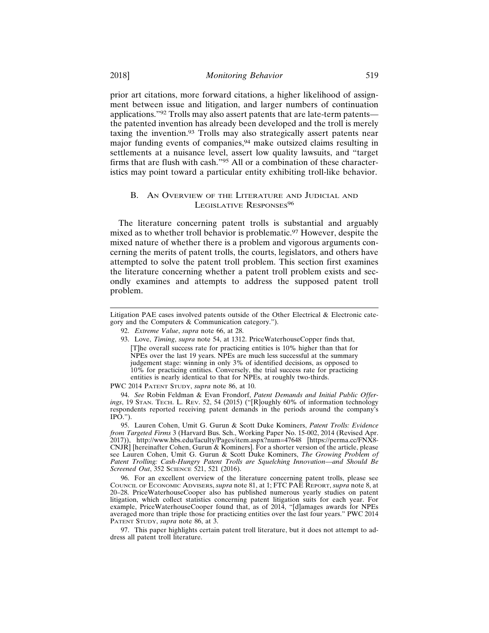prior art citations, more forward citations, a higher likelihood of assignment between issue and litigation, and larger numbers of continuation applications."92 Trolls may also assert patents that are late-term patents the patented invention has already been developed and the troll is merely taxing the invention.93 Trolls may also strategically assert patents near major funding events of companies,94 make outsized claims resulting in settlements at a nuisance level, assert low quality lawsuits, and "target firms that are flush with cash."95 All or a combination of these characteristics may point toward a particular entity exhibiting troll-like behavior.

#### B. AN OVERVIEW OF THE LITERATURE AND JUDICIAL AND LEGISLATIVE RESPONSES<sup>96</sup>

The literature concerning patent trolls is substantial and arguably mixed as to whether troll behavior is problematic.97 However, despite the mixed nature of whether there is a problem and vigorous arguments concerning the merits of patent trolls, the courts, legislators, and others have attempted to solve the patent troll problem. This section first examines the literature concerning whether a patent troll problem exists and secondly examines and attempts to address the supposed patent troll problem.

94. *See* Robin Feldman & Evan Frondorf, *Patent Demands and Initial Public Offerings*, 19 STAN. TECH. L. REV. 52, 54 (2015) ("[R]oughly 60% of information technology respondents reported receiving patent demands in the periods around the company's  $IPO."$ ).

95. Lauren Cohen, Umit G. Gurun & Scott Duke Kominers, *Patent Trolls: Evidence from Targeted Firms* 3 (Harvard Bus. Sch., Working Paper No. 15-002, 2014 (Revised Apr. 2017)), http://www.hbs.edu/faculty/Pages/item.aspx?num=47648 [https://perma.cc/FNX8- CNJR] [hereinafter Cohen, Gurun & Kominers]. For a shorter version of the article, please see Lauren Cohen, Umit G. Gurun & Scott Duke Kominers, *The Growing Problem of Patent Trolling: Cash-Hungry Patent Trolls are Squelching Innovation—and Should Be Screened Out*, 352 SCIENCE 521, 521 (2016).

96. For an excellent overview of the literature concerning patent trolls, please see COUNCIL OF ECONOMIC ADVISERS, *supra* note 81, at 1; FTC PAE REPORT, *supra* note 8, at 20–28. PriceWaterhouseCooper also has published numerous yearly studies on patent litigation, which collect statistics concerning patent litigation suits for each year. For example, PriceWaterhouseCooper found that, as of 2014, "[d]amages awards for NPEs averaged more than triple those for practicing entities over the last four years." PWC 2014 PATENT STUDY, *supra* note 86, at 3.

97. This paper highlights certain patent troll literature, but it does not attempt to address all patent troll literature.

Litigation PAE cases involved patents outside of the Other Electrical  $\&$  Electronic category and the Computers & Communication category.").

<sup>92.</sup> *Extreme Value*, *supra* note 66, at 28.

<sup>93.</sup> Love, *Timing*, *supra* note 54, at 1312. PriceWaterhouseCopper finds that, [T]he overall success rate for practicing entities is 10% higher than that for NPEs over the last 19 years. NPEs are much less successful at the summary judgement stage: winning in only 3% of identified decisions, as opposed to 10% for practicing entities. Conversely, the trial success rate for practicing entities is nearly identical to that for NPEs, at roughly two-thirds.

PWC 2014 PATENT STUDY, *supra* note 86, at 10.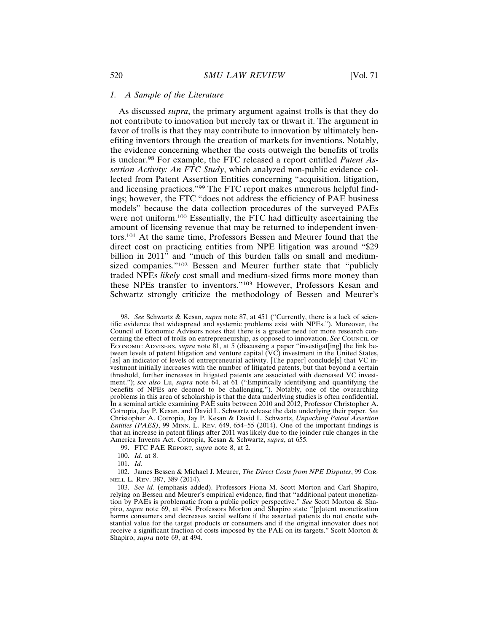#### *1. A Sample of the Literature*

As discussed *supra*, the primary argument against trolls is that they do not contribute to innovation but merely tax or thwart it. The argument in favor of trolls is that they may contribute to innovation by ultimately benefiting inventors through the creation of markets for inventions. Notably, the evidence concerning whether the costs outweigh the benefits of trolls is unclear.98 For example, the FTC released a report entitled *Patent Assertion Activity: An FTC Study*, which analyzed non-public evidence collected from Patent Assertion Entities concerning "acquisition, litigation, and licensing practices."99 The FTC report makes numerous helpful findings; however, the FTC "does not address the efficiency of PAE business models" because the data collection procedures of the surveyed PAEs were not uniform.100 Essentially, the FTC had difficulty ascertaining the amount of licensing revenue that may be returned to independent inventors.101 At the same time, Professors Bessen and Meurer found that the direct cost on practicing entities from NPE litigation was around "\$29 billion in 2011" and "much of this burden falls on small and mediumsized companies."102 Bessen and Meurer further state that "publicly traded NPEs *likely* cost small and medium-sized firms more money than these NPEs transfer to inventors."103 However, Professors Kesan and Schwartz strongly criticize the methodology of Bessen and Meurer's

101. *Id.*

<sup>98.</sup> *See* Schwartz & Kesan, *supra* note 87, at 451 ("Currently, there is a lack of scientific evidence that widespread and systemic problems exist with NPEs."). Moreover, the Council of Economic Advisors notes that there is a greater need for more research concerning the effect of trolls on entrepreneurship, as opposed to innovation. *See* COUNCIL OF ECONOMIC ADVISERS, *supra* note 81, at 5 (discussing a paper "investigat[ing] the link between levels of patent litigation and venture capital (VC) investment in the United States, [as] an indicator of levels of entrepreneurial activity. [The paper] conclude[s] that VC investment initially increases with the number of litigated patents, but that beyond a certain threshold, further increases in litigated patents are associated with decreased VC investment."); *see also* Lu, *supra* note 64, at 61 ("Empirically identifying and quantifying the benefits of NPEs are deemed to be challenging."). Notably, one of the overarching problems in this area of scholarship is that the data underlying studies is often confidential. In a seminal article examining PAE suits between 2010 and 2012, Professor Christopher A. Cotropia, Jay P. Kesan, and David L. Schwartz release the data underlying their paper. *See* Christopher A. Cotropia, Jay P. Kesan & David L. Schwartz, *Unpacking Patent Assertion Entities (PAES)*, 99 MINN. L. REV. 649, 654–55 (2014). One of the important findings is that an increase in patent filings after 2011 was likely due to the joinder rule changes in the America Invents Act. Cotropia, Kesan & Schwartz, *supra*, at 655.

<sup>99.</sup> FTC PAE REPORT, *supra* note 8, at 2.

<sup>100.</sup> *Id.* at 8.

<sup>102.</sup> James Bessen & Michael J. Meurer, *The Direct Costs from NPE Disputes*, 99 COR-NELL L. REV. 387, 389 (2014).

<sup>103.</sup> *See id.* (emphasis added). Professors Fiona M. Scott Morton and Carl Shapiro, relying on Bessen and Meurer's empirical evidence, find that "additional patent monetization by PAEs is problematic from a public policy perspective." *See* Scott Morton & Shapiro, *supra* note 69, at 494. Professors Morton and Shapiro state "[p]atent monetization harms consumers and decreases social welfare if the asserted patents do not create substantial value for the target products or consumers and if the original innovator does not receive a significant fraction of costs imposed by the PAE on its targets." Scott Morton & Shapiro, *supra* note 69, at 494.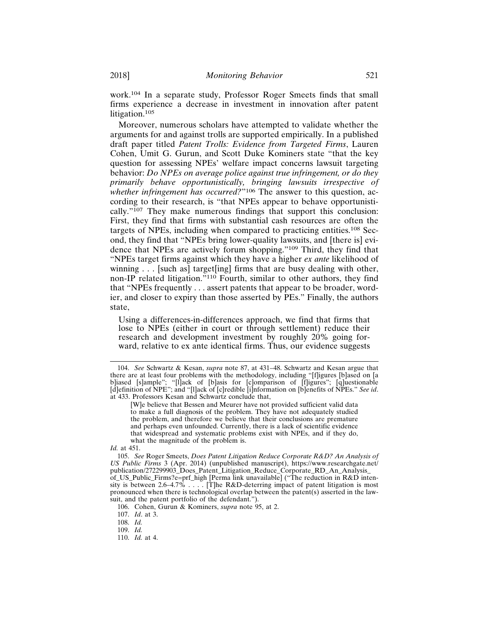work.104 In a separate study, Professor Roger Smeets finds that small firms experience a decrease in investment in innovation after patent litigation.<sup>105</sup>

Moreover, numerous scholars have attempted to validate whether the arguments for and against trolls are supported empirically. In a published draft paper titled *Patent Trolls: Evidence from Targeted Firms*, Lauren Cohen, Umit G. Gurun, and Scott Duke Kominers state "that the key question for assessing NPEs' welfare impact concerns lawsuit targeting behavior: *Do NPEs on average police against true infringement, or do they primarily behave opportunistically, bringing lawsuits irrespective of whether infringement has occurred?*"<sup>106</sup> The answer to this question, according to their research, is "that NPEs appear to behave opportunistically."107 They make numerous findings that support this conclusion: First, they find that firms with substantial cash resources are often the targets of NPEs, including when compared to practicing entities.108 Second, they find that "NPEs bring lower-quality lawsuits, and [there is] evidence that NPEs are actively forum shopping."109 Third, they find that "NPEs target firms against which they have a higher *ex ante* likelihood of winning . . . [such as] target[ing] firms that are busy dealing with other, non-IP related litigation."110 Fourth, similar to other authors, they find that "NPEs frequently . . . assert patents that appear to be broader, wordier, and closer to expiry than those asserted by PEs." Finally, the authors state,

Using a differences-in-differences approach, we find that firms that lose to NPEs (either in court or through settlement) reduce their research and development investment by roughly 20% going forward, relative to ex ante identical firms. Thus, our evidence suggests

106. Cohen, Gurun & Kominers, *supra* note 95, at 2.

108. *Id.*

109. *Id.*

<sup>104.</sup> *See* Schwartz & Kesan, *supra* note 87, at 431–48. Schwartz and Kesan argue that there are at least four problems with the methodology, including "[f]igures [b]ased on [a b]iased [s]ample"; "[l]ack of [b]asis for [c]omparison of [f]igures"; [q]uestionable [d]efinition of NPE"; and "[l]ack of [c]redible [i]nformation on [b]enefits of NPEs." *See id*. at 433. Professors Kesan and Schwartz conclude that,

<sup>[</sup>W]e believe that Bessen and Meurer have not provided sufficient valid data to make a full diagnosis of the problem. They have not adequately studied the problem, and therefore we believe that their conclusions are premature and perhaps even unfounded. Currently, there is a lack of scientific evidence that widespread and systematic problems exist with NPEs, and if they do, what the magnitude of the problem is.

*Id.* at 451.

<sup>105.</sup> *See* Roger Smeets, *Does Patent Litigation Reduce Corporate R&D? An Analysis of US Public Firms* 3 (Apr. 2014) (unpublished manuscript), https://www.researchgate.net/ publication/272299903\_Does\_Patent\_Litigation\_Reduce\_Corporate\_RD\_An\_Analysis\_ of\_US\_Public\_Firms?e=prf\_high [Perma link unavailable] ("The reduction in R&D intensity is between 2.6–4.7% . . . . [T]he R&D-deterring impact of patent litigation is most pronounced when there is technological overlap between the patent(s) asserted in the lawsuit, and the patent portfolio of the defendant.").

<sup>107.</sup> *Id*. at 3.

<sup>110.</sup> *Id.* at 4.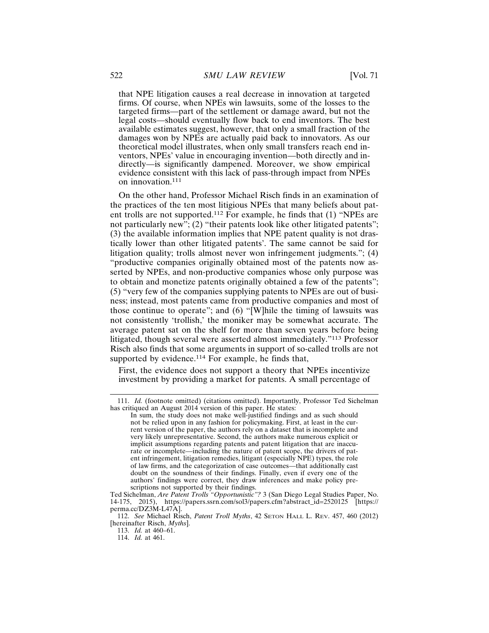that NPE litigation causes a real decrease in innovation at targeted firms. Of course, when NPEs win lawsuits, some of the losses to the targeted firms—part of the settlement or damage award, but not the legal costs—should eventually flow back to end inventors. The best available estimates suggest, however, that only a small fraction of the damages won by NPEs are actually paid back to innovators. As our theoretical model illustrates, when only small transfers reach end inventors, NPEs' value in encouraging invention—both directly and indirectly—is significantly dampened. Moreover, we show empirical evidence consistent with this lack of pass-through impact from NPEs on innovation.<sup>111</sup>

On the other hand, Professor Michael Risch finds in an examination of the practices of the ten most litigious NPEs that many beliefs about patent trolls are not supported.112 For example, he finds that (1) "NPEs are not particularly new"; (2) "their patents look like other litigated patents"; (3) the available information implies that NPE patent quality is not drastically lower than other litigated patents'. The same cannot be said for litigation quality; trolls almost never won infringement judgments."; (4) "productive companies originally obtained most of the patents now asserted by NPEs, and non-productive companies whose only purpose was to obtain and monetize patents originally obtained a few of the patents"; (5) "very few of the companies supplying patents to NPEs are out of business; instead, most patents came from productive companies and most of those continue to operate"; and (6) "[W]hile the timing of lawsuits was not consistently 'trollish,' the moniker may be somewhat accurate. The average patent sat on the shelf for more than seven years before being litigated, though several were asserted almost immediately."113 Professor Risch also finds that some arguments in support of so-called trolls are not supported by evidence.<sup>114</sup> For example, he finds that,

First, the evidence does not support a theory that NPEs incentivize investment by providing a market for patents. A small percentage of

<sup>111.</sup> *Id.* (footnote omitted) (citations omitted). Importantly, Professor Ted Sichelman has critiqued an August 2014 version of this paper. He states:

In sum, the study does not make well-justified findings and as such should not be relied upon in any fashion for policymaking. First, at least in the current version of the paper, the authors rely on a dataset that is incomplete and very likely unrepresentative. Second, the authors make numerous explicit or implicit assumptions regarding patents and patent litigation that are inaccurate or incomplete—including the nature of patent scope, the drivers of patent infringement, litigation remedies, litigant (especially NPE) types, the role of law firms, and the categorization of case outcomes—that additionally cast doubt on the soundness of their findings. Finally, even if every one of the authors' findings were correct, they draw inferences and make policy prescriptions not supported by their findings.

Ted Sichelman, *Are Patent Trolls "Opportunistic"?* 3 (San Diego Legal Studies Paper, No. 14-175, 2015), https://papers.ssrn.com/sol3/papers.cfm?abstract\_id=2520125 [https:// perma.cc/DZ3M-L47A].

<sup>112.</sup> *See* Michael Risch, *Patent Troll Myths*, 42 SETON HALL L. REV. 457, 460 (2012) [hereinafter Risch, *Myths*].

<sup>113.</sup> *Id.* at 460–61.

<sup>114.</sup> *Id.* at 461.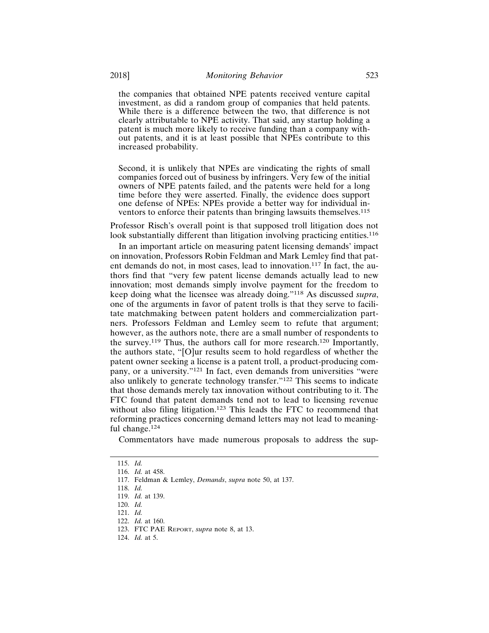the companies that obtained NPE patents received venture capital investment, as did a random group of companies that held patents. While there is a difference between the two, that difference is not clearly attributable to NPE activity. That said, any startup holding a patent is much more likely to receive funding than a company without patents, and it is at least possible that NPEs contribute to this increased probability.

Second, it is unlikely that NPEs are vindicating the rights of small companies forced out of business by infringers. Very few of the initial owners of NPE patents failed, and the patents were held for a long time before they were asserted. Finally, the evidence does support one defense of NPEs: NPEs provide a better way for individual inventors to enforce their patents than bringing lawsuits themselves.<sup>115</sup>

Professor Risch's overall point is that supposed troll litigation does not look substantially different than litigation involving practicing entities.<sup>116</sup>

In an important article on measuring patent licensing demands' impact on innovation, Professors Robin Feldman and Mark Lemley find that patent demands do not, in most cases, lead to innovation.117 In fact, the authors find that "very few patent license demands actually lead to new innovation; most demands simply involve payment for the freedom to keep doing what the licensee was already doing."118 As discussed *supra*, one of the arguments in favor of patent trolls is that they serve to facilitate matchmaking between patent holders and commercialization partners. Professors Feldman and Lemley seem to refute that argument; however, as the authors note, there are a small number of respondents to the survey.119 Thus, the authors call for more research.120 Importantly, the authors state, "[O]ur results seem to hold regardless of whether the patent owner seeking a license is a patent troll, a product-producing company, or a university."121 In fact, even demands from universities "were also unlikely to generate technology transfer."122 This seems to indicate that those demands merely tax innovation without contributing to it. The FTC found that patent demands tend not to lead to licensing revenue without also filing litigation.<sup>123</sup> This leads the FTC to recommend that reforming practices concerning demand letters may not lead to meaningful change.<sup>124</sup>

Commentators have made numerous proposals to address the sup-

<sup>115.</sup> *Id.*

<sup>116.</sup> *Id.* at 458.

<sup>117.</sup> Feldman & Lemley, *Demands*, *supra* note 50, at 137.

<sup>118.</sup> *Id.*

<sup>119.</sup> *Id.* at 139.

<sup>120.</sup> *Id.*

<sup>121.</sup> *Id.*

<sup>122.</sup> *Id.* at 160.

<sup>123.</sup> FTC PAE REPORT, *supra* note 8, at 13.

<sup>124.</sup> *Id.* at 5.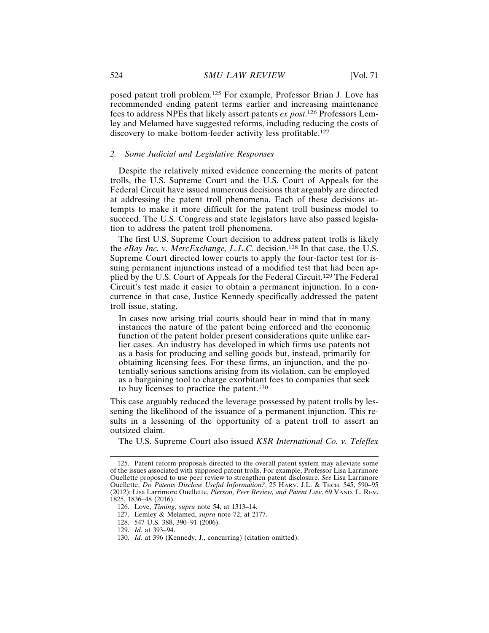posed patent troll problem.125 For example, Professor Brian J. Love has recommended ending patent terms earlier and increasing maintenance fees to address NPEs that likely assert patents *ex post*. 126 Professors Lemley and Melamed have suggested reforms, including reducing the costs of discovery to make bottom-feeder activity less profitable.<sup>127</sup>

#### *2. Some Judicial and Legislative Responses*

Despite the relatively mixed evidence concerning the merits of patent trolls, the U.S. Supreme Court and the U.S. Court of Appeals for the Federal Circuit have issued numerous decisions that arguably are directed at addressing the patent troll phenomena. Each of these decisions attempts to make it more difficult for the patent troll business model to succeed. The U.S. Congress and state legislators have also passed legislation to address the patent troll phenomena.

The first U.S. Supreme Court decision to address patent trolls is likely the *eBay Inc. v. MercExchange, L.L.C.* decision.128 In that case, the U.S. Supreme Court directed lower courts to apply the four-factor test for issuing permanent injunctions instead of a modified test that had been applied by the U.S. Court of Appeals for the Federal Circuit.129 The Federal Circuit's test made it easier to obtain a permanent injunction. In a concurrence in that case, Justice Kennedy specifically addressed the patent troll issue, stating,

In cases now arising trial courts should bear in mind that in many instances the nature of the patent being enforced and the economic function of the patent holder present considerations quite unlike earlier cases. An industry has developed in which firms use patents not as a basis for producing and selling goods but, instead, primarily for obtaining licensing fees. For these firms, an injunction, and the potentially serious sanctions arising from its violation, can be employed as a bargaining tool to charge exorbitant fees to companies that seek to buy licenses to practice the patent.<sup>130</sup>

This case arguably reduced the leverage possessed by patent trolls by lessening the likelihood of the issuance of a permanent injunction. This results in a lessening of the opportunity of a patent troll to assert an outsized claim.

The U.S. Supreme Court also issued *KSR International Co. v. Teleflex*

<sup>125.</sup> Patent reform proposals directed to the overall patent system may alleviate some of the issues associated with supposed patent trolls. For example, Professor Lisa Larrimore Ouellette proposed to use peer review to strengthen patent disclosure. *See* Lisa Larrimore Ouellette, *Do Patents Disclose Useful Information?*, 25 HARV. J.L. & TECH. 545, 590–95 (2012); Lisa Larrimore Ouellette, *Pierson, Peer Review, and Patent Law*, 69 VAND. L. REV. 1825, 1836–48 (2016).

<sup>126.</sup> Love, *Timing*, *supra* note 54, at 1313–14.

<sup>127.</sup> Lemley & Melamed, *supra* note 72, at 2177.

<sup>128. 547</sup> U.S. 388, 390–91 (2006).

<sup>129.</sup> *Id.* at 393–94.

<sup>130.</sup> *Id.* at 396 (Kennedy, J., concurring) (citation omitted).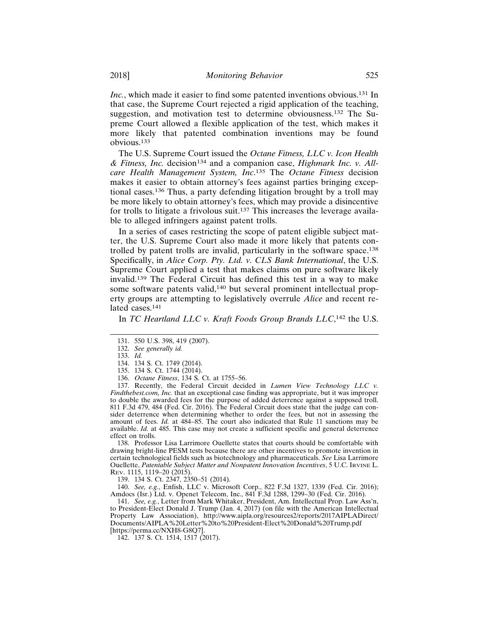*Inc.*, which made it easier to find some patented inventions obvious.<sup>131</sup> In that case, the Supreme Court rejected a rigid application of the teaching, suggestion, and motivation test to determine obviousness.132 The Supreme Court allowed a flexible application of the test, which makes it more likely that patented combination inventions may be found obvious.133

The U.S. Supreme Court issued the *Octane Fitness, LLC v. Icon Health*  $\&$  Fitness, Inc. decision<sup>134</sup> and a companion case, Highmark Inc. v. All*care Health Management System, Inc*. 135 The *Octane Fitness* decision makes it easier to obtain attorney's fees against parties bringing exceptional cases.136 Thus, a party defending litigation brought by a troll may be more likely to obtain attorney's fees, which may provide a disincentive for trolls to litigate a frivolous suit.<sup>137</sup> This increases the leverage available to alleged infringers against patent trolls.

In a series of cases restricting the scope of patent eligible subject matter, the U.S. Supreme Court also made it more likely that patents controlled by patent trolls are invalid, particularly in the software space.<sup>138</sup> Specifically, in *Alice Corp. Pty. Ltd. v. CLS Bank International*, the U.S. Supreme Court applied a test that makes claims on pure software likely invalid.139 The Federal Circuit has defined this test in a way to make some software patents valid,<sup>140</sup> but several prominent intellectual property groups are attempting to legislatively overrule *Alice* and recent related cases.<sup>141</sup>

In *TC Heartland LLC v. Kraft Foods Group Brands LLC*,<sup>142</sup> the U.S.

137. Recently, the Federal Circuit decided in *Lumen View Technology LLC v. Findthebest.com, Inc.* that an exceptional case finding was appropriate, but it was improper to double the awarded fees for the purpose of added deterrence against a supposed troll. 811 F.3d 479, 484 (Fed. Cir. 2016). The Federal Circuit does state that the judge can consider deterrence when determining whether to order the fees, but not in assessing the amount of fees. *Id.* at 484–85. The court also indicated that Rule 11 sanctions may be available. *Id.* at 485. This case may not create a sufficient specific and general deterrence effect on trolls.

138. Professor Lisa Larrimore Ouellette states that courts should be comfortable with drawing bright-line PESM tests because there are other incentives to promote invention in certain technological fields such as biotechnology and pharmaceuticals. *See* Lisa Larrimore Ouellette, *Patentable Subject Matter and Nonpatent Innovation Incentives*, 5 U.C. IRVINE L. REV. 1115, 1119–20 (2015).

139. 134 S. Ct. 2347, 2350–51 (2014).

140. *See, e.g.*, Enfish, LLC v. Microsoft Corp., 822 F.3d 1327, 1339 (Fed. Cir. 2016); Amdocs (Isr.) Ltd. v. Openet Telecom, Inc., 841 F.3d 1288, 1299–30 (Fed. Cir. 2016).

141. *See, e.g.*, Letter from Mark Whitaker, President, Am. Intellectual Prop. Law Ass'n, to President-Elect Donald J. Trump (Jan. 4, 2017) (on file with the American Intellectual Property Law Association), http://www.aipla.org/resources2/reports/2017AIPLADirect/ Documents/AIPLA%20Letter%20to%20President-Elect%20Donald%20Trump.pdf [https://perma.cc/NXH8-G8Q7].

142. 137 S. Ct. 1514, 1517 (2017).

<sup>131. 550</sup> U.S. 398, 419 (2007).

<sup>132.</sup> *See generally id.*

<sup>133.</sup> *Id.*

<sup>134. 134</sup> S. Ct. 1749 (2014).

<sup>135. 134</sup> S. Ct. 1744 (2014).

<sup>136.</sup> *Octane Fitness*, 134 S. Ct. at 1755–56.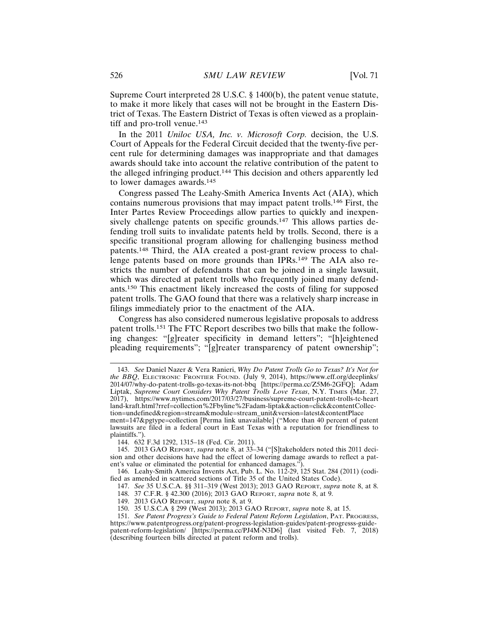Supreme Court interpreted 28 U.S.C. § 1400(b), the patent venue statute, to make it more likely that cases will not be brought in the Eastern District of Texas. The Eastern District of Texas is often viewed as a proplaintiff and pro-troll venue.<sup>143</sup>

In the 2011 *Uniloc USA, Inc. v. Microsoft Corp.* decision, the U.S. Court of Appeals for the Federal Circuit decided that the twenty-five percent rule for determining damages was inappropriate and that damages awards should take into account the relative contribution of the patent to the alleged infringing product.144 This decision and others apparently led to lower damages awards.<sup>145</sup>

Congress passed The Leahy-Smith America Invents Act (AIA), which contains numerous provisions that may impact patent trolls.146 First, the Inter Partes Review Proceedings allow parties to quickly and inexpensively challenge patents on specific grounds.<sup>147</sup> This allows parties defending troll suits to invalidate patents held by trolls. Second, there is a specific transitional program allowing for challenging business method patents.148 Third, the AIA created a post-grant review process to challenge patents based on more grounds than IPRs.<sup>149</sup> The AIA also restricts the number of defendants that can be joined in a single lawsuit, which was directed at patent trolls who frequently joined many defendants.150 This enactment likely increased the costs of filing for supposed patent trolls. The GAO found that there was a relatively sharp increase in filings immediately prior to the enactment of the AIA.

Congress has also considered numerous legislative proposals to address patent trolls.151 The FTC Report describes two bills that make the following changes: "[g]reater specificity in demand letters"; "[h]eightened pleading requirements"; "[g]reater transparency of patent ownership";

<sup>143.</sup> *See* Daniel Nazer & Vera Ranieri, *Why Do Patent Trolls Go to Texas? It's Not for the BBQ*, ELECTRONIC FRONTIER FOUND. (July 9, 2014), https://www.eff.org/deeplinks/ 2014/07/why-do-patent-trolls-go-texas-its-not-bbq [https://perma.cc/Z5M6-2GFQ]; Adam Liptak, *Supreme Court Considers Why Patent Trolls Love Texas*, N.Y. TIMES (Mar. 27, 2017), https://www.nytimes.com/2017/03/27/business/supreme-court-patent-trolls-tc-heart land-kraft.html?rref=collection%2Fbyline%2Fadam-liptak&action=click&contentCollection=undefined&region=stream&module=stream\_unit&version=latest&contentPlace ment=147&pgtype=collection [Perma link unavailable] ("More than 40 percent of patent lawsuits are filed in a federal court in East Texas with a reputation for friendliness to plaintiffs.").

<sup>144. 632</sup> F.3d 1292, 1315–18 (Fed. Cir. 2011).

<sup>145. 2013</sup> GAO REPORT, *supra* note 8, at 33–34 ("[S]takeholders noted this 2011 decision and other decisions have had the effect of lowering damage awards to reflect a patent's value or eliminated the potential for enhanced damages.").

<sup>146.</sup> Leahy-Smith America Invents Act, Pub. L. No. 112-29, 125 Stat. 284 (2011) (codified as amended in scattered sections of Title 35 of the United States Code).

<sup>147.</sup> *See* 35 U.S.C.A. §§ 311–319 (West 2013); 2013 GAO REPORT, *supra* note 8, at 8.

<sup>148. 37</sup> C.F.R. § 42.300 (2016); 2013 GAO REPORT, *supra* note 8, at 9.

<sup>149. 2013</sup> GAO REPORT, *supra* note 8, at 9.

<sup>150. 35</sup> U.S.C.A § 299 (West 2013); 2013 GAO REPORT, *supra* note 8, at 15.

<sup>151.</sup> *See Patent Progress's Guide to Federal Patent Reform Legislation*, PAT. PROGRESS, https://www.patentprogress.org/patent-progress-legislation-guides/patent-progresss-guidepatent-reform-legislation/ [https://perma.cc/PJ4M-N3D6] (last visited Feb. 7, 2018) (describing fourteen bills directed at patent reform and trolls).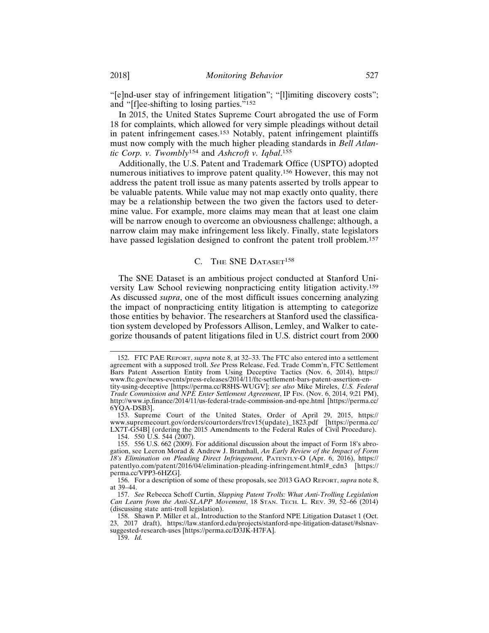"[e]nd-user stay of infringement litigation"; "[l]imiting discovery costs"; and "[f]ee-shifting to losing parties."<sup>152</sup>

In 2015, the United States Supreme Court abrogated the use of Form 18 for complaints, which allowed for very simple pleadings without detail in patent infringement cases.153 Notably, patent infringement plaintiffs must now comply with the much higher pleading standards in *Bell Atlantic Corp. v. Twombly*154 and *Ashcroft v. Iqbal*. 155

Additionally, the U.S. Patent and Trademark Office (USPTO) adopted numerous initiatives to improve patent quality.156 However, this may not address the patent troll issue as many patents asserted by trolls appear to be valuable patents. While value may not map exactly onto quality, there may be a relationship between the two given the factors used to determine value. For example, more claims may mean that at least one claim will be narrow enough to overcome an obviousness challenge; although, a narrow claim may make infringement less likely. Finally, state legislators have passed legislation designed to confront the patent troll problem.<sup>157</sup>

#### C. THE SNE DATASET<sup>158</sup>

The SNE Dataset is an ambitious project conducted at Stanford University Law School reviewing nonpracticing entity litigation activity.<sup>159</sup> As discussed *supra*, one of the most difficult issues concerning analyzing the impact of nonpracticing entity litigation is attempting to categorize those entities by behavior. The researchers at Stanford used the classification system developed by Professors Allison, Lemley, and Walker to categorize thousands of patent litigations filed in U.S. district court from 2000

159. *Id.*

<sup>152.</sup> FTC PAE REPORT, *supra* note 8, at 32–33. The FTC also entered into a settlement agreement with a supposed troll. *See* Press Release, Fed. Trade Comm'n, FTC Settlement Bars Patent Assertion Entity from Using Deceptive Tactics (Nov. 6, 2014), https:// www.ftc.gov/news-events/press-releases/2014/11/ftc-settlement-bars-patent-assertion-entity-using-deceptive [https://perma.cc/R8HS-WUGV]; *see also* Mike Mireles, *U.S. Federal Trade Commission and NPE Enter Settlement Agreement*, IP FIN. (Nov. 6, 2014, 9:21 PM), http://www.ip.finance/2014/11/us-federal-trade-commission-and-npe.html [https://perma.cc/ 6YQA-DSB3].

<sup>153.</sup> Supreme Court of the United States, Order of April 29, 2015, https:// www.supremecourt.gov/orders/courtorders/frcv15(update)\_1823.pdf [https://perma.cc/ LX7T-G54B] (ordering the 2015 Amendments to the Federal Rules of Civil Procedure).

<sup>154. 550</sup> U.S. 544 (2007).

<sup>155. 556</sup> U.S. 662 (2009). For additional discussion about the impact of Form 18's abrogation, see Leeron Morad & Andrew J. Bramhall, *An Early Review of the Impact of Form 18's Elimination on Pleading Direct Infringement*, PATENTLY-O (Apr. 6, 2016), https:// patentlyo.com/patent/2016/04/elimination-pleading-infringement.html#\_edn3 [https:// perma.cc/VPP3-6HZG].

<sup>156.</sup> For a description of some of these proposals, see 2013 GAO REPORT, *supra* note 8, at 39–44.

<sup>157.</sup> *See* Rebecca Schoff Curtin, *Slapping Patent Trolls: What Anti-Trolling Legislation Can Learn from the Anti-SLAPP Movement*, 18 STAN. TECH. L. REV. 39, 52–66 (2014) (discussing state anti-troll legislation).

<sup>158.</sup> Shawn P. Miller et al., Introduction to the Stanford NPE Litigation Dataset 1 (Oct. 23, 2017 draft), https://law.stanford.edu/projects/stanford-npe-litigation-dataset/#slsnavsuggested-research-uses [https://perma.cc/D3JK-H7FA].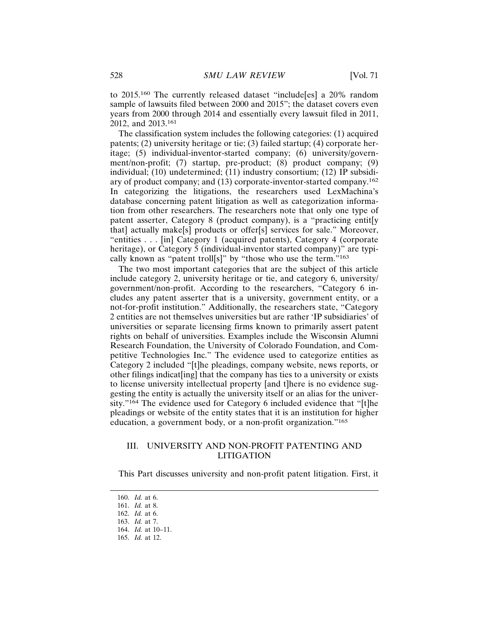to 2015.160 The currently released dataset "include[es] a 20% random sample of lawsuits filed between 2000 and 2015"; the dataset covers even years from 2000 through 2014 and essentially every lawsuit filed in 2011, 2012, and 2013.<sup>161</sup>

The classification system includes the following categories: (1) acquired patents; (2) university heritage or tie; (3) failed startup; (4) corporate heritage; (5) individual-inventor-started company; (6) university/government/non-profit; (7) startup, pre-product; (8) product company; (9) individual; (10) undetermined; (11) industry consortium; (12) IP subsidiary of product company; and (13) corporate-inventor-started company.<sup>162</sup> In categorizing the litigations, the researchers used LexMachina's database concerning patent litigation as well as categorization information from other researchers. The researchers note that only one type of patent asserter, Category 8 (product company), is a "practicing entit[y that] actually make[s] products or offer[s] services for sale." Moreover, "entities . . . [in] Category 1 (acquired patents), Category 4 (corporate heritage), or Category 5 (individual-inventor started company)" are typically known as "patent troll[s]" by "those who use the term."<sup>163</sup>

The two most important categories that are the subject of this article include category 2, university heritage or tie, and category 6, university/ government/non-profit. According to the researchers, "Category 6 includes any patent asserter that is a university, government entity, or a not-for-profit institution." Additionally, the researchers state, "Category 2 entities are not themselves universities but are rather 'IP subsidiaries' of universities or separate licensing firms known to primarily assert patent rights on behalf of universities. Examples include the Wisconsin Alumni Research Foundation, the University of Colorado Foundation, and Competitive Technologies Inc." The evidence used to categorize entities as Category 2 included "[t]he pleadings, company website, news reports, or other filings indicat[ing] that the company has ties to a university or exists to license university intellectual property [and t]here is no evidence suggesting the entity is actually the university itself or an alias for the university."164 The evidence used for Category 6 included evidence that "[t]he pleadings or website of the entity states that it is an institution for higher education, a government body, or a non-profit organization."<sup>165</sup>

#### III. UNIVERSITY AND NON-PROFIT PATENTING AND LITIGATION

This Part discusses university and non-profit patent litigation. First, it

<sup>160.</sup> *Id.* at 6.

<sup>161.</sup> *Id.* at 8.

<sup>162.</sup> *Id.* at 6.

<sup>163.</sup> *Id.* at 7.

<sup>164.</sup> *Id.* at 10–11.

<sup>165.</sup> *Id.* at 12.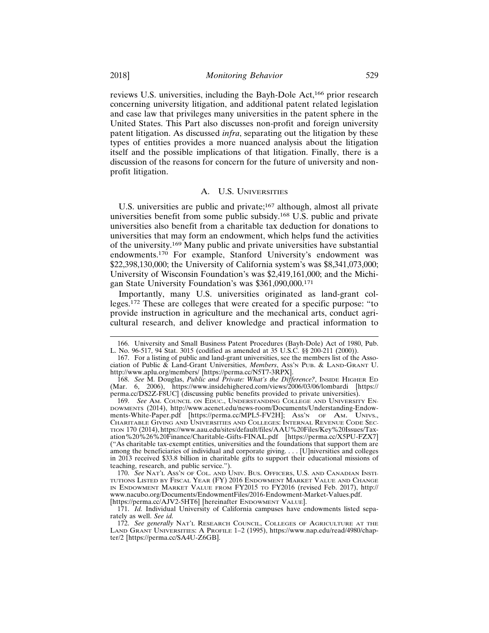reviews U.S. universities, including the Bayh-Dole Act,166 prior research concerning university litigation, and additional patent related legislation and case law that privileges many universities in the patent sphere in the United States. This Part also discusses non-profit and foreign university patent litigation. As discussed *infra*, separating out the litigation by these types of entities provides a more nuanced analysis about the litigation itself and the possible implications of that litigation. Finally, there is a discussion of the reasons for concern for the future of university and nonprofit litigation.

#### A. U.S. UNIVERSITIES

U.S. universities are public and private;<sup>167</sup> although, almost all private universities benefit from some public subsidy.168 U.S. public and private universities also benefit from a charitable tax deduction for donations to universities that may form an endowment, which helps fund the activities of the university.169 Many public and private universities have substantial endowments.170 For example, Stanford University's endowment was \$22,398,130,000; the University of California system's was \$8,341,073,000; University of Wisconsin Foundation's was \$2,419,161,000; and the Michigan State University Foundation's was \$361,090,000.<sup>171</sup>

Importantly, many U.S. universities originated as land-grant colleges.172 These are colleges that were created for a specific purpose: "to provide instruction in agriculture and the mechanical arts, conduct agricultural research, and deliver knowledge and practical information to

<sup>166.</sup> University and Small Business Patent Procedures (Bayh-Dole) Act of 1980, Pub. L. No. 96-517, 94 Stat. 3015 (codified as amended at 35 U.S.C. §§ 200-211 (2000)).

<sup>167.</sup> For a listing of public and land-grant universities, see the members list of the Association of Public & Land-Grant Universities, *Members*, ASS'N PUB. & LAND-GRANT U. http://www.aplu.org/members/ [https://perma.cc/N5T7-3RPX].

<sup>168.</sup> *See* M. Douglas, *Public and Private: What's the Difference?*, INSIDE HIGHER ED (Mar. 6, 2006), https://www.insidehighered.com/views/2006/03/06/lombardi [https:// perma.cc/DS2Z-F8UC] (discussing public benefits provided to private universities).

<sup>169.</sup> *See* AM. COUNCIL ON EDUC., UNDERSTANDING COLLEGE AND UNIVERSITY EN-DOWMENTS (2014), http://www.acenet.edu/news-room/Documents/Understanding-Endowments-White-Paper.pdf [https://perma.cc/MPL5-FV2H]; Ass'N OF AM. UNIVS., CHARITABLE GIVING AND UNIVERSITIES AND COLLEGES: INTERNAL REVENUE CODE SEC-TION 170 (2014), https://www.aau.edu/sites/default/files/AAU%20Files/Key%20Issues/Taxation%20%26%20Finance/Charitable-Gifts-FINAL.pdf [https://perma.cc/X5PU-FZX7] ("As charitable tax-exempt entities, universities and the foundations that support them are among the beneficiaries of individual and corporate giving. . . . [U]niversities and colleges in 2013 received \$33.8 billion in charitable gifts to support their educational missions of teaching, research, and public service.").

<sup>170.</sup> *See* NAT'L ASS'N OF COL. AND UNIV. BUS. OFFICERS, U.S. AND CANADIAN INSTI-TUTIONS LISTED BY FISCAL YEAR (FY) 2016 ENDOWMENT MARKET VALUE AND CHANGE IN ENDOWMENT MARKET VALUE FROM FY2015 TO FY2016 (revised Feb. 2017), http:// www.nacubo.org/Documents/EndowmentFiles/2016-Endowment-Market-Values.pdf. [https://perma.cc/AJV2-5HT6] [hereinafter ENDOWMENT VALUE].

<sup>171.</sup> *Id.* Individual University of California campuses have endowments listed separately as well. *See id.*

<sup>172.</sup> *See generally* NAT'L RESEARCH COUNCIL, COLLEGES OF AGRICULTURE AT THE LAND GRANT UNIVERSITIES: A PROFILE 1–2 (1995), https://www.nap.edu/read/4980/chapter/2 [https://perma.cc/SA4U-Z6GB].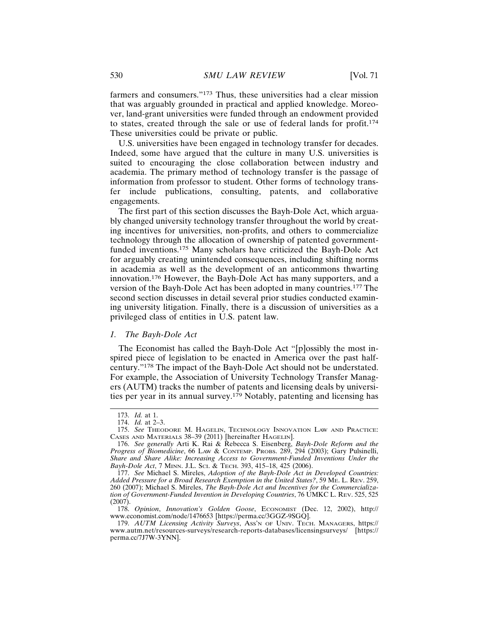farmers and consumers."173 Thus, these universities had a clear mission that was arguably grounded in practical and applied knowledge. Moreover, land-grant universities were funded through an endowment provided to states, created through the sale or use of federal lands for profit.<sup>174</sup> These universities could be private or public.

U.S. universities have been engaged in technology transfer for decades. Indeed, some have argued that the culture in many U.S. universities is suited to encouraging the close collaboration between industry and academia. The primary method of technology transfer is the passage of information from professor to student. Other forms of technology transfer include publications, consulting, patents, and collaborative engagements.

The first part of this section discusses the Bayh-Dole Act, which arguably changed university technology transfer throughout the world by creating incentives for universities, non-profits, and others to commercialize technology through the allocation of ownership of patented governmentfunded inventions.175 Many scholars have criticized the Bayh-Dole Act for arguably creating unintended consequences, including shifting norms in academia as well as the development of an anticommons thwarting innovation.176 However, the Bayh-Dole Act has many supporters, and a version of the Bayh-Dole Act has been adopted in many countries.177 The second section discusses in detail several prior studies conducted examining university litigation. Finally, there is a discussion of universities as a privileged class of entities in U.S. patent law.

#### *1. The Bayh-Dole Act*

The Economist has called the Bayh-Dole Act "[p]ossibly the most inspired piece of legislation to be enacted in America over the past halfcentury."178 The impact of the Bayh-Dole Act should not be understated. For example, the Association of University Technology Transfer Managers (AUTM) tracks the number of patents and licensing deals by universities per year in its annual survey.179 Notably, patenting and licensing has

<sup>173.</sup> *Id.* at 1.

<sup>174.</sup> *Id.* at 2–3.

<sup>175.</sup> *See* THEODORE M. HAGELIN, TECHNOLOGY INNOVATION LAW AND PRACTICE: CASES AND MATERIALS 38–39 (2011) [hereinafter HAGELIN].

<sup>176.</sup> *See generally* Arti K. Rai & Rebecca S. Eisenberg, *Bayh-Dole Reform and the Progress of Biomedicine*, 66 LAW & CONTEMP. PROBS. 289, 294 (2003); Gary Pulsinelli, *Share and Share Alike: Increasing Access to Government-Funded Inventions Under the Bayh-Dole Act*, 7 MINN. J.L. SCI. & TECH. 393, 415–18, 425 (2006).

<sup>177.</sup> *See* Michael S. Mireles, *Adoption of the Bayh-Dole Act in Developed Countries: Added Pressure for a Broad Research Exemption in the United States?*, 59 ME. L. REV. 259, 260 (2007); Michael S. Mireles, *The Bayh-Dole Act and Incentives for the Commercialization of Government-Funded Invention in Developing Countries*, 76 UMKC L. REV. 525, 525 (2007).

<sup>178.</sup> *Opinion*, *Innovation's Golden Goose*, ECONOMIST (Dec. 12, 2002), http:// www.economist.com/node/1476653 [https://perma.cc/3GGZ-9SGQ].

<sup>179.</sup> *AUTM Licensing Activity Surveys*, ASS'N OF UNIV. TECH. MANAGERS, https:// www.autm.net/resources-surveys/research-reports-databases/licensingsurveys/ [https:// perma.cc/7J7W-3YNN].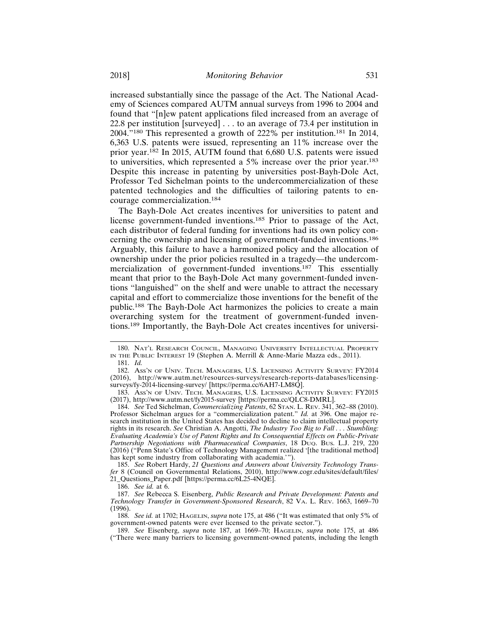increased substantially since the passage of the Act. The National Academy of Sciences compared AUTM annual surveys from 1996 to 2004 and found that "[n]ew patent applications filed increased from an average of 22.8 per institution [surveyed] . . . to an average of 73.4 per institution in 2004."180 This represented a growth of 222% per institution.181 In 2014, 6,363 U.S. patents were issued, representing an 11% increase over the prior year.182 In 2015, AUTM found that 6,680 U.S. patents were issued to universities, which represented a 5% increase over the prior year.<sup>183</sup> Despite this increase in patenting by universities post-Bayh-Dole Act, Professor Ted Sichelman points to the undercommercialization of these patented technologies and the difficulties of tailoring patents to encourage commercialization.<sup>184</sup>

The Bayh-Dole Act creates incentives for universities to patent and license government-funded inventions.185 Prior to passage of the Act, each distributor of federal funding for inventions had its own policy concerning the ownership and licensing of government-funded inventions.<sup>186</sup> Arguably, this failure to have a harmonized policy and the allocation of ownership under the prior policies resulted in a tragedy—the undercommercialization of government-funded inventions.187 This essentially meant that prior to the Bayh-Dole Act many government-funded inventions "languished" on the shelf and were unable to attract the necessary capital and effort to commercialize those inventions for the benefit of the public.<sup>188</sup> The Bayh-Dole Act harmonizes the policies to create a main overarching system for the treatment of government-funded inventions.189 Importantly, the Bayh-Dole Act creates incentives for universi-

185. *See* Robert Hardy, *21 Questions and Answers about University Technology Transfer* 8 (Council on Governmental Relations, 2010), http://www.cogr.edu/sites/default/files/ 21\_Questions\_Paper.pdf [https://perma.cc/6L25-4NQE].

186. *See id.* at 6.

187. *See* Rebecca S. Eisenberg, *Public Research and Private Development: Patents and Technology Transfer in Government-Sponsored Research*, 82 VA. L. REV. 1663, 1669–70 (1996).

188. *See id.* at 1702; HAGELIN, *supra* note 175, at 486 ("It was estimated that only 5% of government-owned patents were ever licensed to the private sector.").

189. *See* Eisenberg, *supra* note 187, at 1669–70; HAGELIN, *supra* note 175, at 486 ("There were many barriers to licensing government-owned patents, including the length

<sup>180.</sup> NAT'L RESEARCH COUNCIL, MANAGING UNIVERSITY INTELLECTUAL PROPERTY IN THE PUBLIC INTEREST 19 (Stephen A. Merrill & Anne-Marie Mazza eds., 2011). 181. *Id.*

<sup>182.</sup> ASS'N OF UNIV. TECH. MANAGERS, U.S. LICENSING ACTIVITY SURVEY: FY2014 (2016), http://www.autm.net/resources-surveys/research-reports-databases/licensingsurveys/fy-2014-licensing-survey/ [https://perma.cc/6AH7-LM8Q].

<sup>183.</sup> ASS'N OF UNIV. TECH. MANAGERS, U.S. LICENSING ACTIVITY SURVEY: FY2015 (2017), http://www.autm.net/fy2015-survey [https://perma.cc/QLC8-DMRL].

<sup>184.</sup> *See* Ted Sichelman, *Commercializing Patents*, 62 STAN. L. REV. 341, 362–88 (2010). Professor Sichelman argues for a "commercialization patent." *Id.* at 396. One major research institution in the United States has decided to decline to claim intellectual property rights in its research. *See* Christian A. Angotti, *The Industry Too Big to Fall . . . Stumbling: Evaluating Academia's Use of Patent Rights and Its Consequential Effects on Public-Private Partnership Negotiations with Pharmaceutical Companies*, 18 DUQ. BUS. L.J. 219, 220 (2016) ("Penn State's Office of Technology Management realized '[the traditional method] has kept some industry from collaborating with academia.'").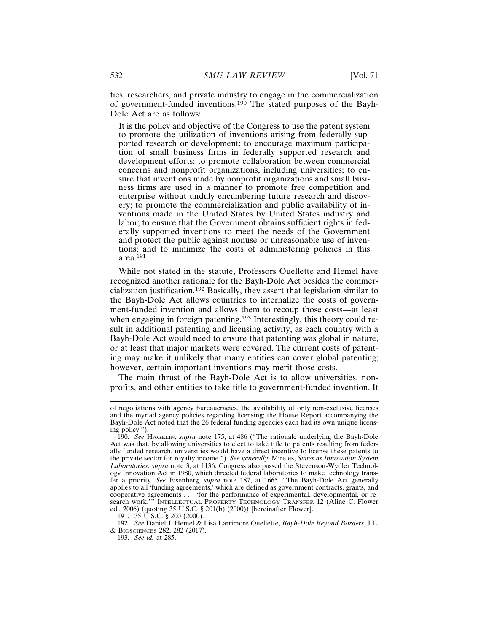ties, researchers, and private industry to engage in the commercialization of government-funded inventions.190 The stated purposes of the Bayh-Dole Act are as follows:

It is the policy and objective of the Congress to use the patent system to promote the utilization of inventions arising from federally supported research or development; to encourage maximum participation of small business firms in federally supported research and development efforts; to promote collaboration between commercial concerns and nonprofit organizations, including universities; to ensure that inventions made by nonprofit organizations and small business firms are used in a manner to promote free competition and enterprise without unduly encumbering future research and discovery; to promote the commercialization and public availability of inventions made in the United States by United States industry and labor; to ensure that the Government obtains sufficient rights in federally supported inventions to meet the needs of the Government and protect the public against nonuse or unreasonable use of inventions; and to minimize the costs of administering policies in this area.191

While not stated in the statute, Professors Ouellette and Hemel have recognized another rationale for the Bayh-Dole Act besides the commercialization justification.192 Basically, they assert that legislation similar to the Bayh-Dole Act allows countries to internalize the costs of government-funded invention and allows them to recoup those costs—at least when engaging in foreign patenting.<sup>193</sup> Interestingly, this theory could result in additional patenting and licensing activity, as each country with a Bayh-Dole Act would need to ensure that patenting was global in nature, or at least that major markets were covered. The current costs of patenting may make it unlikely that many entities can cover global patenting; however, certain important inventions may merit those costs.

The main thrust of the Bayh-Dole Act is to allow universities, nonprofits, and other entities to take title to government-funded invention. It

191. 35 U.S.C. § 200 (2000).

of negotiations with agency bureaucracies, the availability of only non-exclusive licenses and the myriad agency policies regarding licensing; the House Report accompanying the Bayh-Dole Act noted that the 26 federal funding agencies each had its own unique licensing policy.").

<sup>190.</sup> *See* HAGELIN, *supra* note 175, at 486 ("The rationale underlying the Bayh-Dole Act was that, by allowing universities to elect to take title to patents resulting from federally funded research, universities would have a direct incentive to license these patents to the private sector for royalty income."). *See generally*, Mireles, *States as Innovation System Laboratories*, *supra* note 3, at 1136. Congress also passed the Stevenson-Wydler Technology Innovation Act in 1980, which directed federal laboratories to make technology transfer a priority. *See* Eisenberg, *supra* note 187, at 1665. "The Bayh-Dole Act generally applies to all 'funding agreements,' which are defined as government contracts, grants, and cooperative agreements . . . 'for the performance of experimental, developmental, or research work.'" INTELLECTUAL PROPERTY TECHNOLOGY TRANSFER 12 (Aline C. Flower ed., 2006) (quoting 35 U.S.C. § 201(b) (2000)) [hereinafter Flower].

<sup>192.</sup> *See* Daniel J. Hemel & Lisa Larrimore Ouellette, *Bayh-Dole Beyond Borders*, J.L. & BIOSCIENCES 282, 282 (2017).

<sup>193.</sup> *See id.* at 285.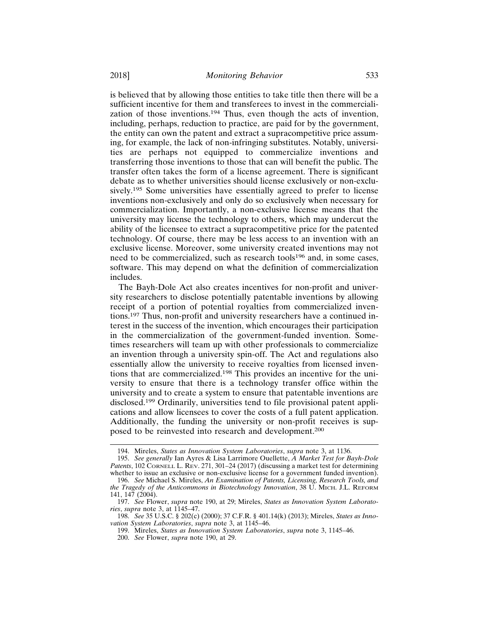is believed that by allowing those entities to take title then there will be a sufficient incentive for them and transferees to invest in the commercialization of those inventions.194 Thus, even though the acts of invention, including, perhaps, reduction to practice, are paid for by the government, the entity can own the patent and extract a supracompetitive price assuming, for example, the lack of non-infringing substitutes. Notably, universities are perhaps not equipped to commercialize inventions and transferring those inventions to those that can will benefit the public. The transfer often takes the form of a license agreement. There is significant debate as to whether universities should license exclusively or non-exclusively.195 Some universities have essentially agreed to prefer to license inventions non-exclusively and only do so exclusively when necessary for commercialization. Importantly, a non-exclusive license means that the university may license the technology to others, which may undercut the ability of the licensee to extract a supracompetitive price for the patented technology. Of course, there may be less access to an invention with an exclusive license. Moreover, some university created inventions may not need to be commercialized, such as research tools<sup>196</sup> and, in some cases, software. This may depend on what the definition of commercialization includes.

The Bayh-Dole Act also creates incentives for non-profit and university researchers to disclose potentially patentable inventions by allowing receipt of a portion of potential royalties from commercialized inventions.197 Thus, non-profit and university researchers have a continued interest in the success of the invention, which encourages their participation in the commercialization of the government-funded invention. Sometimes researchers will team up with other professionals to commercialize an invention through a university spin-off. The Act and regulations also essentially allow the university to receive royalties from licensed inventions that are commercialized.198 This provides an incentive for the university to ensure that there is a technology transfer office within the university and to create a system to ensure that patentable inventions are disclosed.199 Ordinarily, universities tend to file provisional patent applications and allow licensees to cover the costs of a full patent application. Additionally, the funding the university or non-profit receives is supposed to be reinvested into research and development.<sup>200</sup>

<sup>194.</sup> Mireles, *States as Innovation System Laboratories*, *supra* note 3, at 1136.

<sup>195.</sup> *See generally* Ian Ayres & Lisa Larrimore Ouellette, *A Market Test for Bayh-Dole Patents*, 102 CORNELL L. REV. 271, 301–24 (2017) (discussing a market test for determining whether to issue an exclusive or non-exclusive license for a government funded invention).

<sup>196.</sup> *See* Michael S. Mireles, *An Examination of Patents, Licensing, Research Tools, and the Tragedy of the Anticommons in Biotechnology Innovation*, 38 U. MICH. J.L. REFORM 141, 147 (2004).

<sup>197.</sup> *See* Flower, *supra* note 190, at 29; Mireles, *States as Innovation System Laboratories*, *supra* note 3, at 1145–47.

<sup>198.</sup> *See* 35 U.S.C. § 202(c) (2000); 37 C.F.R. § 401.14(k) (2013); Mireles, *States as Innovation System Laboratories*, *supra* note 3, at 1145–46.

<sup>199.</sup> Mireles, *States as Innovation System Laboratories*, *supra* note 3, 1145–46.

<sup>200.</sup> *See* Flower, *supra* note 190, at 29.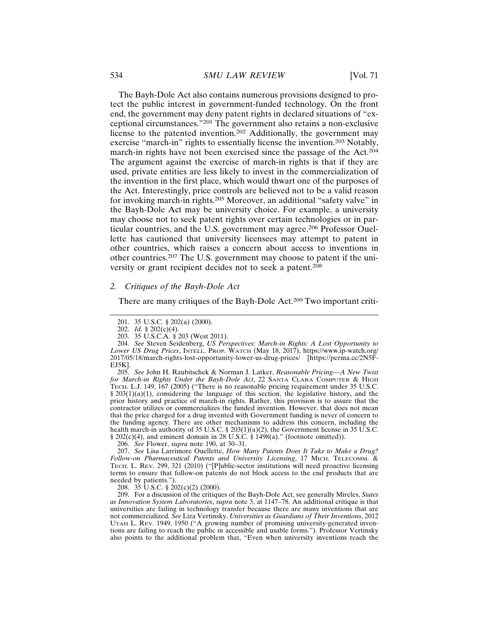The Bayh-Dole Act also contains numerous provisions designed to protect the public interest in government-funded technology. On the front end, the government may deny patent rights in declared situations of "exceptional circumstances."201 The government also retains a non-exclusive license to the patented invention.202 Additionally, the government may exercise "march-in" rights to essentially license the invention.<sup>203</sup> Notably, march-in rights have not been exercised since the passage of the Act.<sup>204</sup> The argument against the exercise of march-in rights is that if they are used, private entities are less likely to invest in the commercialization of the invention in the first place, which would thwart one of the purposes of the Act. Interestingly, price controls are believed not to be a valid reason for invoking march-in rights.205 Moreover, an additional "safety valve" in the Bayh-Dole Act may be university choice. For example, a university may choose not to seek patent rights over certain technologies or in particular countries, and the U.S. government may agree.206 Professor Ouellette has cautioned that university licensees may attempt to patent in other countries, which raises a concern about access to inventions in other countries.207 The U.S. government may choose to patent if the university or grant recipient decides not to seek a patent.<sup>208</sup>

#### *2. Critiques of the Bayh-Dole Act*

There are many critiques of the Bayh-Dole Act.209 Two important criti-

205. *See* John H. Raubitschek & Norman J. Latker, *Reasonable Pricing—A New Twist for March-in Rights Under the Bayh-Dole Act*, 22 SANTA CLARA COMPUTER & HIGH TECH. L.J. 149, 167 (2005) ("There is no reasonable pricing requirement under 35 U.S.C. § 203(1)(a)(1), considering the language of this section, the legislative history, and the prior history and practice of march-in rights. Rather, this provision is to assure that the contractor utilizes or commercializes the funded invention. However, that does not mean that the price charged for a drug invented with Government funding is never of concern to the funding agency. There are other mechanisms to address this concern, including the health march-in authority of 35 U.S.C. § 203(1)(a)(2), the Government license in 35 U.S.C. § 202(c)(4), and eminent domain in 28 U.S.C. § 1498(a)." (footnote omitted)).

206. *See* Flower, *supra* note 190, at 30–31.

207. *See* Lisa Larrimore Ouellette, *How Many Patents Does It Take to Make a Drug? Follow-on Pharmaceutical Patents and University Licensing*, 17 MICH. TELECOMM. & TECH. L. REV. 299, 321 (2010) ("[P]ublic-sector institutions will need proactive licensing terms to ensure that follow-on patents do not block access to the end products that are needed by patients.").

208. 35 U.S.C. § 202(c)(2) (2000).

209. For a discussion of the critiques of the Bayh-Dole Act, see generally Mireles, *States as Innovation System Laboratories*, *supra* note 3, at 1147–78. An additional critique is that universities are failing in technology transfer because there are many inventions that are not commercialized. *See* Liza Vertinsky, *Universities as Guardians of Their Inventions*, 2012 UTAH L. REV. 1949, 1950 ("A growing number of promising university-generated inventions are failing to reach the public in accessible and usable forms."). Professor Vertinsky also points to the additional problem that, "Even when university inventions reach the

<sup>201. 35</sup> U.S.C. § 202(a) (2000).

<sup>202.</sup> *Id.* § 202(c)(4).

<sup>203. 35</sup> U.S.C.A. § 203 (West 2011).

<sup>204.</sup> *See* Steven Seidenberg, *US Perspectives: March-in Rights: A Lost Opportunity to Lower US Drug Prices*, INTELL. PROP. WATCH (May 18, 2017), https://www.ip-watch.org/ 2017/05/18/march-rights-lost-opportunity-lower-us-drug-prices/ [https://perma.cc/2N5F-EJ5K].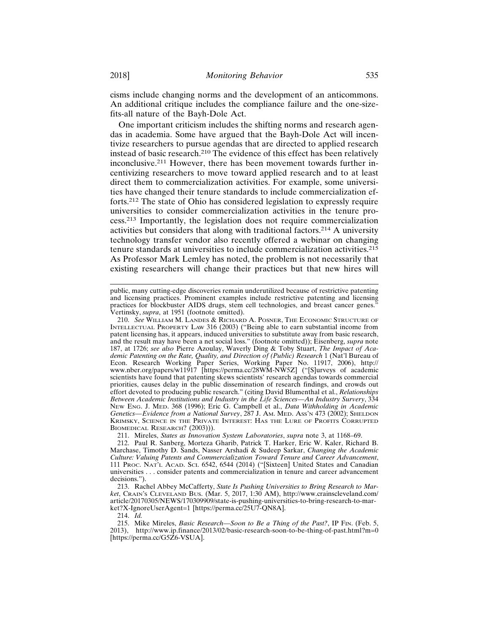cisms include changing norms and the development of an anticommons. An additional critique includes the compliance failure and the one-sizefits-all nature of the Bayh-Dole Act.

One important criticism includes the shifting norms and research agendas in academia. Some have argued that the Bayh-Dole Act will incentivize researchers to pursue agendas that are directed to applied research instead of basic research.210 The evidence of this effect has been relatively inconclusive.211 However, there has been movement towards further incentivizing researchers to move toward applied research and to at least direct them to commercialization activities. For example, some universities have changed their tenure standards to include commercialization efforts.212 The state of Ohio has considered legislation to expressly require universities to consider commercialization activities in the tenure process.213 Importantly, the legislation does not require commercialization activities but considers that along with traditional factors.214 A university technology transfer vendor also recently offered a webinar on changing tenure standards at universities to include commercialization activities.<sup>215</sup> As Professor Mark Lemley has noted, the problem is not necessarily that existing researchers will change their practices but that new hires will

211. Mireles, *States as Innovation System Laboratories*, *supra* note 3, at 1168–69.

214. *Id.*

public, many cutting-edge discoveries remain underutilized because of restrictive patenting and licensing practices. Prominent examples include restrictive patenting and licensing practices for blockbuster AIDS drugs, stem cell technologies, and breast cancer genes." Vertinsky, *supra*, at 1951 (footnote omitted).

<sup>210.</sup> *See* WILLIAM M. LANDES & RICHARD A. POSNER, THE ECONOMIC STRUCTURE OF INTELLECTUAL PROPERTY LAW 316 (2003) ("Being able to earn substantial income from patent licensing has, it appears, induced universities to substitute away from basic research, and the result may have been a net social loss." (footnote omitted)); Eisenberg, *supra* note 187, at 1726; *see also* Pierre Azoulay, Waverly Ding & Toby Stuart, *The Impact of Academic Patenting on the Rate, Quality, and Direction of (Public) Research* 1 (Nat'l Bureau of Econ. Research Working Paper Series, Working Paper No. 11917, 2006), http:// www.nber.org/papers/w11917 [https://perma.cc/28WM-NW5Z] ("[S]urveys of academic scientists have found that patenting skews scientists' research agendas towards commercial priorities, causes delay in the public dissemination of research findings, and crowds out effort devoted to producing public research." (citing David Blumenthal et al., *Relationships Between Academic Institutions and Industry in the Life Sciences—An Industry Survery*, 334 NEW ENG. J. MED. 368 (1996); Eric G. Campbell et al., *Data Withholding in Academic Genetics—Evidence from a National Survey*, 287 J. AM. MED. ASS'N 473 (2002); SHELDON KRIMSKY, SCIENCE IN THE PRIVATE INTEREST: HAS THE LURE OF PROFITS CORRUPTED BIOMEDICAL RESEARCH? (2003))).

<sup>212.</sup> Paul R. Sanberg, Morteza Gharib, Patrick T. Harker, Eric W. Kaler, Richard B. Marchase, Timothy D. Sands, Nasser Arshadi & Sudeep Sarkar, *Changing the Academic Culture: Valuing Patents and Commercialization Toward Tenure and Career Advancement*, 111 PROC. NAT'L ACAD. SCI. 6542, 6544 (2014) ("[Sixteen] United States and Canadian universities . . . consider patents and commercialization in tenure and career advancement decisions.").

<sup>213.</sup> Rachel Abbey McCafferty, *State Is Pushing Universities to Bring Research to Market*, CRAIN'S CLEVELAND BUS. (Mar. 5, 2017, 1:30 AM), http://www.crainscleveland.com/ article/20170305/NEWS/170309909/state-is-pushing-universities-to-bring-research-to-market?X-IgnoreUserAgent=1 [https://perma.cc/25U7-QN8A].

<sup>215.</sup> Mike Mireles, *Basic Research—Soon to Be a Thing of the Past?*, IP FIN. (Feb. 5, 2013), http://www.ip.finance/2013/02/basic-research-soon-to-be-thing-of-past.html?m=0 [https://perma.cc/G5Z6-VSUA].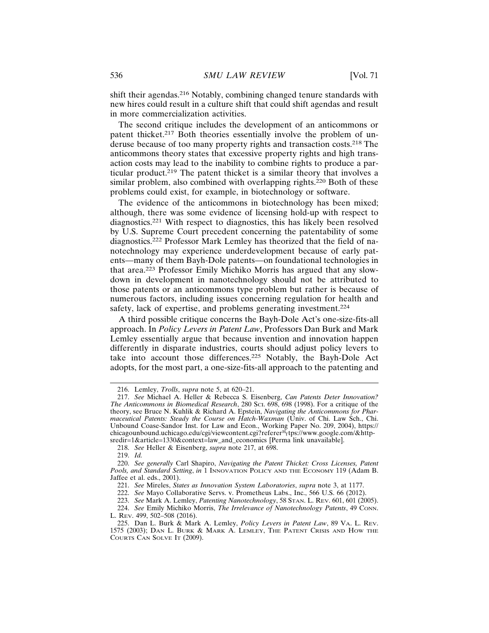shift their agendas.<sup>216</sup> Notably, combining changed tenure standards with new hires could result in a culture shift that could shift agendas and result in more commercialization activities.

The second critique includes the development of an anticommons or patent thicket.217 Both theories essentially involve the problem of underuse because of too many property rights and transaction costs.218 The anticommons theory states that excessive property rights and high transaction costs may lead to the inability to combine rights to produce a particular product.219 The patent thicket is a similar theory that involves a similar problem, also combined with overlapping rights.<sup>220</sup> Both of these problems could exist, for example, in biotechnology or software.

The evidence of the anticommons in biotechnology has been mixed; although, there was some evidence of licensing hold-up with respect to diagnostics.221 With respect to diagnostics, this has likely been resolved by U.S. Supreme Court precedent concerning the patentability of some diagnostics.222 Professor Mark Lemley has theorized that the field of nanotechnology may experience underdevelopment because of early patents—many of them Bayh-Dole patents—on foundational technologies in that area.223 Professor Emily Michiko Morris has argued that any slowdown in development in nanotechnology should not be attributed to those patents or an anticommons type problem but rather is because of numerous factors, including issues concerning regulation for health and safety, lack of expertise, and problems generating investment.<sup>224</sup>

A third possible critique concerns the Bayh-Dole Act's one-size-fits-all approach. In *Policy Levers in Patent Law*, Professors Dan Burk and Mark Lemley essentially argue that because invention and innovation happen differently in disparate industries, courts should adjust policy levers to take into account those differences.225 Notably, the Bayh-Dole Act adopts, for the most part, a one-size-fits-all approach to the patenting and

218. *See* Heller & Eisenberg, *supra* note 217, at 698.

219. *Id.*

<sup>216.</sup> Lemley, *Trolls*, *supra* note 5, at 620–21.

<sup>217.</sup> *See* Michael A. Heller & Rebecca S. Eisenberg, *Can Patents Deter Innovation? The Anticommons in Biomedical Research*, 280 SCI. 698, 698 (1998). For a critique of the theory, see Bruce N. Kuhlik & Richard A. Epstein, *Navigating the Anticommons for Pharmaceutical Patents: Steady the Course on Hatch-Waxman* (Univ. of Chi. Law Sch., Chi. Unbound Coase-Sandor Inst. for Law and Econ., Working Paper No. 209, 2004), https://  $chicagounbound.uchicago.edu/cgi/viewcontent.cgi?referer<sup>H</sup>rtps://www.google.com/&http$ sredir=1&article=1330&context=law\_and\_economics [Perma link unavailable].

<sup>220.</sup> *See generally* Carl Shapiro, *Navigating the Patent Thicket: Cross Licenses, Patent Pools, and Standard Setting*, *in* 1 INNOVATION POLICY AND THE ECONOMY 119 (Adam B. Jaffee et al. eds., 2001).

<sup>221.</sup> *See* Mireles, *States as Innovation System Laboratories*, *supra* note 3, at 1177.

<sup>222.</sup> *See* Mayo Collaborative Servs. v. Prometheus Labs., Inc., 566 U.S. 66 (2012).

<sup>223.</sup> *See* Mark A. Lemley, *Patenting Nanotechnology*, 58 STAN. L. REV. 601, 601 (2005).

<sup>224.</sup> *See* Emily Michiko Morris, *The Irrelevance of Nanotechnology Patents*, 49 CONN. L. REV. 499, 502–508 (2016).

<sup>225.</sup> Dan L. Burk & Mark A. Lemley, *Policy Levers in Patent Law*, 89 VA. L. REV. 1575 (2003); DAN L. BURK & MARK A. LEMLEY, THE PATENT CRISIS AND HOW THE COURTS CAN SOLVE IT (2009).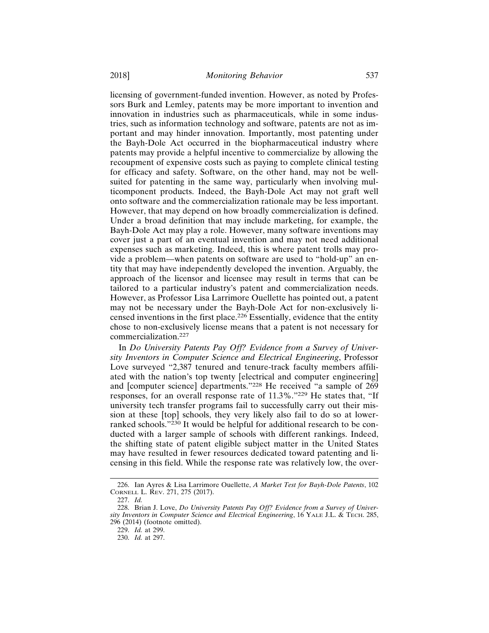licensing of government-funded invention. However, as noted by Professors Burk and Lemley, patents may be more important to invention and innovation in industries such as pharmaceuticals, while in some industries, such as information technology and software, patents are not as important and may hinder innovation. Importantly, most patenting under the Bayh-Dole Act occurred in the biopharmaceutical industry where patents may provide a helpful incentive to commercialize by allowing the recoupment of expensive costs such as paying to complete clinical testing for efficacy and safety. Software, on the other hand, may not be wellsuited for patenting in the same way, particularly when involving multicomponent products. Indeed, the Bayh-Dole Act may not graft well onto software and the commercialization rationale may be less important. However, that may depend on how broadly commercialization is defined. Under a broad definition that may include marketing, for example, the Bayh-Dole Act may play a role. However, many software inventions may cover just a part of an eventual invention and may not need additional expenses such as marketing. Indeed, this is where patent trolls may provide a problem—when patents on software are used to "hold-up" an entity that may have independently developed the invention. Arguably, the approach of the licensor and licensee may result in terms that can be tailored to a particular industry's patent and commercialization needs. However, as Professor Lisa Larrimore Ouellette has pointed out, a patent may not be necessary under the Bayh-Dole Act for non-exclusively licensed inventions in the first place.226 Essentially, evidence that the entity chose to non-exclusively license means that a patent is not necessary for commercialization.<sup>227</sup>

In *Do University Patents Pay Off? Evidence from a Survey of University Inventors in Computer Science and Electrical Engineering*, Professor Love surveyed "2,387 tenured and tenure-track faculty members affiliated with the nation's top twenty [electrical and computer engineering] and [computer science] departments."228 He received "a sample of 269 responses, for an overall response rate of 11.3%."229 He states that, "If university tech transfer programs fail to successfully carry out their mission at these [top] schools, they very likely also fail to do so at lowerranked schools."230 It would be helpful for additional research to be conducted with a larger sample of schools with different rankings. Indeed, the shifting state of patent eligible subject matter in the United States may have resulted in fewer resources dedicated toward patenting and licensing in this field. While the response rate was relatively low, the over-

<sup>226.</sup> Ian Ayres & Lisa Larrimore Ouellette, *A Market Test for Bayh-Dole Patents*, 102 CORNELL L. REV. 271, 275 (2017).

<sup>227.</sup> *Id.*

<sup>228.</sup> Brian J. Love, *Do University Patents Pay Off? Evidence from a Survey of University Inventors in Computer Science and Electrical Engineering*, 16 YALE J.L. & TECH. 285, 296 (2014) (footnote omitted).

<sup>229.</sup> *Id.* at 299.

<sup>230.</sup> *Id.* at 297.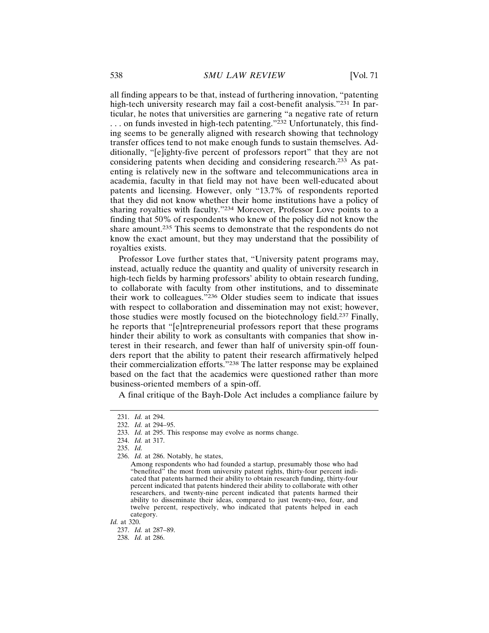all finding appears to be that, instead of furthering innovation, "patenting high-tech university research may fail a cost-benefit analysis."<sup>231</sup> In particular, he notes that universities are garnering "a negative rate of return ... on funds invested in high-tech patenting."<sup>232</sup> Unfortunately, this finding seems to be generally aligned with research showing that technology transfer offices tend to not make enough funds to sustain themselves. Additionally, "[e]ighty-five percent of professors report" that they are not considering patents when deciding and considering research.233 As patenting is relatively new in the software and telecommunications area in academia, faculty in that field may not have been well-educated about patents and licensing. However, only "13.7% of respondents reported that they did not know whether their home institutions have a policy of sharing royalties with faculty."234 Moreover, Professor Love points to a finding that 50% of respondents who knew of the policy did not know the share amount.235 This seems to demonstrate that the respondents do not know the exact amount, but they may understand that the possibility of royalties exists.

Professor Love further states that, "University patent programs may, instead, actually reduce the quantity and quality of university research in high-tech fields by harming professors' ability to obtain research funding, to collaborate with faculty from other institutions, and to disseminate their work to colleagues."236 Older studies seem to indicate that issues with respect to collaboration and dissemination may not exist; however, those studies were mostly focused on the biotechnology field.237 Finally, he reports that "[e]ntrepreneurial professors report that these programs hinder their ability to work as consultants with companies that show interest in their research, and fewer than half of university spin-off founders report that the ability to patent their research affirmatively helped their commercialization efforts."238 The latter response may be explained based on the fact that the academics were questioned rather than more business-oriented members of a spin-off.

A final critique of the Bayh-Dole Act includes a compliance failure by

*Id.* at 320.

238. *Id.* at 286.

<sup>231.</sup> *Id.* at 294.

<sup>232.</sup> *Id.* at 294–95.

<sup>233.</sup> *Id.* at 295. This response may evolve as norms change.

<sup>234.</sup> *Id.* at 317.

<sup>235.</sup> *Id.*

<sup>236.</sup> *Id.* at 286. Notably, he states,

Among respondents who had founded a startup, presumably those who had "benefited" the most from university patent rights, thirty-four percent indicated that patents harmed their ability to obtain research funding, thirty-four percent indicated that patents hindered their ability to collaborate with other researchers, and twenty-nine percent indicated that patents harmed their ability to disseminate their ideas, compared to just twenty-two, four, and twelve percent, respectively, who indicated that patents helped in each category.

<sup>237.</sup> *Id.* at 287–89.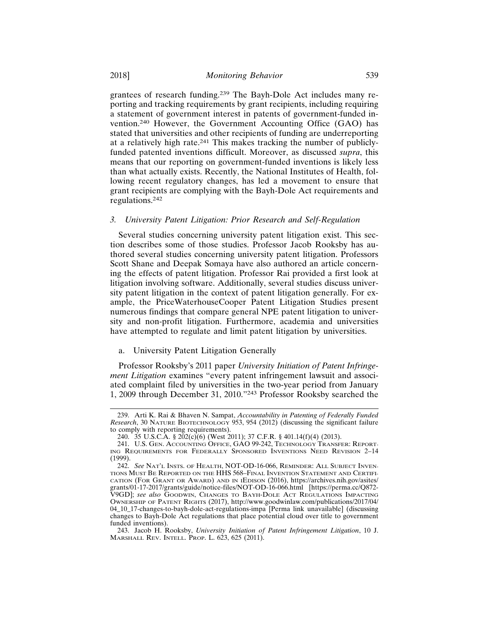grantees of research funding.239 The Bayh-Dole Act includes many reporting and tracking requirements by grant recipients, including requiring a statement of government interest in patents of government-funded invention.240 However, the Government Accounting Office (GAO) has stated that universities and other recipients of funding are underreporting at a relatively high rate.241 This makes tracking the number of publiclyfunded patented inventions difficult. Moreover, as discussed *supra*, this means that our reporting on government-funded inventions is likely less than what actually exists. Recently, the National Institutes of Health, following recent regulatory changes, has led a movement to ensure that grant recipients are complying with the Bayh-Dole Act requirements and regulations.<sup>242</sup>

#### *3. University Patent Litigation: Prior Research and Self-Regulation*

Several studies concerning university patent litigation exist. This section describes some of those studies. Professor Jacob Rooksby has authored several studies concerning university patent litigation. Professors Scott Shane and Deepak Somaya have also authored an article concerning the effects of patent litigation. Professor Rai provided a first look at litigation involving software. Additionally, several studies discuss university patent litigation in the context of patent litigation generally. For example, the PriceWaterhouseCooper Patent Litigation Studies present numerous findings that compare general NPE patent litigation to university and non-profit litigation. Furthermore, academia and universities have attempted to regulate and limit patent litigation by universities.

#### a. University Patent Litigation Generally

Professor Rooksby's 2011 paper *University Initiation of Patent Infringement Litigation* examines "every patent infringement lawsuit and associated complaint filed by universities in the two-year period from January 1, 2009 through December 31, 2010."243 Professor Rooksby searched the

<sup>239.</sup> Arti K. Rai & Bhaven N. Sampat, *Accountability in Patenting of Federally Funded Research*, 30 NATURE BIOTECHNOLOGY 953, 954 (2012) (discussing the significant failure to comply with reporting requirements).

<sup>240. 35</sup> U.S.C.A. § 202(c)(6) (West 2011); 37 C.F.R. § 401.14(f)(4) (2013).

<sup>241.</sup> U.S. GEN. ACCOUNTING OFFICE, GAO 99-242, TECHNOLOGY TRANSFER: REPORT-ING REQUIREMENTS FOR FEDERALLY SPONSORED INVENTIONS NEED REVISION 2–14 (1999).

<sup>242.</sup> *See* NAT'L INSTS. OF HEALTH, NOT-OD-16-066, REMINDER: ALL SUBJECT INVEN-TIONS MUST BE REPORTED ON THE HHS 568–FINAL INVENTION STATEMENT AND CERTIFI-CATION (FOR GRANT OR AWARD) AND IN IEDISON (2016), https://archives.nih.gov/asites/ grants/01-17-2017/grants/guide/notice-files/NOT-OD-16-066.html [https://perma.cc/Q872- V9GD]; *see also* GOODWIN, CHANGES TO BAYH-DOLE ACT REGULATIONS IMPACTING OWNERSHIP OF PATENT RIGHTS (2017), http://www.goodwinlaw.com/publications/2017/04/ 04\_10\_17-changes-to-bayh-dole-act-regulations-impa [Perma link unavailable] (discussing changes to Bayh-Dole Act regulations that place potential cloud over title to government funded inventions).

<sup>243.</sup> Jacob H. Rooksby, *University Initiation of Patent Infringement Litigation*, 10 J. MARSHALL REV. INTELL. PROP. L. 623, 625 (2011).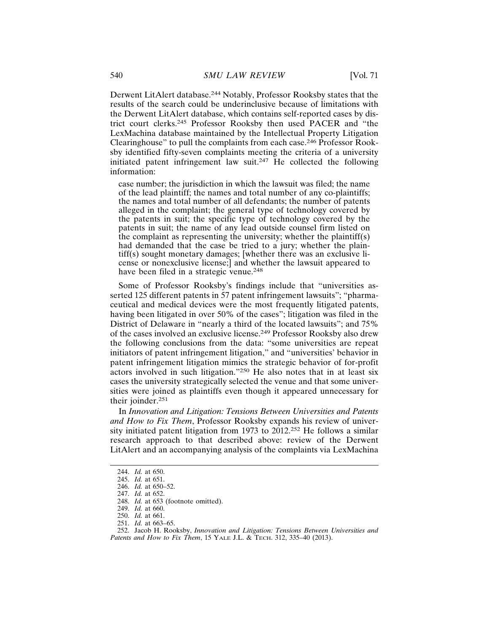Derwent LitAlert database.244 Notably, Professor Rooksby states that the results of the search could be underinclusive because of limitations with the Derwent LitAlert database, which contains self-reported cases by district court clerks.245 Professor Rooksby then used PACER and "the LexMachina database maintained by the Intellectual Property Litigation Clearinghouse" to pull the complaints from each case.246 Professor Rooksby identified fifty-seven complaints meeting the criteria of a university initiated patent infringement law suit.247 He collected the following information:

case number; the jurisdiction in which the lawsuit was filed; the name of the lead plaintiff; the names and total number of any co-plaintiffs; the names and total number of all defendants; the number of patents alleged in the complaint; the general type of technology covered by the patents in suit; the specific type of technology covered by the patents in suit; the name of any lead outside counsel firm listed on the complaint as representing the university; whether the plaintiff(s) had demanded that the case be tried to a jury; whether the plaintiff(s) sought monetary damages; [whether there was an exclusive license or nonexclusive license;] and whether the lawsuit appeared to have been filed in a strategic venue.<sup>248</sup>

Some of Professor Rooksby's findings include that "universities asserted 125 different patents in 57 patent infringement lawsuits"; "pharmaceutical and medical devices were the most frequently litigated patents, having been litigated in over 50% of the cases"; litigation was filed in the District of Delaware in "nearly a third of the located lawsuits"; and 75% of the cases involved an exclusive license.249 Professor Rooksby also drew the following conclusions from the data: "some universities are repeat initiators of patent infringement litigation," and "universities' behavior in patent infringement litigation mimics the strategic behavior of for-profit actors involved in such litigation."250 He also notes that in at least six cases the university strategically selected the venue and that some universities were joined as plaintiffs even though it appeared unnecessary for their joinder.<sup>251</sup>

In *Innovation and Litigation: Tensions Between Universities and Patents and How to Fix Them*, Professor Rooksby expands his review of university initiated patent litigation from 1973 to 2012.252 He follows a similar research approach to that described above: review of the Derwent LitAlert and an accompanying analysis of the complaints via LexMachina

<sup>244.</sup> *Id.* at 650.

<sup>245.</sup> *Id.* at 651.

<sup>246.</sup> *Id.* at 650–52.

<sup>247.</sup> *Id.* at 652.

<sup>248.</sup> *Id.* at 653 (footnote omitted).

<sup>249.</sup> *Id.* at 660.

<sup>250.</sup> *Id.* at 661.

<sup>251.</sup> *Id.* at 663–65.

<sup>252.</sup> Jacob H. Rooksby, *Innovation and Litigation: Tensions Between Universities and Patents and How to Fix Them*, 15 YALE J.L. & TECH. 312, 335–40 (2013).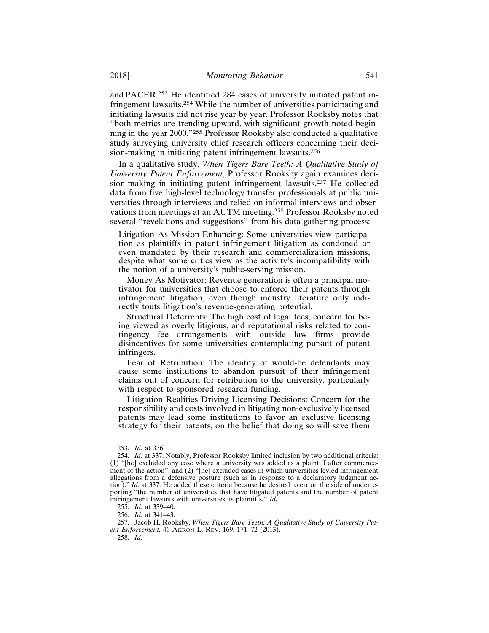and PACER.253 He identified 284 cases of university initiated patent infringement lawsuits.254 While the number of universities participating and initiating lawsuits did not rise year by year, Professor Rooksby notes that "both metrics are trending upward, with significant growth noted beginning in the year 2000."255 Professor Rooksby also conducted a qualitative study surveying university chief research officers concerning their decision-making in initiating patent infringement lawsuits.<sup>256</sup>

In a qualitative study, *When Tigers Bare Teeth: A Qualitative Study of University Patent Enforcement*, Professor Rooksby again examines decision-making in initiating patent infringement lawsuits.257 He collected data from five high-level technology transfer professionals at public universities through interviews and relied on informal interviews and observations from meetings at an AUTM meeting.258 Professor Rooksby noted several "revelations and suggestions" from his data gathering process:

Litigation As Mission-Enhancing: Some universities view participation as plaintiffs in patent infringement litigation as condoned or even mandated by their research and commercialization missions, despite what some critics view as the activity's incompatibility with the notion of a university's public-serving mission.

Money As Motivator: Revenue generation is often a principal motivator for universities that choose to enforce their patents through infringement litigation, even though industry literature only indirectly touts litigation's revenue-generating potential.

Structural Deterrents: The high cost of legal fees, concern for being viewed as overly litigious, and reputational risks related to contingency fee arrangements with outside law firms provide disincentives for some universities contemplating pursuit of patent infringers.

Fear of Retribution: The identity of would-be defendants may cause some institutions to abandon pursuit of their infringement claims out of concern for retribution to the university, particularly with respect to sponsored research funding.

Litigation Realities Driving Licensing Decisions: Concern for the responsibility and costs involved in litigating non-exclusively licensed patents may lead some institutions to favor an exclusive licensing strategy for their patents, on the belief that doing so will save them

<sup>253.</sup> *Id.* at 336.

<sup>254.</sup> *Id.* at 337. Notably, Professor Rooksby limited inclusion by two additional criteria: (1) "[he] excluded any case where a university was added as a plaintiff after commencement of the action"; and (2) "[he] excluded cases in which universities levied infringement allegations from a defensive posture (such as in response to a declaratory judgment action)." *Id*. at 337. He added these criteria because he desired to err on the side of underreporting "the number of universities that have litigated patents and the number of patent infringement lawsuits with universities as plaintiffs." *Id.*

<sup>255.</sup> *Id.* at 339–40.

<sup>256.</sup> *Id.* at 341–43.

<sup>257.</sup> Jacob H. Rooksby, *When Tigers Bare Teeth: A Qualitative Study of University Patent Enforcement*, 46 AKRON L. REV. 169, 171–72 (2013).

<sup>258.</sup> *Id.*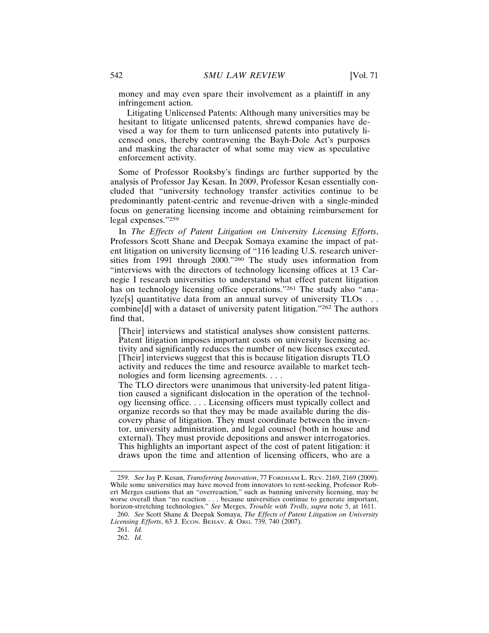money and may even spare their involvement as a plaintiff in any infringement action.

Litigating Unlicensed Patents: Although many universities may be hesitant to litigate unlicensed patents, shrewd companies have devised a way for them to turn unlicensed patents into putatively licensed ones, thereby contravening the Bayh-Dole Act's purposes and masking the character of what some may view as speculative enforcement activity.

Some of Professor Rooksby's findings are further supported by the analysis of Professor Jay Kesan. In 2009, Professor Kesan essentially concluded that "university technology transfer activities continue to be predominantly patent-centric and revenue-driven with a single-minded focus on generating licensing income and obtaining reimbursement for legal expenses."<sup>259</sup>

In *The Effects of Patent Litigation on University Licensing Efforts*, Professors Scott Shane and Deepak Somaya examine the impact of patent litigation on university licensing of "116 leading U.S. research universities from 1991 through 2000."260 The study uses information from "interviews with the directors of technology licensing offices at 13 Carnegie I research universities to understand what effect patent litigation has on technology licensing office operations."261 The study also "analyze[s] quantitative data from an annual survey of university TLOs . . . combine[d] with a dataset of university patent litigation."262 The authors find that,

[Their] interviews and statistical analyses show consistent patterns. Patent litigation imposes important costs on university licensing activity and significantly reduces the number of new licenses executed. [Their] interviews suggest that this is because litigation disrupts TLO activity and reduces the time and resource available to market technologies and form licensing agreements. . . .

The TLO directors were unanimous that university-led patent litigation caused a significant dislocation in the operation of the technology licensing office. . . . Licensing officers must typically collect and organize records so that they may be made available during the discovery phase of litigation. They must coordinate between the inventor, university administration, and legal counsel (both in house and external). They must provide depositions and answer interrogatories. This highlights an important aspect of the cost of patent litigation: it draws upon the time and attention of licensing officers, who are a

261. *Id.*

262. *Id.*

<sup>259.</sup> *See* Jay P. Kesan, *Transferring Innovation*, 77 FORDHAM L. REV. 2169, 2169 (2009). While some universities may have moved from innovators to rent-seeking, Professor Robert Merges cautions that an "overreaction," such as banning university licensing, may be worse overall than "no reaction . . . because universities continue to generate important, horizon-stretching technologies." *See* Merges, *Trouble with Trolls*, *supra* note 5, at 1611.

<sup>260.</sup> *See* Scott Shane & Deepak Somaya, *The Effects of Patent Litigation on University Licensing Efforts*, 63 J. ECON. BEHAV. & ORG. 739, 740 (2007).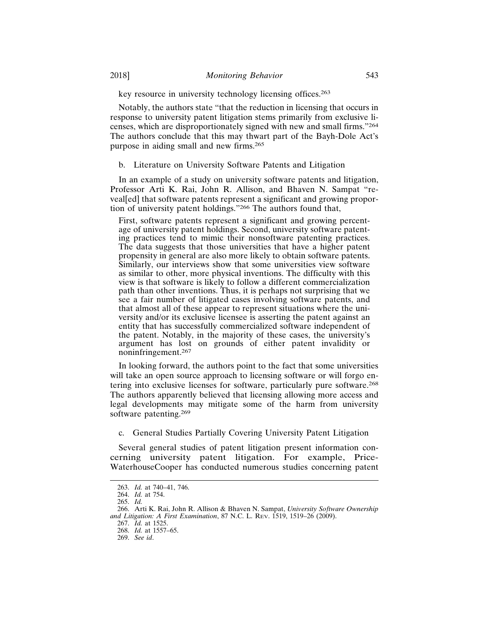key resource in university technology licensing offices.<sup>263</sup>

Notably, the authors state "that the reduction in licensing that occurs in response to university patent litigation stems primarily from exclusive licenses, which are disproportionately signed with new and small firms."<sup>264</sup> The authors conclude that this may thwart part of the Bayh-Dole Act's purpose in aiding small and new firms.<sup>265</sup>

b. Literature on University Software Patents and Litigation

In an example of a study on university software patents and litigation, Professor Arti K. Rai, John R. Allison, and Bhaven N. Sampat "reveal[ed] that software patents represent a significant and growing proportion of university patent holdings."266 The authors found that,

First, software patents represent a significant and growing percentage of university patent holdings. Second, university software patenting practices tend to mimic their nonsoftware patenting practices. The data suggests that those universities that have a higher patent propensity in general are also more likely to obtain software patents. Similarly, our interviews show that some universities view software as similar to other, more physical inventions. The difficulty with this view is that software is likely to follow a different commercialization path than other inventions. Thus, it is perhaps not surprising that we see a fair number of litigated cases involving software patents, and that almost all of these appear to represent situations where the university and/or its exclusive licensee is asserting the patent against an entity that has successfully commercialized software independent of the patent. Notably, in the majority of these cases, the university's argument has lost on grounds of either patent invalidity or noninfringement.<sup>267</sup>

In looking forward, the authors point to the fact that some universities will take an open source approach to licensing software or will forgo entering into exclusive licenses for software, particularly pure software.<sup>268</sup> The authors apparently believed that licensing allowing more access and legal developments may mitigate some of the harm from university software patenting.<sup>269</sup>

c. General Studies Partially Covering University Patent Litigation

Several general studies of patent litigation present information concerning university patent litigation. For example, Price-WaterhouseCooper has conducted numerous studies concerning patent

<sup>263.</sup> *Id.* at 740–41, 746.

<sup>264.</sup> *Id.* at 754.

<sup>265.</sup> *Id.*

<sup>266.</sup> Arti K. Rai, John R. Allison & Bhaven N. Sampat, *University Software Ownership and Litigation: A First Examination*, 87 N.C. L. REV. 1519, 1519–26 (2009).

<sup>267.</sup> *Id.* at 1525.

<sup>268.</sup> *Id.* at 1557–65.

<sup>269.</sup> *See id*.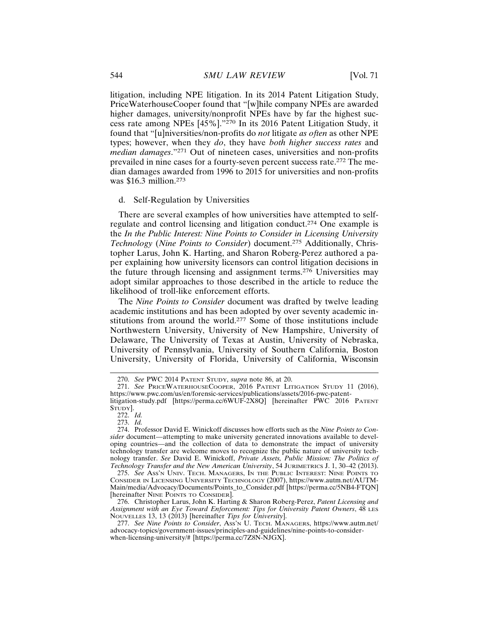litigation, including NPE litigation. In its 2014 Patent Litigation Study, PriceWaterhouseCooper found that "[w]hile company NPEs are awarded higher damages, university/nonprofit NPEs have by far the highest success rate among NPEs [45%]."270 In its 2016 Patent Litigation Study, it found that "[u]niversities/non-profits do *not* litigate *as often* as other NPE types; however, when they *do*, they have *both higher success rates* and *median damages*."271 Out of nineteen cases, universities and non-profits prevailed in nine cases for a fourty-seven percent success rate.272 The median damages awarded from 1996 to 2015 for universities and non-profits was \$16.3 million.<sup>273</sup>

#### d. Self-Regulation by Universities

There are several examples of how universities have attempted to selfregulate and control licensing and litigation conduct.274 One example is the *In the Public Interest: Nine Points to Consider in Licensing University Technology* (*Nine Points to Consider*) document.275 Additionally, Christopher Larus, John K. Harting, and Sharon Roberg-Perez authored a paper explaining how university licensors can control litigation decisions in the future through licensing and assignment terms.276 Universities may adopt similar approaches to those described in the article to reduce the likelihood of troll-like enforcement efforts.

The *Nine Points to Consider* document was drafted by twelve leading academic institutions and has been adopted by over seventy academic institutions from around the world.277 Some of those institutions include Northwestern University, University of New Hampshire, University of Delaware, The University of Texas at Austin, University of Nebraska, University of Pennsylvania, University of Southern California, Boston University, University of Florida, University of California, Wisconsin

<sup>270.</sup> *See* PWC 2014 PATENT STUDY, *supra* note 86, at 20.

<sup>271.</sup> *See* PRICEWATERHOUSECOOPER, 2016 PATENT LITIGATION STUDY 11 (2016), https://www.pwc.com/us/en/forensic-services/publications/assets/2016-pwc-patentlitigation-study.pdf [https://perma.cc/6WUF-2X8Q] [hereinafter PWC 2016 PATENT

STUDY].

<sup>272.</sup> *Id.*

<sup>273.</sup> *Id.*

<sup>274.</sup> Professor David E. Winickoff discusses how efforts such as the *Nine Points to Consider* document—attempting to make university generated innovations available to developing countries—and the collection of data to demonstrate the impact of university technology transfer are welcome moves to recognize the public nature of university technology transfer. *See* David E. Winickoff, *Private Assets, Public Mission: The Politics of Technology Transfer and the New American University*, 54 JURIMETRICS J. 1, 30–42 (2013).

<sup>275.</sup> *See* ASS'N UNIV. TECH. MANAGERS, IN THE PUBLIC INTEREST: NINE POINTS TO CONSIDER IN LICENSING UNIVERSITY TECHNOLOGY (2007), https://www.autm.net/AUTM-Main/media/Advocacy/Documents/Points\_to\_Consider.pdf [https://perma.cc/5NB4-FTQN] [hereinafter NINE POINTS TO CONSIDER].

<sup>276.</sup> Christopher Larus, John K. Harting & Sharon Roberg-Perez, *Patent Licensing and Assignment with an Eye Toward Enforcement: Tips for University Patent Owners*, 48 LES NOUVELLES 13, 13 (2013) [hereinafter *Tips for University*].

<sup>277.</sup> *See Nine Points to Consider*, ASS'N U. TECH. MANAGERS, https://www.autm.net/ advocacy-topics/government-issues/principles-and-guidelines/nine-points-to-considerwhen-licensing-university/# [https://perma.cc/7Z8N-NJGX].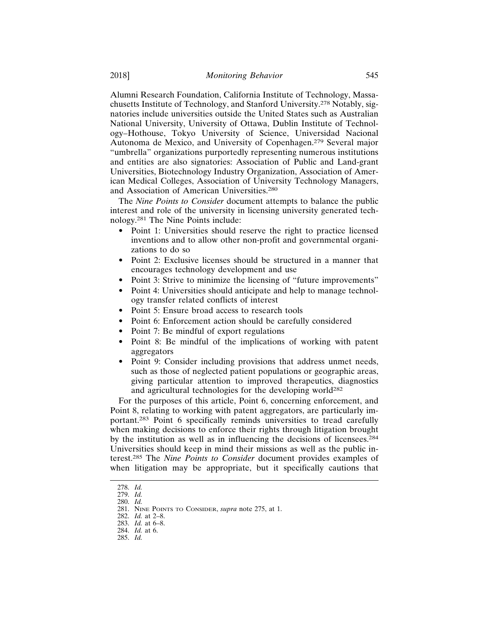Alumni Research Foundation, California Institute of Technology, Massachusetts Institute of Technology, and Stanford University.278 Notably, signatories include universities outside the United States such as Australian National University, University of Ottawa, Dublin Institute of Technology–Hothouse, Tokyo University of Science, Universidad Nacional Autonoma de Mexico, and University of Copenhagen.279 Several major "umbrella" organizations purportedly representing numerous institutions and entities are also signatories: Association of Public and Land-grant Universities, Biotechnology Industry Organization, Association of American Medical Colleges, Association of University Technology Managers, and Association of American Universities.<sup>280</sup>

The *Nine Points to Consider* document attempts to balance the public interest and role of the university in licensing university generated technology.281 The Nine Points include:

- Point 1: Universities should reserve the right to practice licensed inventions and to allow other non-profit and governmental organizations to do so
- Point 2: Exclusive licenses should be structured in a manner that encourages technology development and use
- Point 3: Strive to minimize the licensing of "future improvements"
- Point 4: Universities should anticipate and help to manage technology transfer related conflicts of interest
- Point 5: Ensure broad access to research tools
- Point 6: Enforcement action should be carefully considered
- Point 7: Be mindful of export regulations
- Point 8: Be mindful of the implications of working with patent aggregators
- Point 9: Consider including provisions that address unmet needs, such as those of neglected patient populations or geographic areas, giving particular attention to improved therapeutics, diagnostics and agricultural technologies for the developing world<sup>282</sup>

For the purposes of this article, Point 6, concerning enforcement, and Point 8, relating to working with patent aggregators, are particularly important.283 Point 6 specifically reminds universities to tread carefully when making decisions to enforce their rights through litigation brought by the institution as well as in influencing the decisions of licensees.<sup>284</sup> Universities should keep in mind their missions as well as the public interest.285 The *Nine Points to Consider* document provides examples of when litigation may be appropriate, but it specifically cautions that

<sup>278.</sup> *Id.*

<sup>279.</sup> *Id.*

<sup>280.</sup> *Id.*

<sup>281.</sup> NINE POINTS TO CONSIDER, *supra* note 275, at 1.

<sup>282.</sup> *Id.* at 2–8.

<sup>283.</sup> *Id.* at 6–8. 284. *Id.* at 6.

<sup>285.</sup> *Id.*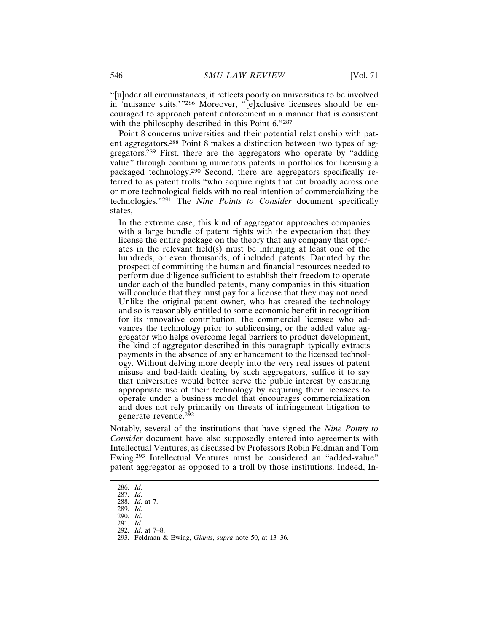"[u]nder all circumstances, it reflects poorly on universities to be involved in 'nuisance suits.'"286 Moreover, "[e]xclusive licensees should be encouraged to approach patent enforcement in a manner that is consistent with the philosophy described in this Point 6."287

Point 8 concerns universities and their potential relationship with patent aggregators.288 Point 8 makes a distinction between two types of aggregators.289 First, there are the aggregators who operate by "adding value" through combining numerous patents in portfolios for licensing a packaged technology.290 Second, there are aggregators specifically referred to as patent trolls "who acquire rights that cut broadly across one or more technological fields with no real intention of commercializing the technologies."291 The *Nine Points to Consider* document specifically states,

In the extreme case, this kind of aggregator approaches companies with a large bundle of patent rights with the expectation that they license the entire package on the theory that any company that operates in the relevant field(s) must be infringing at least one of the hundreds, or even thousands, of included patents. Daunted by the prospect of committing the human and financial resources needed to perform due diligence sufficient to establish their freedom to operate under each of the bundled patents, many companies in this situation will conclude that they must pay for a license that they may not need. Unlike the original patent owner, who has created the technology and so is reasonably entitled to some economic benefit in recognition for its innovative contribution, the commercial licensee who advances the technology prior to sublicensing, or the added value aggregator who helps overcome legal barriers to product development, the kind of aggregator described in this paragraph typically extracts payments in the absence of any enhancement to the licensed technology. Without delving more deeply into the very real issues of patent misuse and bad-faith dealing by such aggregators, suffice it to say that universities would better serve the public interest by ensuring appropriate use of their technology by requiring their licensees to operate under a business model that encourages commercialization and does not rely primarily on threats of infringement litigation to generate revenue.<sup>292</sup>

Notably, several of the institutions that have signed the *Nine Points to Consider* document have also supposedly entered into agreements with Intellectual Ventures, as discussed by Professors Robin Feldman and Tom Ewing.293 Intellectual Ventures must be considered an "added-value" patent aggregator as opposed to a troll by those institutions. Indeed, In-

<sup>286.</sup> *Id.*

<sup>287.</sup> *Id.*

<sup>288.</sup> *Id.* at 7. 289. *Id.*

<sup>290.</sup> *Id.*

<sup>291.</sup> *Id.* 292. *Id.* at 7–8.

<sup>293.</sup> Feldman & Ewing, *Giants*, *supra* note 50, at 13–36.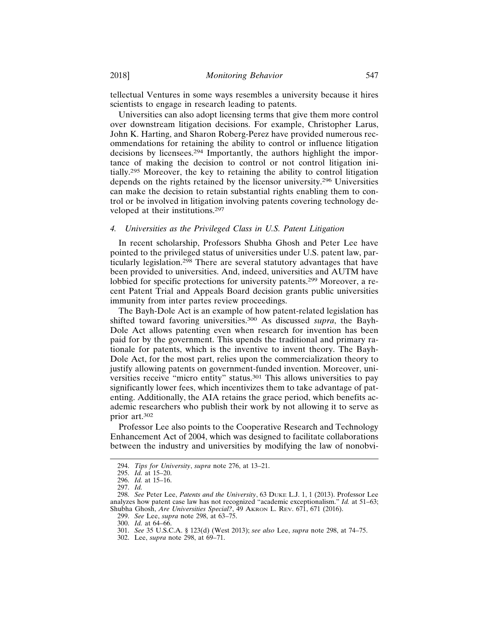tellectual Ventures in some ways resembles a university because it hires scientists to engage in research leading to patents.

Universities can also adopt licensing terms that give them more control over downstream litigation decisions. For example, Christopher Larus, John K. Harting, and Sharon Roberg-Perez have provided numerous recommendations for retaining the ability to control or influence litigation decisions by licensees.294 Importantly, the authors highlight the importance of making the decision to control or not control litigation initially.295 Moreover, the key to retaining the ability to control litigation depends on the rights retained by the licensor university.296 Universities can make the decision to retain substantial rights enabling them to control or be involved in litigation involving patents covering technology developed at their institutions.<sup>297</sup>

#### *4. Universities as the Privileged Class in U.S. Patent Litigation*

In recent scholarship, Professors Shubha Ghosh and Peter Lee have pointed to the privileged status of universities under U.S. patent law, particularly legislation.<sup>298</sup> There are several statutory advantages that have been provided to universities. And, indeed, universities and AUTM have lobbied for specific protections for university patents.299 Moreover, a recent Patent Trial and Appeals Board decision grants public universities immunity from inter partes review proceedings.

The Bayh-Dole Act is an example of how patent-related legislation has shifted toward favoring universities.300 As discussed *supra*, the Bayh-Dole Act allows patenting even when research for invention has been paid for by the government. This upends the traditional and primary rationale for patents, which is the inventive to invent theory. The Bayh-Dole Act, for the most part, relies upon the commercialization theory to justify allowing patents on government-funded invention. Moreover, universities receive "micro entity" status.301 This allows universities to pay significantly lower fees, which incentivizes them to take advantage of patenting. Additionally, the AIA retains the grace period, which benefits academic researchers who publish their work by not allowing it to serve as prior art.<sup>302</sup>

Professor Lee also points to the Cooperative Research and Technology Enhancement Act of 2004, which was designed to facilitate collaborations between the industry and universities by modifying the law of nonobvi-

<sup>294.</sup> *Tips for University*, *supra* note 276, at 13–21.

<sup>295.</sup> *Id.* at 15–20.

<sup>296.</sup> *Id.* at 15–16.

<sup>297.</sup> *Id.*

<sup>298.</sup> *See* Peter Lee, *Patents and the University*, 63 DUKE L.J. 1, 1 (2013). Professor Lee analyzes how patent case law has not recognized "academic exceptionalism." *Id.* at 51–63; Shubha Ghosh, *Are Universities Special?*, 49 AKRON L. REV. 671, 671 (2016).

<sup>299.</sup> *See* Lee, *supra* note 298, at 63–75.

<sup>300.</sup> *Id.* at 64–66.

<sup>301.</sup> *See* 35 U.S.C.A. § 123(d) (West 2013); *see also* Lee, *supra* note 298, at 74–75.

<sup>302.</sup> Lee, *supra* note 298, at 69–71.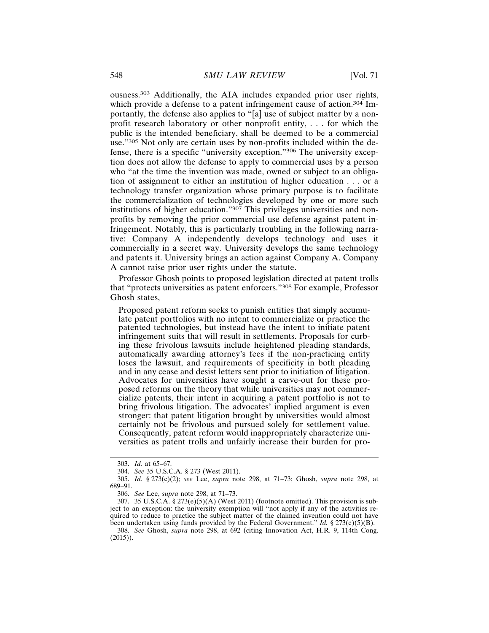ousness.303 Additionally, the AIA includes expanded prior user rights, which provide a defense to a patent infringement cause of action.<sup>304</sup> Importantly, the defense also applies to "[a] use of subject matter by a nonprofit research laboratory or other nonprofit entity, . . . for which the public is the intended beneficiary, shall be deemed to be a commercial use."<sup>305</sup> Not only are certain uses by non-profits included within the defense, there is a specific "university exception."306 The university exception does not allow the defense to apply to commercial uses by a person who "at the time the invention was made, owned or subject to an obligation of assignment to either an institution of higher education . . . or a technology transfer organization whose primary purpose is to facilitate the commercialization of technologies developed by one or more such institutions of higher education."307 This privileges universities and nonprofits by removing the prior commercial use defense against patent infringement. Notably, this is particularly troubling in the following narrative: Company A independently develops technology and uses it commercially in a secret way. University develops the same technology and patents it. University brings an action against Company A. Company A cannot raise prior user rights under the statute.

Professor Ghosh points to proposed legislation directed at patent trolls that "protects universities as patent enforcers."308 For example, Professor Ghosh states,

Proposed patent reform seeks to punish entities that simply accumulate patent portfolios with no intent to commercialize or practice the patented technologies, but instead have the intent to initiate patent infringement suits that will result in settlements. Proposals for curbing these frivolous lawsuits include heightened pleading standards, automatically awarding attorney's fees if the non-practicing entity loses the lawsuit, and requirements of specificity in both pleading and in any cease and desist letters sent prior to initiation of litigation. Advocates for universities have sought a carve-out for these proposed reforms on the theory that while universities may not commercialize patents, their intent in acquiring a patent portfolio is not to bring frivolous litigation. The advocates' implied argument is even stronger: that patent litigation brought by universities would almost certainly not be frivolous and pursued solely for settlement value. Consequently, patent reform would inappropriately characterize universities as patent trolls and unfairly increase their burden for pro-

<sup>303.</sup> *Id.* at 65–67.

<sup>304.</sup> *See* 35 U.S.C.A. § 273 (West 2011).

<sup>305.</sup> *Id.* § 273(c)(2); *see* Lee, *supra* note 298, at 71–73; Ghosh, *supra* note 298, at 689–91.

<sup>306.</sup> *See* Lee, *supra* note 298, at 71–73.

<sup>307. 35</sup> U.S.C.A. § 273(e)(5)(A) (West 2011) (footnote omitted). This provision is subject to an exception: the university exemption will "not apply if any of the activities required to reduce to practice the subject matter of the claimed invention could not have been undertaken using funds provided by the Federal Government." *Id.* § 273 $(e)(5)(B)$ . 308. *See* Ghosh, *supra* note 298, at 692 (citing Innovation Act, H.R. 9, 114th Cong.

<sup>(2015)).</sup>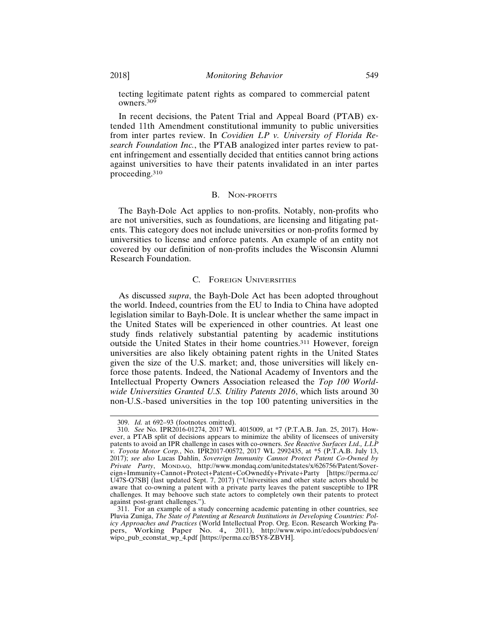tecting legitimate patent rights as compared to commercial patent owners.<sup>309</sup>

In recent decisions, the Patent Trial and Appeal Board (PTAB) extended 11th Amendment constitutional immunity to public universities from inter partes review. In *Covidien LP v. University of Florida Research Foundation Inc.*, the PTAB analogized inter partes review to patent infringement and essentially decided that entities cannot bring actions against universities to have their patents invalidated in an inter partes proceeding.<sup>310</sup>

#### B. NON-PROFITS

The Bayh-Dole Act applies to non-profits. Notably, non-profits who are not universities, such as foundations, are licensing and litigating patents. This category does not include universities or non-profits formed by universities to license and enforce patents. An example of an entity not covered by our definition of non-profits includes the Wisconsin Alumni Research Foundation.

#### C. FOREIGN UNIVERSITIES

As discussed *supra*, the Bayh-Dole Act has been adopted throughout the world. Indeed, countries from the EU to India to China have adopted legislation similar to Bayh-Dole. It is unclear whether the same impact in the United States will be experienced in other countries. At least one study finds relatively substantial patenting by academic institutions outside the United States in their home countries.311 However, foreign universities are also likely obtaining patent rights in the United States given the size of the U.S. market; and, those universities will likely enforce those patents. Indeed, the National Academy of Inventors and the Intellectual Property Owners Association released the *Top 100 Worldwide Universities Granted U.S. Utility Patents 2016*, which lists around 30 non-U.S.-based universities in the top 100 patenting universities in the

<sup>309.</sup> *Id.* at 692–93 (footnotes omitted).

<sup>310.</sup> *See* No. IPR2016-01274, 2017 WL 4015009, at \*7 (P.T.A.B. Jan. 25, 2017). However, a PTAB split of decisions appears to minimize the ability of licensees of university patents to avoid an IPR challenge in cases with co-owners. *See Reactive Surfaces Ltd., LLP v. Toyota Motor Corp.*, No. IPR2017-00572, 2017 WL 2992435, at \*5 (P.T.A.B. July 13, 2017); *see also* Lucas Dahlin, *Sovereign Immunity Cannot Protect Patent Co-Owned by Private Party*, MONDAQ, http://www.mondaq.com/unitedstates/x/626756/Patent/Sovereign+Immunity+Cannot+Protect+Patent+CoOwned£y+Private+Party [https://perma.cc/ U47S-Q7SB] (last updated Sept. 7, 2017) ("Universities and other state actors should be aware that co-owning a patent with a private party leaves the patent susceptible to IPR challenges. It may behoove such state actors to completely own their patents to protect against post-grant challenges.").

<sup>311.</sup> For an example of a study concerning academic patenting in other countries, see Pluvia Zuniga, *The State of Patenting at Research Institutions in Developing Countries: Policy Approaches and Practices* (World Intellectual Prop. Org. Econ. Research Working Papers, Working Paper No. 4, 2011), http://www.wipo.int/edocs/pubdocs/en/ wipo\_pub\_econstat\_wp\_4.pdf [https://perma.cc/B5Y8-ZBVH].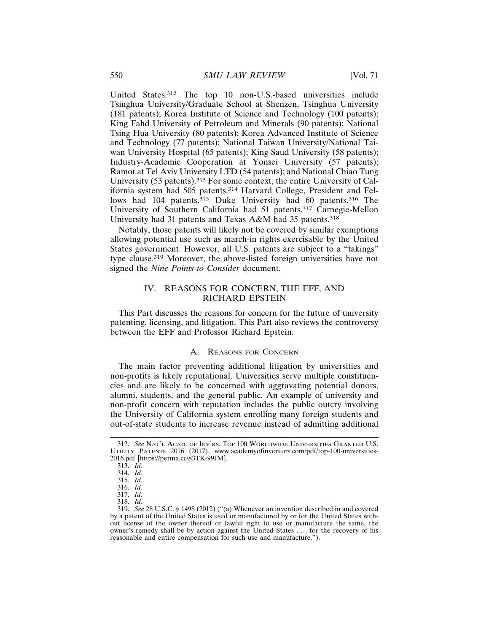United States.312 The top 10 non-U.S.-based universities include Tsinghua University/Graduate School at Shenzen, Tsinghua University (181 patents); Korea Institute of Science and Technology (100 patents); King Fahd University of Petroleum and Minerals (90 patents); National Tsing Hua University (80 patents); Korea Advanced Institute of Science and Technology (77 patents); National Taiwan University/National Taiwan University Hospital (65 patents); King Saud University (58 patents); Industry-Academic Cooperation at Yonsei University (57 patents); Ramot at Tel Aviv University LTD (54 patents); and National Chiao Tung University (53 patents).313 For some context, the entire University of California system had 505 patents.314 Harvard College, President and Fellows had 104 patents.<sup>315</sup> Duke University had 60 patents.<sup>316</sup> The University of Southern California had 51 patents.317 Carnegie-Mellon University had 31 patents and Texas A&M had 35 patents.<sup>318</sup>

Notably, those patents will likely not be covered by similar exemptions allowing potential use such as march-in rights exercisable by the United States government. However, all U.S. patents are subject to a "takings" type clause.319 Moreover, the above-listed foreign universities have not signed the *Nine Points to Consider* document.

#### IV. REASONS FOR CONCERN, THE EFF, AND RICHARD EPSTEIN

This Part discusses the reasons for concern for the future of university patenting, licensing, and litigation. This Part also reviews the controversy between the EFF and Professor Richard Epstein.

#### A. REASONS FOR CONCERN

The main factor preventing additional litigation by universities and non-profits is likely reputational. Universities serve multiple constituencies and are likely to be concerned with aggravating potential donors, alumni, students, and the general public. An example of university and non-profit concern with reputation includes the public outcry involving the University of California system enrolling many foreign students and out-of-state students to increase revenue instead of admitting additional

<sup>312.</sup> *See* NAT'L ACAD. OF INV'RS, TOP 100 WORLDWIDE UNIVERSITIES GRANTED U.S. UTILITY PATENTS 2016 (2017), www.academyofinventors.com/pdf/top-100-universities-2016.pdf [https://perma.cc/83TK-99JM].

<sup>313.</sup> *Id.*

<sup>314.</sup> *Id.*

<sup>315.</sup> *Id.*

<sup>316.</sup> *Id.*

<sup>317.</sup> *Id.*

<sup>318.</sup> *Id.*

<sup>319.</sup> *See* 28 U.S.C. § 1498 (2012) ("(a) Whenever an invention described in and covered by a patent of the United States is used or manufactured by or for the United States without license of the owner thereof or lawful right to use or manufacture the same, the owner's remedy shall be by action against the United States . . . for the recovery of his reasonable and entire compensation for such use and manufacture.").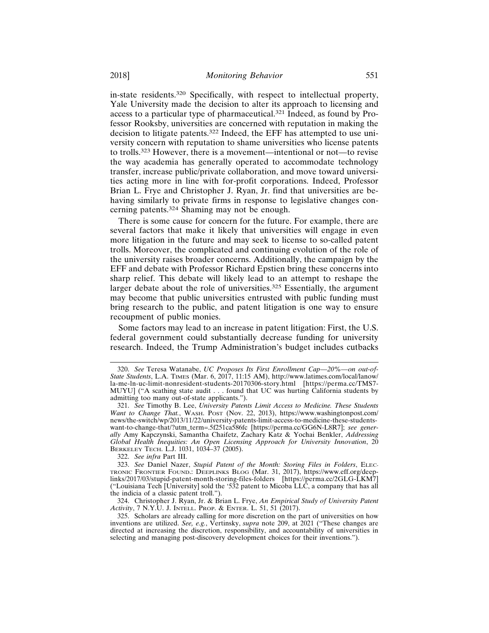in-state residents.320 Specifically, with respect to intellectual property, Yale University made the decision to alter its approach to licensing and access to a particular type of pharmaceutical.321 Indeed, as found by Professor Rooksby, universities are concerned with reputation in making the decision to litigate patents.322 Indeed, the EFF has attempted to use university concern with reputation to shame universities who license patents to trolls.323 However, there is a movement—intentional or not—to revise the way academia has generally operated to accommodate technology transfer, increase public/private collaboration, and move toward universities acting more in line with for-profit corporations. Indeed, Professor Brian L. Frye and Christopher J. Ryan, Jr. find that universities are behaving similarly to private firms in response to legislative changes concerning patents.324 Shaming may not be enough.

There is some cause for concern for the future. For example, there are several factors that make it likely that universities will engage in even more litigation in the future and may seek to license to so-called patent trolls. Moreover, the complicated and continuing evolution of the role of the university raises broader concerns. Additionally, the campaign by the EFF and debate with Professor Richard Epstien bring these concerns into sharp relief. This debate will likely lead to an attempt to reshape the larger debate about the role of universities.<sup>325</sup> Essentially, the argument may become that public universities entrusted with public funding must bring research to the public, and patent litigation is one way to ensure recoupment of public monies.

Some factors may lead to an increase in patent litigation: First, the U.S. federal government could substantially decrease funding for university research. Indeed, the Trump Administration's budget includes cutbacks

322. *See infra* Part III.

323. *See* Daniel Nazer, *Stupid Patent of the Month: Storing Files in Folders*, ELEC-TRONIC FRONTIER FOUND.: DEEPLINKS BLOG (Mar. 31, 2017), https://www.eff.org/deeplinks/2017/03/stupid-patent-month-storing-files-folders [https://perma.cc/2GLG-LKM7] ("Louisiana Tech [University] sold the '532 patent to Micoba LLC, a company that has all the indicia of a classic patent troll.").

324. Christopher J. Ryan, Jr. & Brian L. Frye, *An Empirical Study of University Patent Activity*, 7 N.Y.U. J. INTELL. PROP. & ENTER. L. 51, 51 (2017).

325. Scholars are already calling for more discretion on the part of universities on how inventions are utilized. *See, e.g.*, Vertinsky, *supra* note 209, at 2021 ("These changes are directed at increasing the discretion, responsibility, and accountability of universities in selecting and managing post-discovery development choices for their inventions.").

<sup>320.</sup> *See* Teresa Watanabe, *UC Proposes Its First Enrollment Cap—20%—on out-of-State Students*, L.A. TIMES (Mar. 6, 2017, 11:15 AM), http://www.latimes.com/local/lanow/ la-me-ln-uc-limit-nonresident-students-20170306-story.html [https://perma.cc/TMS7- MUYU] ("A scathing state audit . . . found that UC was hurting California students by admitting too many out-of-state applicants.").

<sup>321.</sup> *See* Timothy B. Lee, *University Patents Limit Access to Medicine. These Students Want to Change That.*, WASH. POST (Nov. 22, 2013), https://www.washingtonpost.com/ news/the-switch/wp/2013/11/22/university-patents-limit-access-to-medicine-these-studentswant-to-change-that/?utm\_term=.5f251ca586fc [https://perma.cc/GG6N-L8R7]; *see generally* Amy Kapczynski, Samantha Chaifetz, Zachary Katz & Yochai Benkler, *Addressing Global Health Inequities: An Open Licensing Approach for University Innovation*, 20 BERKELEY TECH. L.J. 1031, 1034–37 (2005).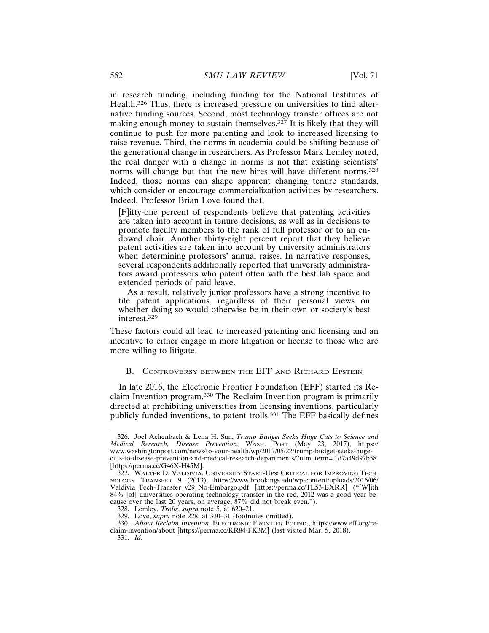in research funding, including funding for the National Institutes of Health.<sup>326</sup> Thus, there is increased pressure on universities to find alternative funding sources. Second, most technology transfer offices are not making enough money to sustain themselves.<sup>327</sup> It is likely that they will continue to push for more patenting and look to increased licensing to raise revenue. Third, the norms in academia could be shifting because of the generational change in researchers. As Professor Mark Lemley noted, the real danger with a change in norms is not that existing scientists' norms will change but that the new hires will have different norms.<sup>328</sup> Indeed, those norms can shape apparent changing tenure standards, which consider or encourage commercialization activities by researchers. Indeed, Professor Brian Love found that,

[F]ifty-one percent of respondents believe that patenting activities are taken into account in tenure decisions, as well as in decisions to promote faculty members to the rank of full professor or to an endowed chair. Another thirty-eight percent report that they believe patent activities are taken into account by university administrators when determining professors' annual raises. In narrative responses, several respondents additionally reported that university administrators award professors who patent often with the best lab space and extended periods of paid leave.

As a result, relatively junior professors have a strong incentive to file patent applications, regardless of their personal views on whether doing so would otherwise be in their own or society's best interest.<sup>329</sup>

These factors could all lead to increased patenting and licensing and an incentive to either engage in more litigation or license to those who are more willing to litigate.

#### B. CONTROVERSY BETWEEN THE EFF AND RICHARD EPSTEIN

In late 2016, the Electronic Frontier Foundation (EFF) started its Reclaim Invention program.330 The Reclaim Invention program is primarily directed at prohibiting universities from licensing inventions, particularly publicly funded inventions, to patent trolls.<sup>331</sup> The EFF basically defines

331. *Id.*

<sup>326.</sup> Joel Achenbach & Lena H. Sun, *Trump Budget Seeks Huge Cuts to Science and Medical Research, Disease Prevention*, WASH. POST (May 23, 2017), https:// www.washingtonpost.com/news/to-your-health/wp/2017/05/22/trump-budget-seeks-hugecuts-to-disease-prevention-and-medical-research-departments/?utm\_term=.1d7a49d97b58 [https://perma.cc/G46X-H45M].

<sup>327.</sup> WALTER D. VALDIVIA, UNIVERSITY START-UPS: CRITICAL FOR IMPROVING TECH-NOLOGY TRANSFER 9 (2013), https://www.brookings.edu/wp-content/uploads/2016/06/ Valdivia\_Tech-Transfer\_v29\_No-Embargo.pdf [https://perma.cc/TL53-BXRR] ("[W]ith 84% [of] universities operating technology transfer in the red, 2012 was a good year because over the last 20 years, on average, 87% did not break even.").

<sup>328.</sup> Lemley, *Trolls*, *supra* note 5, at 620–21.

<sup>329.</sup> Love, *supra* note 228, at 330–31 (footnotes omitted).

<sup>330.</sup> *About Reclaim Invention*, ELECTRONIC FRONTIER FOUND., https://www.eff.org/re-

claim-invention/about [https://perma.cc/KR84-FK3M] (last visited Mar. 5, 2018).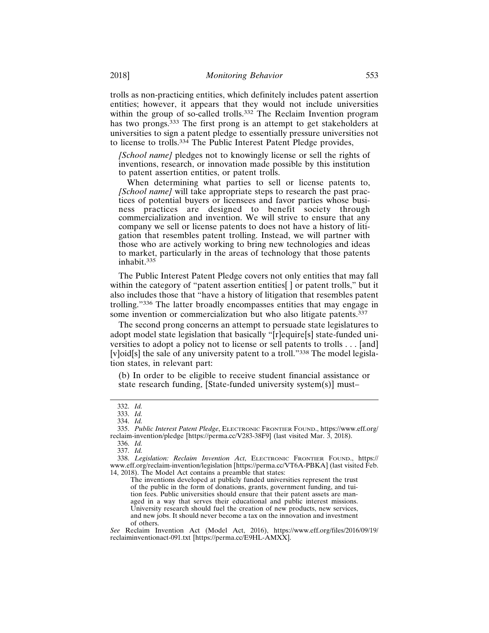trolls as non-practicing entities, which definitely includes patent assertion entities; however, it appears that they would not include universities within the group of so-called trolls.<sup>332</sup> The Reclaim Invention program has two prongs.<sup>333</sup> The first prong is an attempt to get stakeholders at universities to sign a patent pledge to essentially pressure universities not to license to trolls.334 The Public Interest Patent Pledge provides,

*[School name]* pledges not to knowingly license or sell the rights of inventions, research, or innovation made possible by this institution to patent assertion entities, or patent trolls.

When determining what parties to sell or license patents to, *[School name]* will take appropriate steps to research the past practices of potential buyers or licensees and favor parties whose business practices are designed to benefit society through commercialization and invention. We will strive to ensure that any company we sell or license patents to does not have a history of litigation that resembles patent trolling. Instead, we will partner with those who are actively working to bring new technologies and ideas to market, particularly in the areas of technology that those patents inhabit.335

The Public Interest Patent Pledge covers not only entities that may fall within the category of "patent assertion entities[ ] or patent trolls," but it also includes those that "have a history of litigation that resembles patent trolling."336 The latter broadly encompasses entities that may engage in some invention or commercialization but who also litigate patents.<sup>337</sup>

The second prong concerns an attempt to persuade state legislatures to adopt model state legislation that basically "[r]equire[s] state-funded universities to adopt a policy not to license or sell patents to trolls . . . [and] [v]oid[s] the sale of any university patent to a troll."338 The model legislation states, in relevant part:

(b) In order to be eligible to receive student financial assistance or state research funding, [State-funded university system(s)] must–

<sup>332.</sup> *Id.*

<sup>333.</sup> *Id.*

<sup>334.</sup> *Id.*

<sup>335.</sup> *Public Interest Patent Pledge*, ELECTRONIC FRONTIER FOUND., https://www.eff.org/ reclaim-invention/pledge [https://perma.cc/V283-38F9] (last visited Mar. 3, 2018).

<sup>336.</sup> *Id.* 337. *Id.*

<sup>338.</sup> *Legislation: Reclaim Invention Act*, ELECTRONIC FRONTIER FOUND., https:// www.eff.org/reclaim-invention/legislation [https://perma.cc/VT6A-PBKA] (last visited Feb. 14, 2018). The Model Act contains a preamble that states:

The inventions developed at publicly funded universities represent the trust of the public in the form of donations, grants, government funding, and tuition fees. Public universities should ensure that their patent assets are managed in a way that serves their educational and public interest missions. University research should fuel the creation of new products, new services, and new jobs. It should never become a tax on the innovation and investment of others.

*See* Reclaim Invention Act (Model Act, 2016), https://www.eff.org/files/2016/09/19/ reclaiminventionact-091.txt [https://perma.cc/E9HL-AMXX].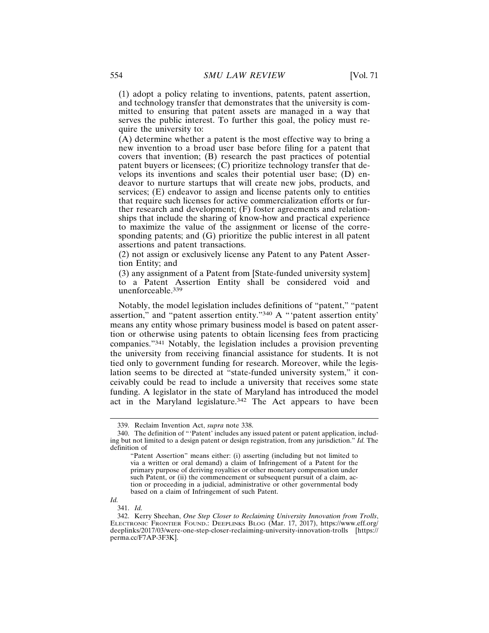(1) adopt a policy relating to inventions, patents, patent assertion, and technology transfer that demonstrates that the university is committed to ensuring that patent assets are managed in a way that serves the public interest. To further this goal, the policy must require the university to:

(A) determine whether a patent is the most effective way to bring a new invention to a broad user base before filing for a patent that covers that invention; (B) research the past practices of potential patent buyers or licensees; (C) prioritize technology transfer that develops its inventions and scales their potential user base; (D) endeavor to nurture startups that will create new jobs, products, and services; (E) endeavor to assign and license patents only to entities that require such licenses for active commercialization efforts or further research and development; (F) foster agreements and relationships that include the sharing of know-how and practical experience to maximize the value of the assignment or license of the corresponding patents; and (G) prioritize the public interest in all patent assertions and patent transactions.

(2) not assign or exclusively license any Patent to any Patent Assertion Entity; and

(3) any assignment of a Patent from [State-funded university system] to a Patent Assertion Entity shall be considered void and unenforceable.<sup>339</sup>

Notably, the model legislation includes definitions of "patent," "patent assertion," and "patent assertion entity."340 A "'patent assertion entity' means any entity whose primary business model is based on patent assertion or otherwise using patents to obtain licensing fees from practicing companies."341 Notably, the legislation includes a provision preventing the university from receiving financial assistance for students. It is not tied only to government funding for research. Moreover, while the legislation seems to be directed at "state-funded university system," it conceivably could be read to include a university that receives some state funding. A legislator in the state of Maryland has introduced the model act in the Maryland legislature.342 The Act appears to have been

<sup>339.</sup> Reclaim Invention Act, *supra* note 338.

<sup>340.</sup> The definition of "'Patent' includes any issued patent or patent application, including but not limited to a design patent or design registration, from any jurisdiction." *Id.* The definition of

<sup>&</sup>quot;Patent Assertion" means either: (i) asserting (including but not limited to via a written or oral demand) a claim of Infringement of a Patent for the primary purpose of deriving royalties or other monetary compensation under such Patent, or (ii) the commencement or subsequent pursuit of a claim, action or proceeding in a judicial, administrative or other governmental body based on a claim of Infringement of such Patent.

*Id.*

<sup>341.</sup> *Id.*

<sup>342.</sup> Kerry Sheehan, *One Step Closer to Reclaiming University Innovation from Trolls*, ELECTRONIC FRONTIER FOUND.: DEEPLINKS BLOG (Mar. 17, 2017), https://www.eff.org/ deeplinks/2017/03/were-one-step-closer-reclaiming-university-innovation-trolls [https:// perma.cc/F7AP-3F3K].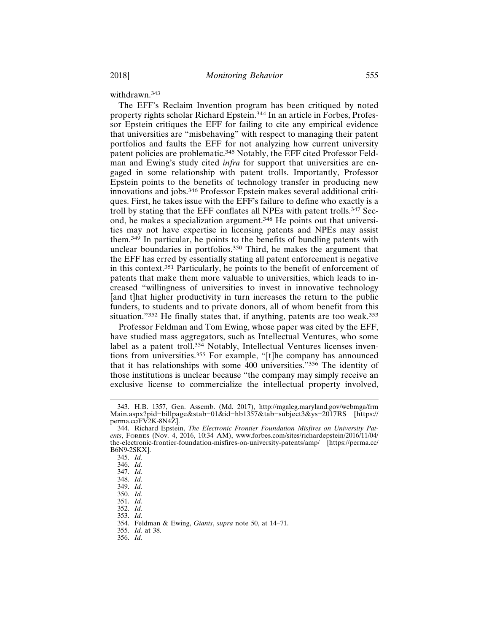withdrawn.<sup>343</sup>

The EFF's Reclaim Invention program has been critiqued by noted property rights scholar Richard Epstein.344 In an article in Forbes, Professor Epstein critiques the EFF for failing to cite any empirical evidence that universities are "misbehaving" with respect to managing their patent portfolios and faults the EFF for not analyzing how current university patent policies are problematic.345 Notably, the EFF cited Professor Feldman and Ewing's study cited *infra* for support that universities are engaged in some relationship with patent trolls. Importantly, Professor Epstein points to the benefits of technology transfer in producing new innovations and jobs.346 Professor Epstein makes several additional critiques. First, he takes issue with the EFF's failure to define who exactly is a troll by stating that the EFF conflates all NPEs with patent trolls.347 Second, he makes a specialization argument.348 He points out that universities may not have expertise in licensing patents and NPEs may assist them.349 In particular, he points to the benefits of bundling patents with unclear boundaries in portfolios.<sup>350</sup> Third, he makes the argument that the EFF has erred by essentially stating all patent enforcement is negative in this context.351 Particularly, he points to the benefit of enforcement of patents that make them more valuable to universities, which leads to increased "willingness of universities to invest in innovative technology [and t]hat higher productivity in turn increases the return to the public funders, to students and to private donors, all of whom benefit from this situation."352 He finally states that, if anything, patents are too weak.<sup>353</sup>

Professor Feldman and Tom Ewing, whose paper was cited by the EFF, have studied mass aggregators, such as Intellectual Ventures, who some label as a patent troll.<sup>354</sup> Notably, Intellectual Ventures licenses inventions from universities.355 For example, "[t]he company has announced that it has relationships with some 400 universities."356 The identity of those institutions is unclear because "the company may simply receive an exclusive license to commercialize the intellectual property involved,

<sup>343.</sup> H.B. 1357, Gen. Assemb. (Md. 2017), http://mgaleg.maryland.gov/webmga/frm Main.aspx?pid=billpage&stab=01&id=hb1357&tab=subject3&ys=2017RS [https:// perma.cc/FV2K-8N4Z].

<sup>344.</sup> Richard Epstein, *The Electronic Frontier Foundation Misfires on University Patents*, FORBES (Nov. 4, 2016, 10:34 AM), www.forbes.com/sites/richardepstein/2016/11/04/ the-electronic-frontier-foundation-misfires-on-university-patents/amp/ [https://perma.cc/ B6N9-2SKX].

<sup>345.</sup> *Id.*

<sup>346.</sup> *Id.*

<sup>347.</sup> *Id.*

<sup>348.</sup> *Id.*

<sup>349.</sup> *Id.*

<sup>350.</sup> *Id.*

<sup>351.</sup> *Id.*

<sup>352.</sup> *Id.*

<sup>353.</sup> *Id.*

<sup>354.</sup> Feldman & Ewing, *Giants*, *supra* note 50, at 14–71.

<sup>355.</sup> *Id.* at 38.

<sup>356.</sup> *Id.*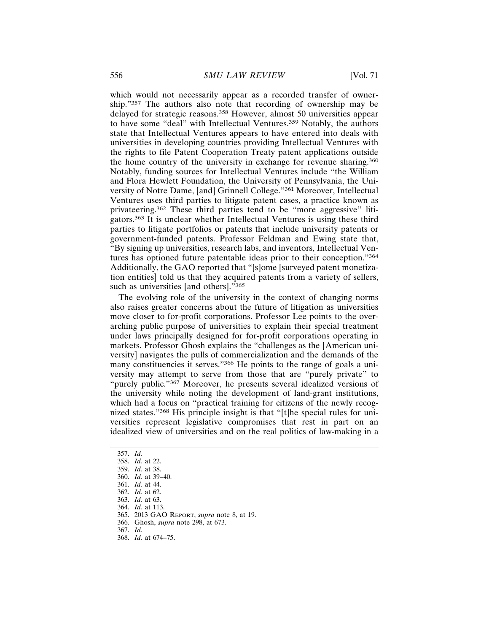which would not necessarily appear as a recorded transfer of ownership."357 The authors also note that recording of ownership may be delayed for strategic reasons.358 However, almost 50 universities appear to have some "deal" with Intellectual Ventures.359 Notably, the authors state that Intellectual Ventures appears to have entered into deals with universities in developing countries providing Intellectual Ventures with the rights to file Patent Cooperation Treaty patent applications outside the home country of the university in exchange for revenue sharing.<sup>360</sup> Notably, funding sources for Intellectual Ventures include "the William and Flora Hewlett Foundation, the University of Pennsylvania, the University of Notre Dame, [and] Grinnell College."361 Moreover, Intellectual Ventures uses third parties to litigate patent cases, a practice known as privateering.362 These third parties tend to be "more aggressive" litigators.363 It is unclear whether Intellectual Ventures is using these third parties to litigate portfolios or patents that include university patents or government-funded patents. Professor Feldman and Ewing state that, "By signing up universities, research labs, and inventors, Intellectual Ventures has optioned future patentable ideas prior to their conception."<sup>364</sup> Additionally, the GAO reported that "[s]ome [surveyed patent monetization entities] told us that they acquired patents from a variety of sellers, such as universities [and others]."<sup>365</sup>

The evolving role of the university in the context of changing norms also raises greater concerns about the future of litigation as universities move closer to for-profit corporations. Professor Lee points to the overarching public purpose of universities to explain their special treatment under laws principally designed for for-profit corporations operating in markets. Professor Ghosh explains the "challenges as the [American university] navigates the pulls of commercialization and the demands of the many constituencies it serves."366 He points to the range of goals a university may attempt to serve from those that are "purely private" to "purely public."367 Moreover, he presents several idealized versions of the university while noting the development of land-grant institutions, which had a focus on "practical training for citizens of the newly recognized states."368 His principle insight is that "[t]he special rules for universities represent legislative compromises that rest in part on an idealized view of universities and on the real politics of law-making in a

<sup>357.</sup> *Id.*

<sup>358.</sup> *Id.* at 22.

<sup>359.</sup> *Id*. at 38.

<sup>360.</sup> *Id.* at 39–40.

<sup>361.</sup> *Id.* at 44.

<sup>362.</sup> *Id.* at 62.

<sup>363.</sup> *Id.* at 63.

<sup>364.</sup> *Id.* at 113.

<sup>365. 2013</sup> GAO REPORT, *supra* note 8, at 19.

<sup>366.</sup> Ghosh, *supra* note 298, at 673.

<sup>367.</sup> *Id.*

<sup>368.</sup> *Id.* at 674–75.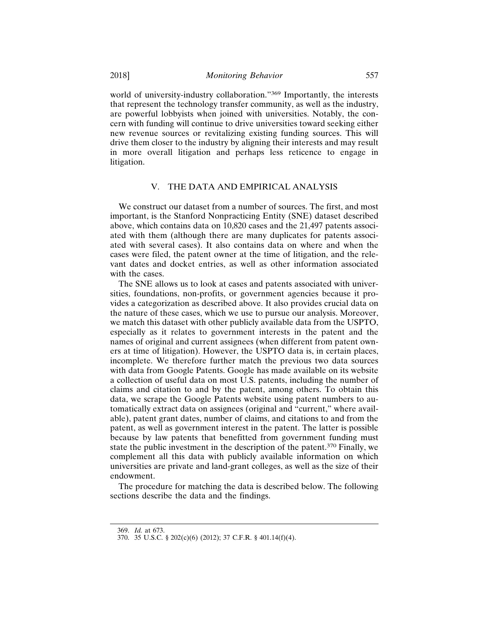world of university-industry collaboration."<sup>369</sup> Importantly, the interests that represent the technology transfer community, as well as the industry, are powerful lobbyists when joined with universities. Notably, the concern with funding will continue to drive universities toward seeking either new revenue sources or revitalizing existing funding sources. This will drive them closer to the industry by aligning their interests and may result in more overall litigation and perhaps less reticence to engage in litigation.

#### V. THE DATA AND EMPIRICAL ANALYSIS

We construct our dataset from a number of sources. The first, and most important, is the Stanford Nonpracticing Entity (SNE) dataset described above, which contains data on 10,820 cases and the 21,497 patents associated with them (although there are many duplicates for patents associated with several cases). It also contains data on where and when the cases were filed, the patent owner at the time of litigation, and the relevant dates and docket entries, as well as other information associated with the cases.

The SNE allows us to look at cases and patents associated with universities, foundations, non-profits, or government agencies because it provides a categorization as described above. It also provides crucial data on the nature of these cases, which we use to pursue our analysis. Moreover, we match this dataset with other publicly available data from the USPTO, especially as it relates to government interests in the patent and the names of original and current assignees (when different from patent owners at time of litigation). However, the USPTO data is, in certain places, incomplete. We therefore further match the previous two data sources with data from Google Patents. Google has made available on its website a collection of useful data on most U.S. patents, including the number of claims and citation to and by the patent, among others. To obtain this data, we scrape the Google Patents website using patent numbers to automatically extract data on assignees (original and "current," where available), patent grant dates, number of claims, and citations to and from the patent, as well as government interest in the patent. The latter is possible because by law patents that benefitted from government funding must state the public investment in the description of the patent.370 Finally, we complement all this data with publicly available information on which universities are private and land-grant colleges, as well as the size of their endowment.

The procedure for matching the data is described below. The following sections describe the data and the findings.

<sup>369.</sup> *Id.* at 673.

<sup>370. 35</sup> U.S.C. § 202(c)(6) (2012); 37 C.F.R. § 401.14(f)(4).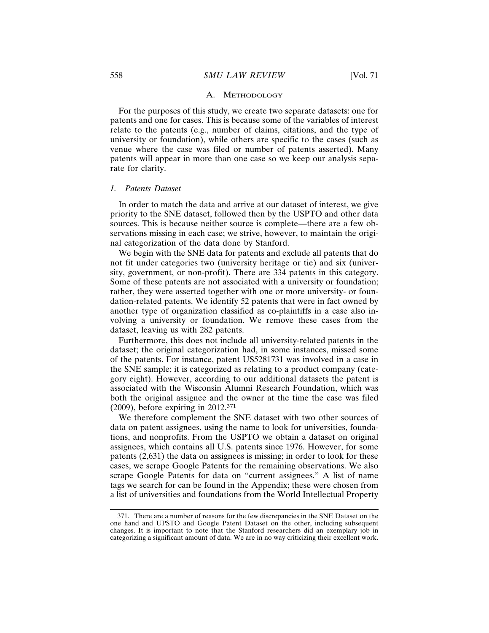#### A. METHODOLOGY

For the purposes of this study, we create two separate datasets: one for patents and one for cases. This is because some of the variables of interest relate to the patents (e.g., number of claims, citations, and the type of university or foundation), while others are specific to the cases (such as venue where the case was filed or number of patents asserted). Many patents will appear in more than one case so we keep our analysis separate for clarity.

#### *1. Patents Dataset*

In order to match the data and arrive at our dataset of interest, we give priority to the SNE dataset, followed then by the USPTO and other data sources. This is because neither source is complete—there are a few observations missing in each case; we strive, however, to maintain the original categorization of the data done by Stanford.

We begin with the SNE data for patents and exclude all patents that do not fit under categories two (university heritage or tie) and six (university, government, or non-profit). There are 334 patents in this category. Some of these patents are not associated with a university or foundation; rather, they were asserted together with one or more university- or foundation-related patents. We identify 52 patents that were in fact owned by another type of organization classified as co-plaintiffs in a case also involving a university or foundation. We remove these cases from the dataset, leaving us with 282 patents.

Furthermore, this does not include all university-related patents in the dataset; the original categorization had, in some instances, missed some of the patents. For instance, patent US5281731 was involved in a case in the SNE sample; it is categorized as relating to a product company (category eight). However, according to our additional datasets the patent is associated with the Wisconsin Alumni Research Foundation, which was both the original assignee and the owner at the time the case was filed (2009), before expiring in 2012.<sup>371</sup>

We therefore complement the SNE dataset with two other sources of data on patent assignees, using the name to look for universities, foundations, and nonprofits. From the USPTO we obtain a dataset on original assignees, which contains all U.S. patents since 1976. However, for some patents (2,631) the data on assignees is missing; in order to look for these cases, we scrape Google Patents for the remaining observations. We also scrape Google Patents for data on "current assignees." A list of name tags we search for can be found in the Appendix; these were chosen from a list of universities and foundations from the World Intellectual Property

<sup>371.</sup> There are a number of reasons for the few discrepancies in the SNE Dataset on the one hand and UPSTO and Google Patent Dataset on the other, including subsequent changes. It is important to note that the Stanford researchers did an exemplary job in categorizing a significant amount of data. We are in no way criticizing their excellent work.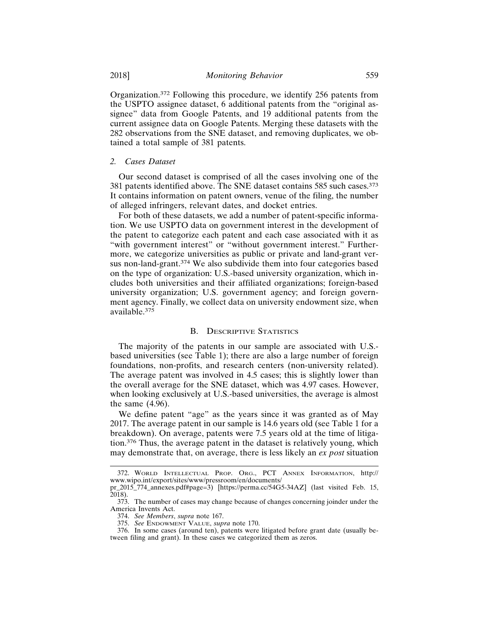Organization.372 Following this procedure, we identify 256 patents from the USPTO assignee dataset, 6 additional patents from the "original assignee" data from Google Patents, and 19 additional patents from the current assignee data on Google Patents. Merging these datasets with the 282 observations from the SNE dataset, and removing duplicates, we obtained a total sample of 381 patents.

#### *2. Cases Dataset*

Our second dataset is comprised of all the cases involving one of the 381 patents identified above. The SNE dataset contains 585 such cases.<sup>373</sup> It contains information on patent owners, venue of the filing, the number of alleged infringers, relevant dates, and docket entries.

For both of these datasets, we add a number of patent-specific information. We use USPTO data on government interest in the development of the patent to categorize each patent and each case associated with it as "with government interest" or "without government interest." Furthermore, we categorize universities as public or private and land-grant versus non-land-grant.<sup>374</sup> We also subdivide them into four categories based on the type of organization: U.S.-based university organization, which includes both universities and their affiliated organizations; foreign-based university organization; U.S. government agency; and foreign government agency. Finally, we collect data on university endowment size, when available.<sup>375</sup>

#### B. DESCRIPTIVE STATISTICS

The majority of the patents in our sample are associated with U.S. based universities (see Table 1); there are also a large number of foreign foundations, non-profits, and research centers (non-university related). The average patent was involved in 4.5 cases; this is slightly lower than the overall average for the SNE dataset, which was 4.97 cases. However, when looking exclusively at U.S.-based universities, the average is almost the same (4.96).

We define patent "age" as the years since it was granted as of May 2017. The average patent in our sample is 14.6 years old (see Table 1 for a breakdown). On average, patents were 7.5 years old at the time of litigation.376 Thus, the average patent in the dataset is relatively young, which may demonstrate that, on average, there is less likely an *ex post* situation

375. *See* ENDOWMENT VALUE, *supra* note 170.

<sup>372.</sup> WORLD INTELLECTUAL PROP. ORG., PCT ANNEX INFORMATION, http:// www.wipo.int/export/sites/www/pressroom/en/documents/

pr\_2015\_774\_annexes.pdf#page=3) [https://perma.cc/54G5-34AZ] (last visited Feb. 15, 2018).

<sup>373.</sup> The number of cases may change because of changes concerning joinder under the America Invents Act.

<sup>374.</sup> *See Members*, *supra* note 167.

<sup>376.</sup> In some cases (around ten), patents were litigated before grant date (usually between filing and grant). In these cases we categorized them as zeros.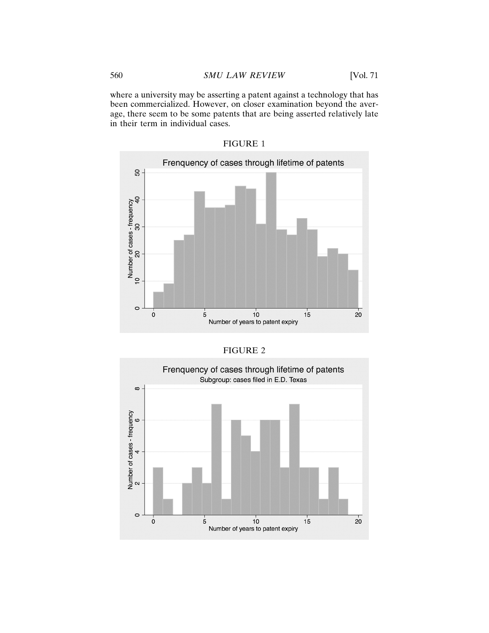where a university may be asserting a patent against a technology that has been commercialized. However, on closer examination beyond the average, there seem to be some patents that are being asserted relatively late in their term in individual cases.



| FIGURE 1 |  |
|----------|--|
|----------|--|

| <b>FIGURE 2</b> |  |
|-----------------|--|
|-----------------|--|

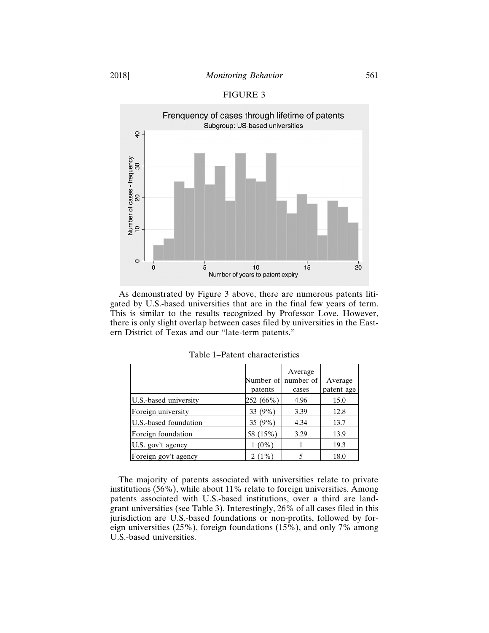## FIGURE 3



As demonstrated by Figure 3 above, there are numerous patents litigated by U.S.-based universities that are in the final few years of term. This is similar to the results recognized by Professor Love. However, there is only slight overlap between cases filed by universities in the Eastern District of Texas and our "late-term patents."

|                       |           | Average             |            |
|-----------------------|-----------|---------------------|------------|
|                       |           | Number of number of | Average    |
|                       | patents   | cases               | patent age |
| U.S.-based university | 252 (66%) | 4.96                | 15.0       |
| Foreign university    | 33 (9%)   | 3.39                | 12.8       |
| U.S.-based foundation | 35(9%)    | 4.34                | 13.7       |
| Foreign foundation    | 58 (15%)  | 3.29                | 13.9       |
| U.S. gov't agency     | $1(0\%)$  |                     | 19.3       |
| Foreign gov't agency  | 2(1%)     |                     | 18.0       |

Table 1–Patent characteristics

The majority of patents associated with universities relate to private institutions (56%), while about 11% relate to foreign universities. Among patents associated with U.S.-based institutions, over a third are landgrant universities (see Table 3). Interestingly, 26% of all cases filed in this jurisdiction are U.S.-based foundations or non-profits, followed by foreign universities (25%), foreign foundations (15%), and only 7% among U.S.-based universities.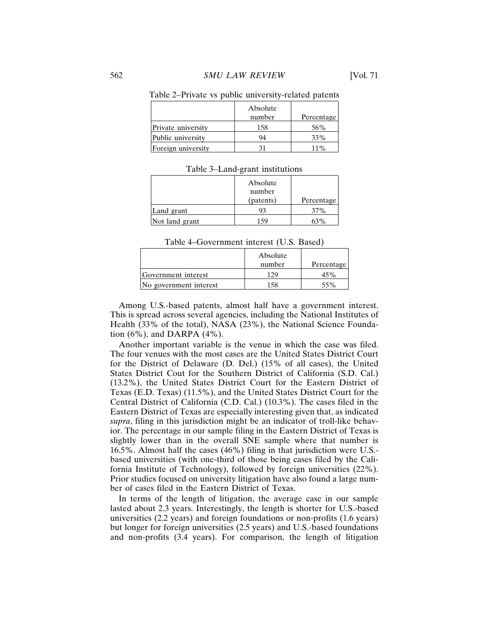|                    | Absolute<br>number | Percentage |
|--------------------|--------------------|------------|
| Private university | 158                | 56%        |
| Public university  | 94                 | 33%        |
| Foreign university |                    | 11%        |

| Table 3–Land-grant institutions |  |
|---------------------------------|--|
|---------------------------------|--|

|                | Absolute<br>number |                 |
|----------------|--------------------|-----------------|
|                | (patents)          | Percentage      |
| Land grant     | 93                 | 37 <sup>%</sup> |
| Not land grant | 159                | 63%             |

Table 4–Government interest (U.S. Based)

|                        | Absolute<br>number | Percentage |
|------------------------|--------------------|------------|
| Government interest    | 129                | 45%        |
| No government interest | 158                | 55%        |

Among U.S.-based patents, almost half have a government interest. This is spread across several agencies, including the National Institutes of Health (33% of the total), NASA (23%), the National Science Foundation (6%), and DARPA (4%).

Another important variable is the venue in which the case was filed. The four venues with the most cases are the United States District Court for the District of Delaware (D. Del.) (15% of all cases), the United States District Cout for the Southern District of California (S.D. Cal.) (13.2%), the United States District Court for the Eastern District of Texas (E.D. Texas) (11.5%), and the United States District Court for the Central District of California (C.D. Cal.) (10.3%). The cases filed in the Eastern District of Texas are especially interesting given that, as indicated *supra*, filing in this jurisdiction might be an indicator of troll-like behavior. The percentage in our sample filing in the Eastern District of Texas is slightly lower than in the overall SNE sample where that number is 16.5%. Almost half the cases (46%) filing in that jurisdiction were U.S. based universities (with one-third of those being cases filed by the California Institute of Technology), followed by foreign universities (22%). Prior studies focused on university litigation have also found a large number of cases filed in the Eastern District of Texas.

In terms of the length of litigation, the average case in our sample lasted about 2.3 years. Interestingly, the length is shorter for U.S.-based universities (2.2 years) and foreign foundations or non-profits (1.6 years) but longer for foreign universities (2.5 years) and U.S.-based foundations and non-profits (3.4 years). For comparison, the length of litigation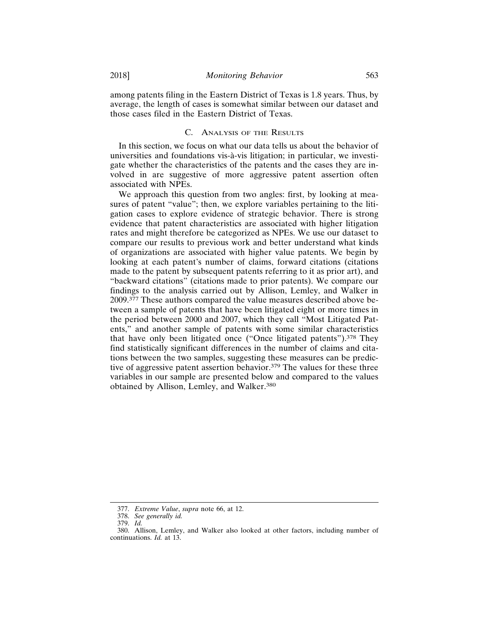among patents filing in the Eastern District of Texas is 1.8 years. Thus, by average, the length of cases is somewhat similar between our dataset and those cases filed in the Eastern District of Texas.

#### C. ANALYSIS OF THE RESULTS

In this section, we focus on what our data tells us about the behavior of universities and foundations vis-à-vis litigation; in particular, we investigate whether the characteristics of the patents and the cases they are involved in are suggestive of more aggressive patent assertion often associated with NPEs.

We approach this question from two angles: first, by looking at measures of patent "value"; then, we explore variables pertaining to the litigation cases to explore evidence of strategic behavior. There is strong evidence that patent characteristics are associated with higher litigation rates and might therefore be categorized as NPEs. We use our dataset to compare our results to previous work and better understand what kinds of organizations are associated with higher value patents. We begin by looking at each patent's number of claims, forward citations (citations made to the patent by subsequent patents referring to it as prior art), and "backward citations" (citations made to prior patents). We compare our findings to the analysis carried out by Allison, Lemley, and Walker in 2009.377 These authors compared the value measures described above between a sample of patents that have been litigated eight or more times in the period between 2000 and 2007, which they call "Most Litigated Patents," and another sample of patents with some similar characteristics that have only been litigated once ("Once litigated patents").378 They find statistically significant differences in the number of claims and citations between the two samples, suggesting these measures can be predictive of aggressive patent assertion behavior.<sup>379</sup> The values for these three variables in our sample are presented below and compared to the values obtained by Allison, Lemley, and Walker.<sup>380</sup>

<sup>377.</sup> *Extreme Value*, *supra* note 66, at 12.

<sup>378.</sup> *See generally id.*

<sup>379.</sup> *Id.*

<sup>380.</sup> Allison, Lemley, and Walker also looked at other factors, including number of continuations. *Id.* at 13.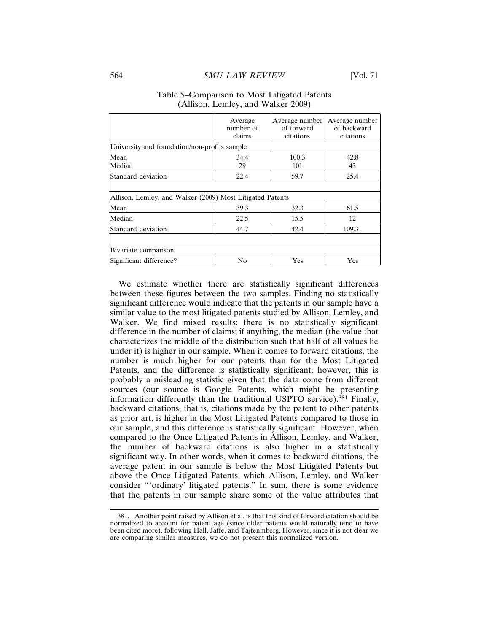|                                                           | Average<br>number of<br>claims | Average number<br>of forward<br>citations | Average number<br>of backward<br>citations |
|-----------------------------------------------------------|--------------------------------|-------------------------------------------|--------------------------------------------|
| University and foundation/non-profits sample              |                                |                                           |                                            |
| Mean<br>Median                                            | 34.4<br>29                     | 100.3<br>101                              | 42.8<br>43                                 |
| Standard deviation                                        | 22.4                           | 59.7                                      | 25.4                                       |
| Allison, Lemley, and Walker (2009) Most Litigated Patents |                                |                                           |                                            |
| Mean                                                      | 39.3                           | 32.3                                      | 61.5                                       |
| Median                                                    | 22.5                           | 15.5                                      | 12                                         |
| Standard deviation                                        | 44.7                           | 42.4                                      | 109.31                                     |
| Bivariate comparison                                      |                                |                                           |                                            |
| Significant difference?                                   | No                             | Yes                                       | Yes                                        |

#### Table 5–Comparison to Most Litigated Patents (Allison, Lemley, and Walker 2009)

We estimate whether there are statistically significant differences between these figures between the two samples. Finding no statistically significant difference would indicate that the patents in our sample have a similar value to the most litigated patents studied by Allison, Lemley, and Walker. We find mixed results: there is no statistically significant difference in the number of claims; if anything, the median (the value that characterizes the middle of the distribution such that half of all values lie under it) is higher in our sample. When it comes to forward citations, the number is much higher for our patents than for the Most Litigated Patents, and the difference is statistically significant; however, this is probably a misleading statistic given that the data come from different sources (our source is Google Patents, which might be presenting information differently than the traditional USPTO service).381 Finally, backward citations, that is, citations made by the patent to other patents as prior art, is higher in the Most Litigated Patents compared to those in our sample, and this difference is statistically significant. However, when compared to the Once Litigated Patents in Allison, Lemley, and Walker, the number of backward citations is also higher in a statistically significant way. In other words, when it comes to backward citations, the average patent in our sample is below the Most Litigated Patents but above the Once Litigated Patents, which Allison, Lemley, and Walker consider "'ordinary' litigated patents." In sum, there is some evidence that the patents in our sample share some of the value attributes that

<sup>381.</sup> Another point raised by Allison et al. is that this kind of forward citation should be normalized to account for patent age (since older patents would naturally tend to have been cited more), following Hall, Jaffe, and Tajtenmberg. However, since it is not clear we are comparing similar measures, we do not present this normalized version.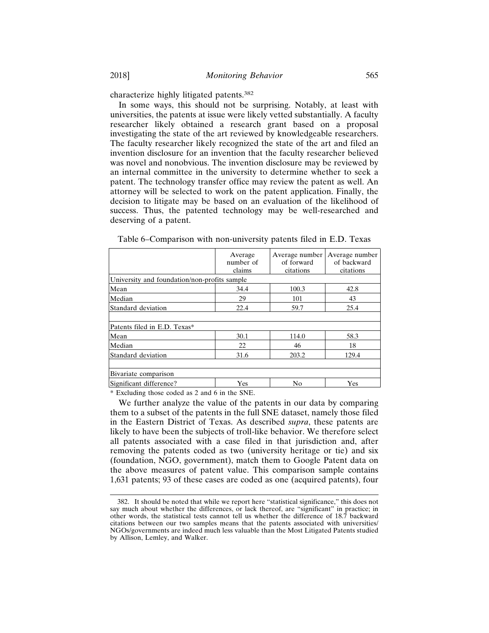characterize highly litigated patents.<sup>382</sup>

In some ways, this should not be surprising. Notably, at least with universities, the patents at issue were likely vetted substantially. A faculty researcher likely obtained a research grant based on a proposal investigating the state of the art reviewed by knowledgeable researchers. The faculty researcher likely recognized the state of the art and filed an invention disclosure for an invention that the faculty researcher believed was novel and nonobvious. The invention disclosure may be reviewed by an internal committee in the university to determine whether to seek a patent. The technology transfer office may review the patent as well. An attorney will be selected to work on the patent application. Finally, the decision to litigate may be based on an evaluation of the likelihood of success. Thus, the patented technology may be well-researched and deserving of a patent.

|                                              | Average<br>number of<br>claims | Average number<br>of forward<br>citations | Average number<br>of backward<br>citations |
|----------------------------------------------|--------------------------------|-------------------------------------------|--------------------------------------------|
| University and foundation/non-profits sample |                                |                                           |                                            |
| Mean                                         | 34.4                           | 100.3                                     | 42.8                                       |
| Median                                       | 29                             | 101                                       | 43                                         |
| Standard deviation                           | 22.4                           | 59.7                                      | 25.4                                       |
| Patents filed in E.D. Texas*                 |                                |                                           |                                            |
|                                              |                                |                                           |                                            |
| Mean                                         | 30.1                           | 114.0                                     | 58.3                                       |
| Median                                       | 22                             | 46                                        | 18                                         |
| Standard deviation                           | 31.6                           | 203.2                                     | 129.4                                      |
| Bivariate comparison                         |                                |                                           |                                            |
| Significant difference?                      | <b>Yes</b>                     | N <sub>0</sub>                            | <b>Yes</b>                                 |
| $\lambda$ p i i i a i i a n                  |                                |                                           |                                            |

Table 6–Comparison with non-university patents filed in E.D. Texas

\* Excluding those coded as 2 and 6 in the SNE.

We further analyze the value of the patents in our data by comparing them to a subset of the patents in the full SNE dataset, namely those filed in the Eastern District of Texas. As described *supra*, these patents are likely to have been the subjects of troll-like behavior. We therefore select all patents associated with a case filed in that jurisdiction and, after removing the patents coded as two (university heritage or tie) and six (foundation, NGO, government), match them to Google Patent data on the above measures of patent value. This comparison sample contains 1,631 patents; 93 of these cases are coded as one (acquired patents), four

<sup>382.</sup> It should be noted that while we report here "statistical significance," this does not say much about whether the differences, or lack thereof, are "significant" in practice; in other words, the statistical tests cannot tell us whether the difference of 18.7 backward citations between our two samples means that the patents associated with universities/ NGOs/governments are indeed much less valuable than the Most Litigated Patents studied by Allison, Lemley, and Walker.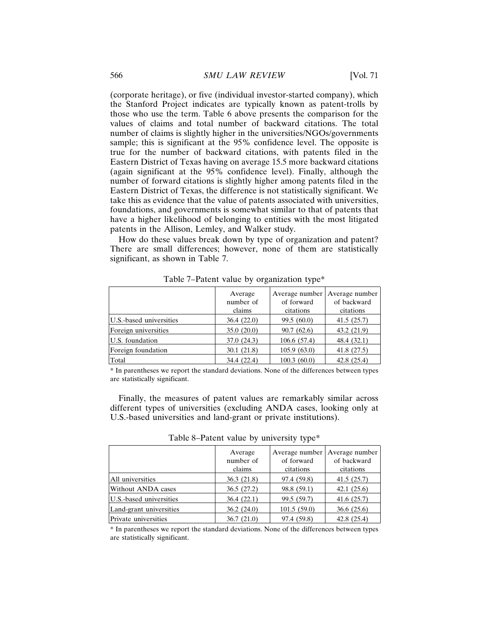(corporate heritage), or five (individual investor-started company), which the Stanford Project indicates are typically known as patent-trolls by those who use the term. Table 6 above presents the comparison for the values of claims and total number of backward citations. The total number of claims is slightly higher in the universities/NGOs/governments sample; this is significant at the 95% confidence level. The opposite is true for the number of backward citations, with patents filed in the Eastern District of Texas having on average 15.5 more backward citations (again significant at the 95% confidence level). Finally, although the number of forward citations is slightly higher among patents filed in the Eastern District of Texas, the difference is not statistically significant. We take this as evidence that the value of patents associated with universities, foundations, and governments is somewhat similar to that of patents that have a higher likelihood of belonging to entities with the most litigated patents in the Allison, Lemley, and Walker study.

How do these values break down by type of organization and patent? There are small differences; however, none of them are statistically significant, as shown in Table 7.

|                         | Average<br>number of<br>claims | Average number<br>of forward<br>citations | Average number<br>of backward<br>citations |
|-------------------------|--------------------------------|-------------------------------------------|--------------------------------------------|
| U.S.-based universities | 36.4(22.0)                     | 99.5 (60.0)                               | 41.5(25.7)                                 |
| Foreign universities    | 35.0(20.0)                     | 90.7(62.6)                                | 43.2 $(21.9)$                              |
| U.S. foundation         | 37.0(24.3)                     | 106.6(57.4)                               | 48.4 $(32.1)$                              |
| Foreign foundation      | 30.1(21.8)                     | 105.9(63.0)                               | 41.8(27.5)                                 |
| Total                   | 34.4 (22.4)                    | 100.3(60.0)                               | 42.8 $(25.4)$                              |

Table 7–Patent value by organization type\*

\* In parentheses we report the standard deviations. None of the differences between types are statistically significant.

Finally, the measures of patent values are remarkably similar across different types of universities (excluding ANDA cases, looking only at U.S.-based universities and land-grant or private institutions).

|                         | Average<br>number of<br>claims | Average number   Average number<br>of forward<br>citations | of backward<br>citations |
|-------------------------|--------------------------------|------------------------------------------------------------|--------------------------|
| All universities        | 36.3(21.8)                     | 97.4 (59.8)                                                | 41.5(25.7)               |
| Without ANDA cases      | 36.5(27.2)                     | 98.8 (59.1)                                                | 42.1(25.6)               |
| U.S.-based universities | 36.4(22.1)                     | 99.5 (59.7)                                                | 41.6(25.7)               |
| Land-grant universities | 36.2(24.0)                     | 101.5(59.0)                                                | 36.6(25.6)               |
| Private universities    | 36.7(21.0)                     | 97.4 (59.8)                                                | 42.8 (25.4)              |

Table 8–Patent value by university type\*

\* In parentheses we report the standard deviations. None of the differences between types are statistically significant.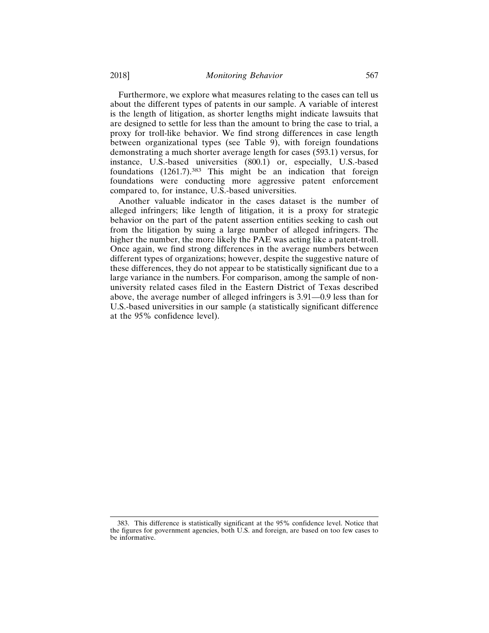Furthermore, we explore what measures relating to the cases can tell us about the different types of patents in our sample. A variable of interest is the length of litigation, as shorter lengths might indicate lawsuits that are designed to settle for less than the amount to bring the case to trial, a proxy for troll-like behavior. We find strong differences in case length between organizational types (see Table 9), with foreign foundations demonstrating a much shorter average length for cases (593.1) versus, for instance, U.S.-based universities (800.1) or, especially, U.S.-based foundations (1261.7).383 This might be an indication that foreign foundations were conducting more aggressive patent enforcement compared to, for instance, U.S.-based universities.

Another valuable indicator in the cases dataset is the number of alleged infringers; like length of litigation, it is a proxy for strategic behavior on the part of the patent assertion entities seeking to cash out from the litigation by suing a large number of alleged infringers. The higher the number, the more likely the PAE was acting like a patent-troll. Once again, we find strong differences in the average numbers between different types of organizations; however, despite the suggestive nature of these differences, they do not appear to be statistically significant due to a large variance in the numbers. For comparison, among the sample of nonuniversity related cases filed in the Eastern District of Texas described above, the average number of alleged infringers is 3.91—0.9 less than for U.S.-based universities in our sample (a statistically significant difference at the 95% confidence level).

<sup>383.</sup> This difference is statistically significant at the 95% confidence level. Notice that the figures for government agencies, both U.S. and foreign, are based on too few cases to be informative.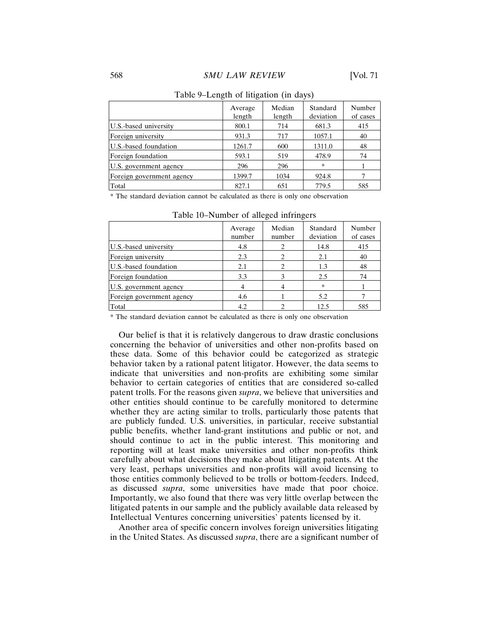|                           | Average<br>length | Median<br>length | Standard<br>deviation | Number<br>of cases |
|---------------------------|-------------------|------------------|-----------------------|--------------------|
| U.S.-based university     | 800.1             | 714              | 681.3                 | 415                |
| Foreign university        | 931.3             | 717              | 1057.1                | 40                 |
| U.S.-based foundation     | 1261.7            | 600              | 1311.0                | 48                 |
| Foreign foundation        | 593.1             | 519              | 478.9                 | 74                 |
| U.S. government agency    | 296               | 296              | $\star$               |                    |
| Foreign government agency | 1399.7            | 1034             | 924.8                 |                    |
| Total                     | 827.1             | 651              | 779.5                 | 585                |

#### Table 9–Length of litigation (in days)

\* The standard deviation cannot be calculated as there is only one observation

|                           | Average<br>number | Median<br>number | Standard<br>deviation | Number<br>of cases |
|---------------------------|-------------------|------------------|-----------------------|--------------------|
| U.S.-based university     | 4.8               |                  | 14.8                  | 415                |
| Foreign university        | 2.3               |                  | 2.1                   | 40                 |
| U.S.-based foundation     | 2.1               |                  | 1.3                   | 48                 |
| Foreign foundation        | 3.3               |                  | 2.5                   | 74                 |
| U.S. government agency    |                   |                  | $\approx$             |                    |
| Foreign government agency | 4.6               |                  | 5.2                   |                    |
| Total                     | 4.2               |                  | 12.5                  | 585                |

Table 10–Number of alleged infringers

\* The standard deviation cannot be calculated as there is only one observation

Our belief is that it is relatively dangerous to draw drastic conclusions concerning the behavior of universities and other non-profits based on these data. Some of this behavior could be categorized as strategic behavior taken by a rational patent litigator. However, the data seems to indicate that universities and non-profits are exhibiting some similar behavior to certain categories of entities that are considered so-called patent trolls. For the reasons given *supra*, we believe that universities and other entities should continue to be carefully monitored to determine whether they are acting similar to trolls, particularly those patents that are publicly funded. U.S. universities, in particular, receive substantial public benefits, whether land-grant institutions and public or not, and should continue to act in the public interest. This monitoring and reporting will at least make universities and other non-profits think carefully about what decisions they make about litigating patents. At the very least, perhaps universities and non-profits will avoid licensing to those entities commonly believed to be trolls or bottom-feeders. Indeed, as discussed *supra*, some universities have made that poor choice. Importantly, we also found that there was very little overlap between the litigated patents in our sample and the publicly available data released by Intellectual Ventures concerning universities' patents licensed by it.

Another area of specific concern involves foreign universities litigating in the United States. As discussed *supra*, there are a significant number of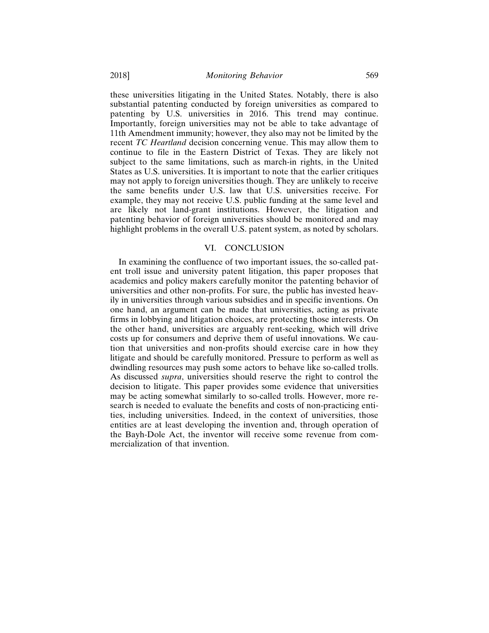these universities litigating in the United States. Notably, there is also substantial patenting conducted by foreign universities as compared to patenting by U.S. universities in 2016. This trend may continue. Importantly, foreign universities may not be able to take advantage of 11th Amendment immunity; however, they also may not be limited by the recent *TC Heartland* decision concerning venue. This may allow them to continue to file in the Eastern District of Texas. They are likely not subject to the same limitations, such as march-in rights, in the United States as U.S. universities. It is important to note that the earlier critiques may not apply to foreign universities though. They are unlikely to receive the same benefits under U.S. law that U.S. universities receive. For example, they may not receive U.S. public funding at the same level and are likely not land-grant institutions. However, the litigation and patenting behavior of foreign universities should be monitored and may highlight problems in the overall U.S. patent system, as noted by scholars.

#### VI. CONCLUSION

In examining the confluence of two important issues, the so-called patent troll issue and university patent litigation, this paper proposes that academics and policy makers carefully monitor the patenting behavior of universities and other non-profits. For sure, the public has invested heavily in universities through various subsidies and in specific inventions. On one hand, an argument can be made that universities, acting as private firms in lobbying and litigation choices, are protecting those interests. On the other hand, universities are arguably rent-seeking, which will drive costs up for consumers and deprive them of useful innovations. We caution that universities and non-profits should exercise care in how they litigate and should be carefully monitored. Pressure to perform as well as dwindling resources may push some actors to behave like so-called trolls. As discussed *supra*, universities should reserve the right to control the decision to litigate. This paper provides some evidence that universities may be acting somewhat similarly to so-called trolls. However, more research is needed to evaluate the benefits and costs of non-practicing entities, including universities. Indeed, in the context of universities, those entities are at least developing the invention and, through operation of the Bayh-Dole Act, the inventor will receive some revenue from commercialization of that invention.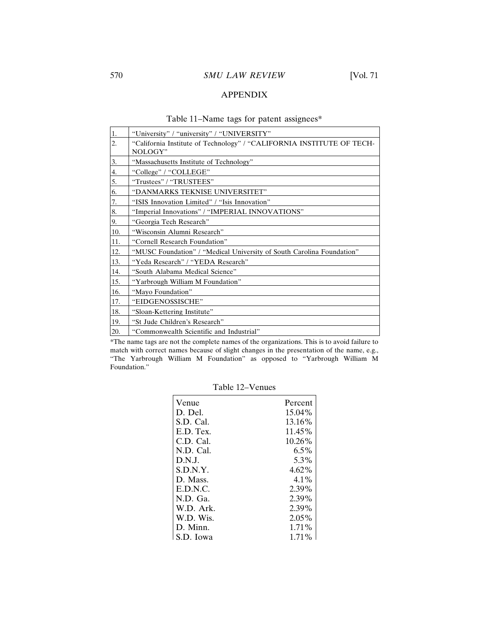## APPENDIX

## Table 11–Name tags for patent assignees\*

| $\overline{1}$ . | "University" / "university" / "UNIVERSITY"                                       |
|------------------|----------------------------------------------------------------------------------|
| 2.               | "California Institute of Technology" / "CALIFORNIA INSTITUTE OF TECH-<br>NOLOGY" |
| 3.               | "Massachusetts Institute of Technology"                                          |
| 4.               | "College" / "COLLEGE"                                                            |
| 5.               | "Trustees" / "TRUSTEES"                                                          |
| 6.               | "DANMARKS TEKNISE UNIVERSITET"                                                   |
| 7.               | "ISIS Innovation Limited" / "Isis Innovation"                                    |
| 8.               | "Imperial Innovations" / "IMPERIAL INNOVATIONS"                                  |
| 9.               | "Georgia Tech Research"                                                          |
| 10.              | "Wisconsin Alumni Research"                                                      |
| 11.              | "Cornell Research Foundation"                                                    |
| 12.              | "MUSC Foundation" / "Medical University of South Carolina Foundation"            |
| 13.              | "Yeda Research" / "YEDA Research"                                                |
| 14.              | "South Alabama Medical Science"                                                  |
| 15.              | "Yarbrough William M Foundation"                                                 |
| 16.              | "Mayo Foundation"                                                                |
| 17.              | "EIDGENOSSISCHE"                                                                 |
| 18.              | "Sloan-Kettering Institute"                                                      |
| 19.              | "St Jude Children's Research"                                                    |
| 20.              | "Commonwealth Scientific and Industrial"                                         |

\*The name tags are not the complete names of the organizations. This is to avoid failure to match with correct names because of slight changes in the presentation of the name, e.g., "The Yarbrough William M Foundation" as opposed to "Yarbrough William M Foundation."

Table 12–Venues

| Venue      | Percent  |
|------------|----------|
| D. Del.    | 15.04%   |
| S.D. Cal.  | 13.16%   |
| E.D. Tex.  | 11.45%   |
| C.D. Cal.  | 10.26%   |
| N.D. Cal.  | $6.5\%$  |
| D.N.I.     | 5.3%     |
| S.D.N.Y.   | $4.62\%$ |
| D. Mass.   | 4.1%     |
| $E$ D.N.C. | 2.39%    |
| N.D. Ga.   | 2.39%    |
| W.D. Ark.  | 2.39%    |
| W.D. Wis.  | 2.05%    |
| D. Minn.   | $1.71\%$ |
| S.D. Iowa  | $1.71\%$ |